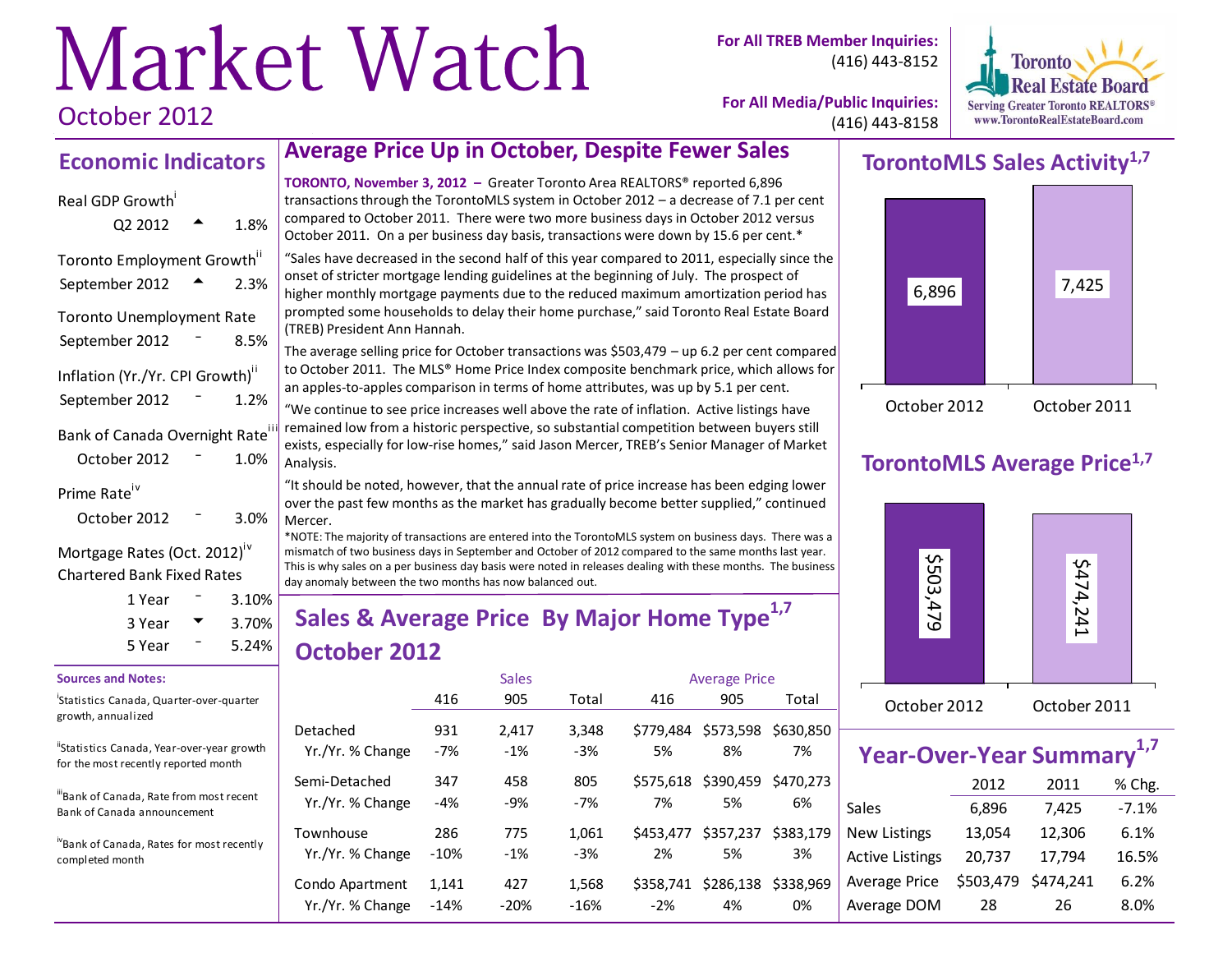# Market Watch October 2012

**For All TREB Member Inquiries:** (416) 443-8152



**For All Media/Public Inquiries:** (416) 443-8158

## **Economic Indicators**

# Real GDP Growth

| Q2 2012                          |     | 1.8% |
|----------------------------------|-----|------|
| Toronto Employment Growth"       |     |      |
| September 2012                   |     | 2.3% |
| <b>Toronto Unemployment Rate</b> |     |      |
| September 2012                   | Ξ.  | 8.5% |
| Inflation (Yr./Yr. CPI Growth)"  |     |      |
| September 2012                   | Т., | 1.2% |
| Bank of Canada Overnight Rate    |     |      |
| October 2012                     |     | 1.0% |
| Prime Rate <sup>iv</sup>         |     |      |
| October 2012                     |     | 3.0% |

#### Mortgage Rates (Oct. 2012)<sup>10</sup> Chartered Bank Fixed Rates

| 1 Year | $3.10\%$ |  |
|--------|----------|--|
| 3 Year | $3.70\%$ |  |
| 5 Year | $5.24\%$ |  |

#### **Sources and Notes:**

i Statistics Canada, Quarter-over-quarter growth, annualized

"Statistics Canada, Year-over-year growth for the most recently reported month

iiBank of Canada, Rate from most recent Bank of Canada announcement

ivBank of Canada, Rates for most recently completed month

# **Average Price Up in October, Despite Fewer Sales**

**TORONTO, November 3, 2012 –** Greater Toronto Area REALTORS® reported 6,896 transactions through the TorontoMLS system in October 2012 – a decrease of 7.1 per cent compared to October 2011. There were two more business days in October 2012 versus October 2011. On a per business day basis, transactions were down by 15.6 per cent.\*

"Sales have decreased in the second half of this year compared to 2011, especially since the onset of stricter mortgage lending guidelines at the beginning of July. The prospect of higher monthly mortgage payments due to the reduced maximum amortization period has prompted some households to delay their home purchase," said Toronto Real Estate Board (TREB) President Ann Hannah.

The average selling price for October transactions was \$503,479 – up 6.2 per cent compared to October 2011. The MLS® Home Price Index composite benchmark price, which allows for an apples-to-apples comparison in terms of home attributes, was up by 5.1 per cent.

"We continue to see price increases well above the rate of inflation. Active listings have remained low from a historic perspective, so substantial competition between buyers still exists, especially for low-rise homes," said Jason Mercer, TREB's Senior Manager of Market Analysis.

"It should be noted, however, that the annual rate of price increase has been edging lower over the past few months as the market has gradually become better supplied," continued Mercer.

\*NOTE: The majority of transactions are entered into the TorontoMLS system on business days. There was a mismatch of two business days in September and October of 2012 compared to the same months last year. This is why sales on a per business day basis were noted in releases dealing with these months. The business day anomaly between the two months has now balanced out.

# **Sales & Average Price By Major Home Type1,7 October 2012**

|                  |        | <b>Sales</b> |        | <b>Average Price</b> |           |           |  |  |
|------------------|--------|--------------|--------|----------------------|-----------|-----------|--|--|
|                  | 416    | 905          | Total  | 416                  | 905       | Total     |  |  |
| Detached         | 931    | 2,417        | 3.348  | \$779.484            | \$573,598 | \$630,850 |  |  |
| Yr./Yr. % Change | $-7%$  | $-1%$        | $-3%$  | 5%                   | 8%        | 7%        |  |  |
| Semi-Detached    | 347    | 458          | 805    | \$575.618            | \$390,459 | \$470.273 |  |  |
| Yr./Yr. % Change | $-4%$  | $-9%$        | -7%    | 7%                   | 5%        | 6%        |  |  |
| Townhouse        | 286    | 775          | 1.061  | \$453.477            | \$357,237 | \$383.179 |  |  |
| Yr./Yr. % Change | $-10%$ | $-1\%$       | $-3%$  | 2%                   | 5%        | 3%        |  |  |
| Condo Apartment  | 1,141  | 427          | 1,568  | S358.741             | \$286,138 | \$338.969 |  |  |
| Yr./Yr. % Change | $-14%$ | $-20%$       | $-16%$ | $-2%$                | 4%        | 0%        |  |  |

# **TorontoMLS Sales Activity1,7**



# **TorontoMLS Average Price1,7**



| <b>Year-Over-Year Summary</b> |           |           |         |  |  |  |  |  |  |  |
|-------------------------------|-----------|-----------|---------|--|--|--|--|--|--|--|
| 2012<br>% Chg.<br>2011        |           |           |         |  |  |  |  |  |  |  |
| <b>Sales</b>                  | 6,896     | 7,425     | $-7.1%$ |  |  |  |  |  |  |  |
| <b>New Listings</b>           | 13,054    | 12,306    | 6.1%    |  |  |  |  |  |  |  |
| <b>Active Listings</b>        | 20,737    | 17,794    | 16.5%   |  |  |  |  |  |  |  |
| Average Price                 | \$503,479 | \$474,241 | 6.2%    |  |  |  |  |  |  |  |
| Average DOM                   | 28        | 26        | 8.0%    |  |  |  |  |  |  |  |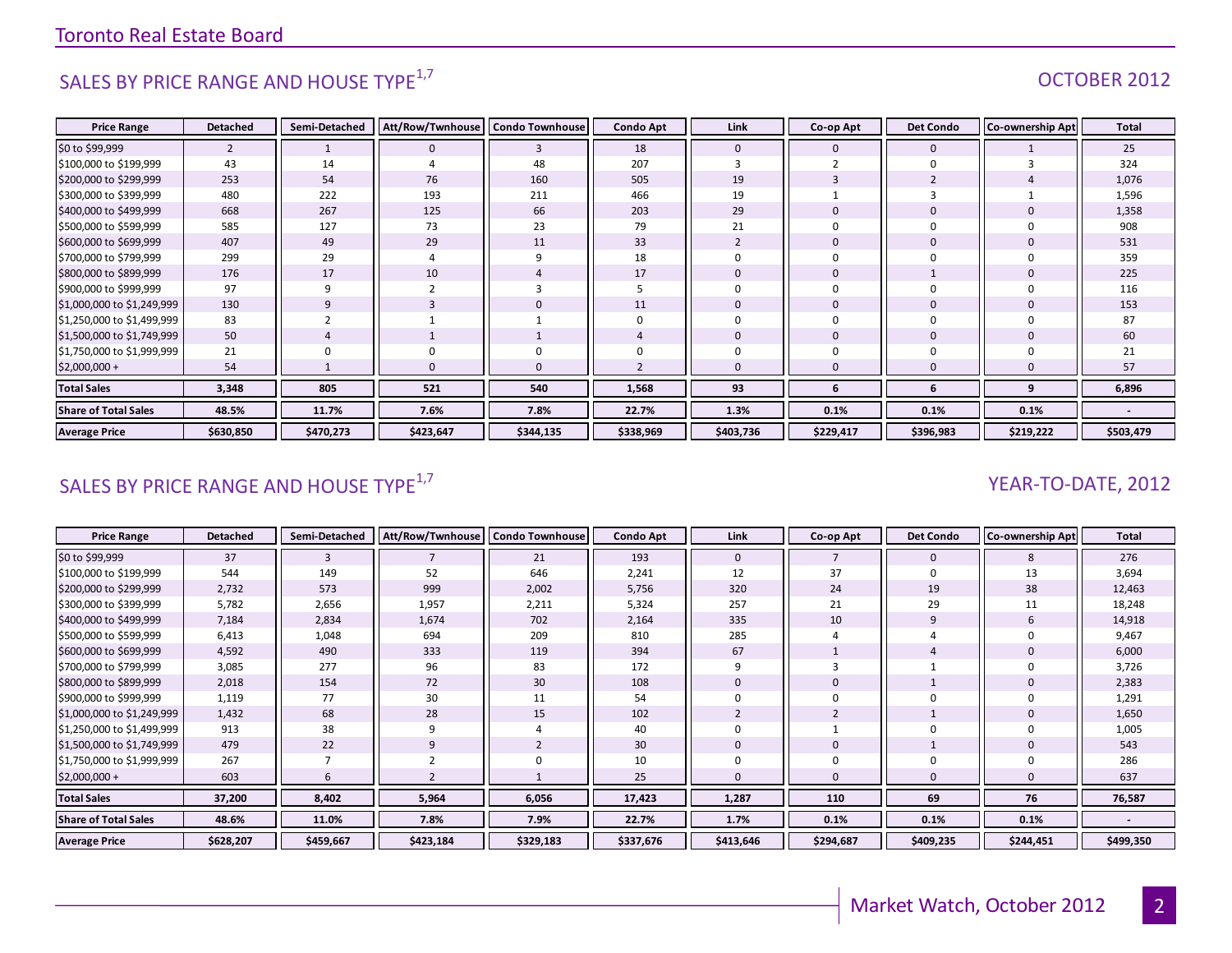# SALES BY PRICE RANGE AND HOUSE TYPE<sup>1,7</sup>  $\sqrt{1.25}$  OCTOBER 2012

| <b>Price Range</b>          | <b>Detached</b> | Semi-Detached  | Att/Row/Twnhouse | <b>Condo Townhouse</b> | <b>Condo Apt</b> | Link           | Co-op Apt    | <b>Det Condo</b> | Co-ownership Apt | Total     |
|-----------------------------|-----------------|----------------|------------------|------------------------|------------------|----------------|--------------|------------------|------------------|-----------|
| \$0 to \$99,999             | $\overline{2}$  |                | $\mathbf 0$      | 3                      | 18               | $\mathbf 0$    | 0            | $\mathbf 0$      |                  | 25        |
| \$100,000 to \$199,999      | 43              | 14             |                  | 48                     | 207              |                |              | $\Omega$         |                  | 324       |
| \$200,000 to \$299,999      | 253             | 54             | 76               | 160                    | 505              | 19             | 3            |                  |                  | 1,076     |
| \$300,000 to \$399,999      | 480             | 222            | 193              | 211                    | 466              | 19             |              |                  |                  | 1,596     |
| \$400,000 to \$499,999      | 668             | 267            | 125              | 66                     | 203              | 29             | $\mathbf{0}$ | $\mathbf 0$      |                  | 1,358     |
| \$500,000 to \$599,999      | 585             | 127            | 73               | 23                     | 79               | 21             | $\Omega$     | $\Omega$         |                  | 908       |
| \$600,000 to \$699,999      | 407             | 49             | 29               | 11                     | 33               | $\overline{2}$ | $\mathbf{0}$ | $\mathbf 0$      |                  | 531       |
| \$700,000 to \$799,999      | 299             | 29             |                  | 9                      | 18               | $\Omega$       | 0            | $\Omega$         |                  | 359       |
| \$800,000 to \$899,999      | 176             | 17             | 10               |                        | 17               | $\Omega$       | $\mathbf{0}$ |                  |                  | 225       |
| \$900,000 to \$999,999      | 97              | 9              |                  | 3                      |                  | $\Omega$       | $\Omega$     | $\Omega$         |                  | 116       |
| \$1,000,000 to \$1,249,999  | 130             | 9              |                  | $\mathbf{0}$           | 11               | $\mathbf 0$    | $\mathbf{0}$ | $\mathbf 0$      |                  | 153       |
| \$1,250,000 to \$1,499,999  | 83              | $\overline{2}$ |                  |                        |                  | $\Omega$       | $\mathbf 0$  | $\Omega$         |                  | 87        |
| \$1,500,000 to \$1,749,999  | 50              | $\overline{4}$ |                  |                        |                  | $\mathbf{0}$   | 0            | $\mathbf 0$      |                  | 60        |
| \$1,750,000 to \$1,999,999  | 21              |                |                  | 0                      |                  | $\Omega$       | $\mathbf 0$  | $\Omega$         |                  | 21        |
| $$2,000,000+$               | 54              |                | $\Omega$         | $\mathbf{0}$           |                  | $\Omega$       | $\mathbf{0}$ |                  |                  | 57        |
| <b>Total Sales</b>          | 3,348           | 805            | 521              | 540                    | 1,568            | 93             | 6            | 6                | q                | 6,896     |
| <b>Share of Total Sales</b> | 48.5%           | 11.7%          | 7.6%             | 7.8%                   | 22.7%            | 1.3%           | 0.1%         | 0.1%             | 0.1%             |           |
| <b>Average Price</b>        | \$630,850       | \$470,273      | \$423,647        | \$344,135              | \$338,969        | \$403,736      | \$229,417    | \$396,983        | \$219,222        | \$503,479 |

### SALES BY PRICE RANGE AND HOUSE TYPE<sup>1,7</sup>  $\sqrt{2}$  and  $\sqrt{2}$  and  $\sqrt{2}$  and  $\sqrt{2}$  and  $\sqrt{2}$  and  $\sqrt{2}$  and  $\sqrt{2}$  and  $\sqrt{2}$  and  $\sqrt{2}$  and  $\sqrt{2}$  and  $\sqrt{2}$  and  $\sqrt{2}$  and  $\sqrt{2}$  and  $\sqrt{2}$  and  $\sqrt{2}$  and

| <b>Price Range</b>          | <b>Detached</b> | Semi-Detached | Att/Row/Twnhouse | <b>Condo Townhouse</b> | <b>Condo Apt</b> | Link      | Co-op Apt | <b>Det Condo</b> | <b>Co-ownership Apt</b> | <b>Total</b>             |
|-----------------------------|-----------------|---------------|------------------|------------------------|------------------|-----------|-----------|------------------|-------------------------|--------------------------|
| \$0 to \$99,999             | 37              | 3             |                  | 21                     | 193              | 0         |           | $\mathbf 0$      | 8                       | 276                      |
| \$100,000 to \$199,999      | 544             | 149           | 52               | 646                    | 2,241            | 12        | 37        | $\mathbf 0$      | 13                      | 3,694                    |
| \$200,000 to \$299,999      | 2,732           | 573           | 999              | 2,002                  | 5,756            | 320       | 24        | 19               | 38                      | 12,463                   |
| \$300,000 to \$399,999      | 5,782           | 2,656         | 1,957            | 2,211                  | 5,324            | 257       | 21        | 29               | 11                      | 18,248                   |
| \$400,000 to \$499,999      | 7,184           | 2,834         | 1,674            | 702                    | 2,164            | 335       | 10        | 9                |                         | 14,918                   |
| \$500,000 to \$599,999      | 6,413           | 1,048         | 694              | 209                    | 810              | 285       |           |                  |                         | 9,467                    |
| \$600,000 to \$699,999      | 4,592           | 490           | 333              | 119                    | 394              | 67        |           |                  |                         | 6,000                    |
| \$700,000 to \$799,999      | 3,085           | 277           | 96               | 83                     | 172              |           |           |                  |                         | 3,726                    |
| \$800,000 to \$899,999      | 2,018           | 154           | 72               | 30                     | 108              | 0         |           |                  |                         | 2,383                    |
| \$900,000 to \$999,999      | 1,119           | 77            | 30               | 11                     | 54               |           |           | 0                |                         | 1,291                    |
| \$1,000,000 to \$1,249,999  | 1,432           | 68            | 28               | 15                     | 102              |           | 2         |                  |                         | 1,650                    |
| \$1,250,000 to \$1,499,999  | 913             | 38            | q                | 4                      | 40               |           |           | $\mathbf 0$      |                         | 1,005                    |
| \$1,500,000 to \$1,749,999  | 479             | 22            | 9                | $\overline{2}$         | 30               |           |           |                  |                         | 543                      |
| \$1,750,000 to \$1,999,999  | 267             |               |                  | $\Omega$               | 10               |           |           | 0                |                         | 286                      |
| $$2,000,000+$               | 603             | 6             |                  |                        | 25               |           |           | $\mathbf{0}$     |                         | 637                      |
| <b>Total Sales</b>          | 37,200          | 8,402         | 5,964            | 6,056                  | 17,423           | 1,287     | 110       | 69               | 76                      | 76,587                   |
| <b>Share of Total Sales</b> | 48.6%           | 11.0%         | 7.8%             | 7.9%                   | 22.7%            | 1.7%      | 0.1%      | 0.1%             | 0.1%                    | $\overline{\phantom{a}}$ |
| <b>Average Price</b>        | \$628,207       | \$459,667     | \$423,184        | \$329,183              | \$337,676        | \$413,646 | \$294,687 | \$409,235        | \$244,451               | \$499,350                |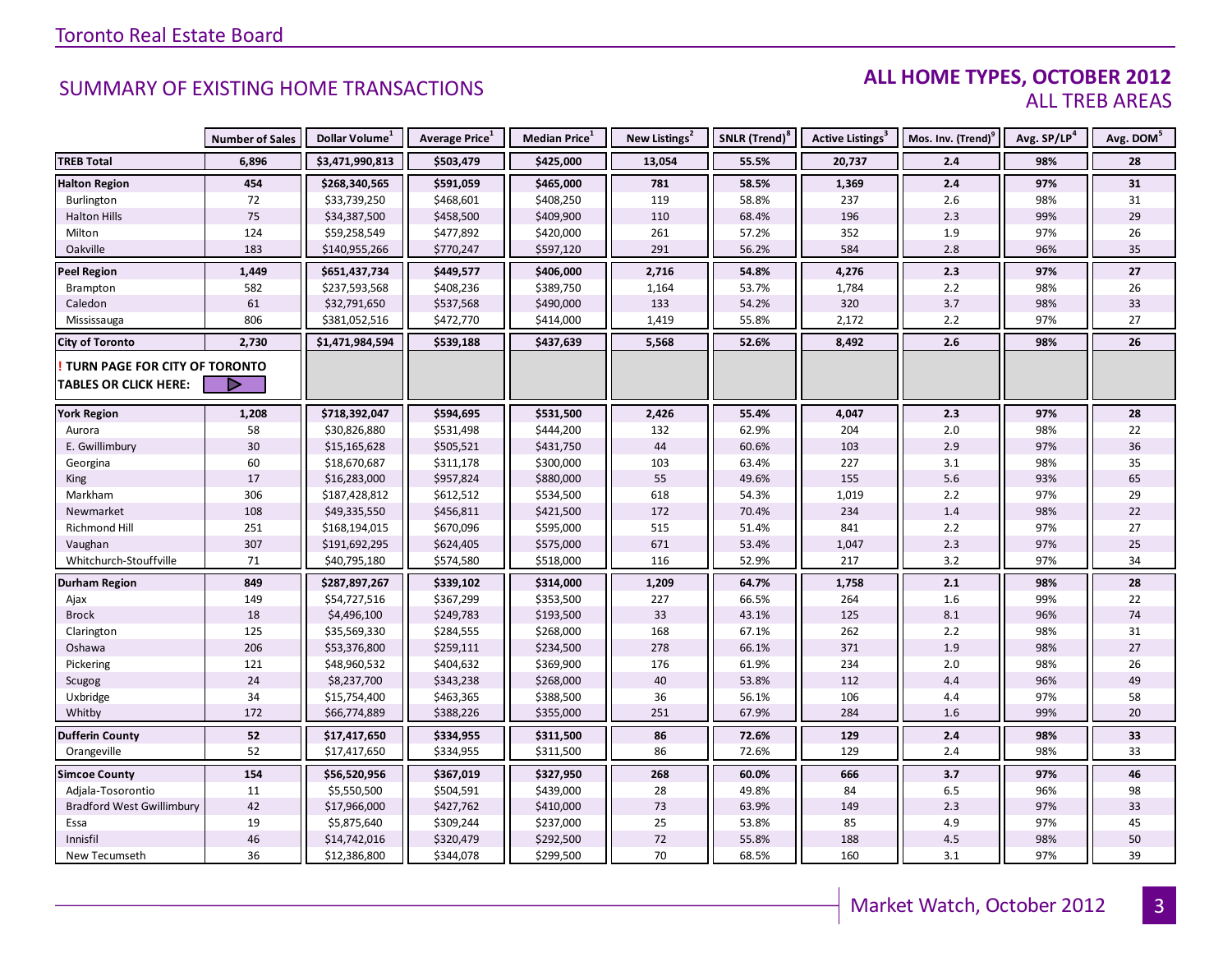### **ALL HOME TYPES, OCTOBER 2012** ALL TREB AREAS

|                                  | <b>Number of Sales</b> | Dollar Volume <sup>1</sup> | Average Price <sup>1</sup> | Median Price <sup>1</sup> | New Listings <sup>2</sup> | SNLR (Trend) <sup>8</sup> | Active Listings <sup>3</sup> | Mos. Inv. (Trend) <sup>9</sup> | Avg. SP/LP <sup>4</sup> | Avg. DOM <sup>5</sup> |
|----------------------------------|------------------------|----------------------------|----------------------------|---------------------------|---------------------------|---------------------------|------------------------------|--------------------------------|-------------------------|-----------------------|
| <b>TREB Total</b>                | 6,896                  | \$3,471,990,813            | \$503,479                  | \$425,000                 | 13,054                    | 55.5%                     | 20,737                       | 2.4                            | 98%                     | 28                    |
| <b>Halton Region</b>             | 454                    | \$268,340,565              | \$591,059                  | \$465,000                 | 781                       | 58.5%                     | 1,369                        | 2.4                            | 97%                     | 31                    |
| Burlington                       | 72                     | \$33,739,250               | \$468,601                  | \$408,250                 | 119                       | 58.8%                     | 237                          | 2.6                            | 98%                     | 31                    |
| <b>Halton Hills</b>              | 75                     | \$34,387,500               | \$458,500                  | \$409,900                 | 110                       | 68.4%                     | 196                          | 2.3                            | 99%                     | 29                    |
| Milton                           | 124                    | \$59,258,549               | \$477,892                  | \$420,000                 | 261                       | 57.2%                     | 352                          | 1.9                            | 97%                     | 26                    |
| Oakville                         | 183                    | \$140,955,266              | \$770,247                  | \$597,120                 | 291                       | 56.2%                     | 584                          | 2.8                            | 96%                     | 35                    |
| <b>Peel Region</b>               | 1,449                  | \$651,437,734              | \$449,577                  | \$406,000                 | 2,716                     | 54.8%                     | 4,276                        | 2.3                            | 97%                     | 27                    |
| Brampton                         | 582                    | \$237,593,568              | \$408,236                  | \$389,750                 | 1,164                     | 53.7%                     | 1,784                        | 2.2                            | 98%                     | 26                    |
| Caledon                          | 61                     | \$32,791,650               | \$537,568                  | \$490,000                 | 133                       | 54.2%                     | 320                          | 3.7                            | 98%                     | 33                    |
| Mississauga                      | 806                    | \$381,052,516              | \$472,770                  | \$414,000                 | 1,419                     | 55.8%                     | 2,172                        | 2.2                            | 97%                     | 27                    |
| <b>City of Toronto</b>           | 2,730                  | \$1,471,984,594            | \$539,188                  | \$437,639                 | 5,568                     | 52.6%                     | 8,492                        | 2.6                            | 98%                     | 26                    |
| TURN PAGE FOR CITY OF TORONTO    |                        |                            |                            |                           |                           |                           |                              |                                |                         |                       |
| <b>TABLES OR CLICK HERE:</b>     |                        |                            |                            |                           |                           |                           |                              |                                |                         |                       |
|                                  |                        |                            |                            |                           |                           |                           |                              |                                |                         |                       |
| <b>York Region</b>               | 1,208                  | \$718,392,047              | \$594,695                  | \$531,500                 | 2,426                     | 55.4%                     | 4,047                        | 2.3                            | 97%                     | 28                    |
| Aurora                           | 58                     | \$30,826,880               | \$531,498                  | \$444,200                 | 132                       | 62.9%                     | 204                          | 2.0                            | 98%                     | 22                    |
| E. Gwillimbury                   | 30                     | \$15,165,628               | \$505,521                  | \$431,750                 | 44                        | 60.6%                     | 103                          | 2.9                            | 97%                     | 36                    |
| Georgina                         | 60                     | \$18,670,687               | \$311,178                  | \$300,000                 | 103                       | 63.4%                     | 227                          | 3.1                            | 98%                     | 35                    |
| King                             | 17                     | \$16,283,000               | \$957,824                  | \$880,000                 | 55                        | 49.6%                     | 155                          | 5.6                            | 93%                     | 65                    |
| Markham                          | 306                    | \$187,428,812              | \$612,512                  | \$534,500                 | 618                       | 54.3%                     | 1,019                        | 2.2                            | 97%                     | 29                    |
| Newmarket                        | 108                    | \$49,335,550               | \$456,811                  | \$421,500                 | 172                       | 70.4%                     | 234                          | 1.4                            | 98%                     | 22                    |
| Richmond Hill                    | 251                    | \$168,194,015              | \$670,096                  | \$595,000                 | 515                       | 51.4%                     | 841                          | 2.2                            | 97%                     | 27                    |
| Vaughan                          | 307                    | \$191,692,295              | \$624,405                  | \$575,000                 | 671                       | 53.4%                     | 1,047                        | 2.3                            | 97%                     | 25                    |
| Whitchurch-Stouffville           | 71                     | \$40,795,180               | \$574,580                  | \$518,000                 | 116                       | 52.9%                     | 217                          | 3.2                            | 97%                     | 34                    |
| <b>Durham Region</b>             | 849                    | \$287,897,267              | \$339,102                  | \$314,000                 | 1,209                     | 64.7%                     | 1,758                        | 2.1                            | 98%                     | 28                    |
| Ajax                             | 149                    | \$54,727,516               | \$367,299                  | \$353,500                 | 227                       | 66.5%                     | 264                          | 1.6                            | 99%                     | 22                    |
| <b>Brock</b>                     | 18                     | \$4,496,100                | \$249,783                  | \$193,500                 | 33                        | 43.1%                     | 125                          | 8.1                            | 96%                     | 74                    |
| Clarington                       | 125                    | \$35,569,330               | \$284,555                  | \$268,000                 | 168                       | 67.1%                     | 262                          | 2.2                            | 98%                     | 31                    |
| Oshawa                           | 206                    | \$53,376,800               | \$259,111                  | \$234,500                 | 278                       | 66.1%                     | 371                          | 1.9                            | 98%                     | 27                    |
| Pickering                        | 121                    | \$48,960,532               | \$404,632                  | \$369,900                 | 176                       | 61.9%                     | 234                          | 2.0                            | 98%                     | 26                    |
| Scugog                           | 24                     | \$8,237,700                | \$343,238                  | \$268,000                 | 40                        | 53.8%                     | 112                          | 4.4                            | 96%                     | 49                    |
| Uxbridge                         | 34                     | \$15,754,400               | \$463,365                  | \$388,500                 | 36                        | 56.1%                     | 106                          | 4.4                            | 97%                     | 58                    |
| Whitby                           | 172                    | \$66,774,889               | \$388,226                  | \$355,000                 | 251                       | 67.9%                     | 284                          | 1.6                            | 99%                     | 20                    |
| <b>Dufferin County</b>           | 52                     | \$17,417,650               | \$334,955                  | \$311,500                 | 86                        | 72.6%                     | 129                          | 2.4                            | 98%                     | 33                    |
| Orangeville                      | 52                     | \$17,417,650               | \$334,955                  | \$311,500                 | 86                        | 72.6%                     | 129                          | 2.4                            | 98%                     | 33                    |
| <b>Simcoe County</b>             | 154                    | \$56,520,956               | \$367,019                  | \$327,950                 | 268                       | 60.0%                     | 666                          | 3.7                            | 97%                     | 46                    |
| Adjala-Tosorontio                | 11                     | \$5,550,500                | \$504,591                  | \$439,000                 | 28                        | 49.8%                     | 84                           | 6.5                            | 96%                     | 98                    |
| <b>Bradford West Gwillimbury</b> | 42                     | \$17,966,000               | \$427,762                  | \$410,000                 | 73                        | 63.9%                     | 149                          | 2.3                            | 97%                     | 33                    |
| Essa                             | 19                     | \$5,875,640                | \$309,244                  | \$237,000                 | 25                        | 53.8%                     | 85                           | 4.9                            | 97%                     | 45                    |
| Innisfil                         | 46                     | \$14,742,016               | \$320,479                  | \$292,500                 | 72                        | 55.8%                     | 188                          | 4.5                            | 98%                     | 50                    |
| New Tecumseth                    | 36                     | \$12,386,800               | \$344,078                  | \$299,500                 | 70                        | 68.5%                     | 160                          | 3.1                            | 97%                     | 39                    |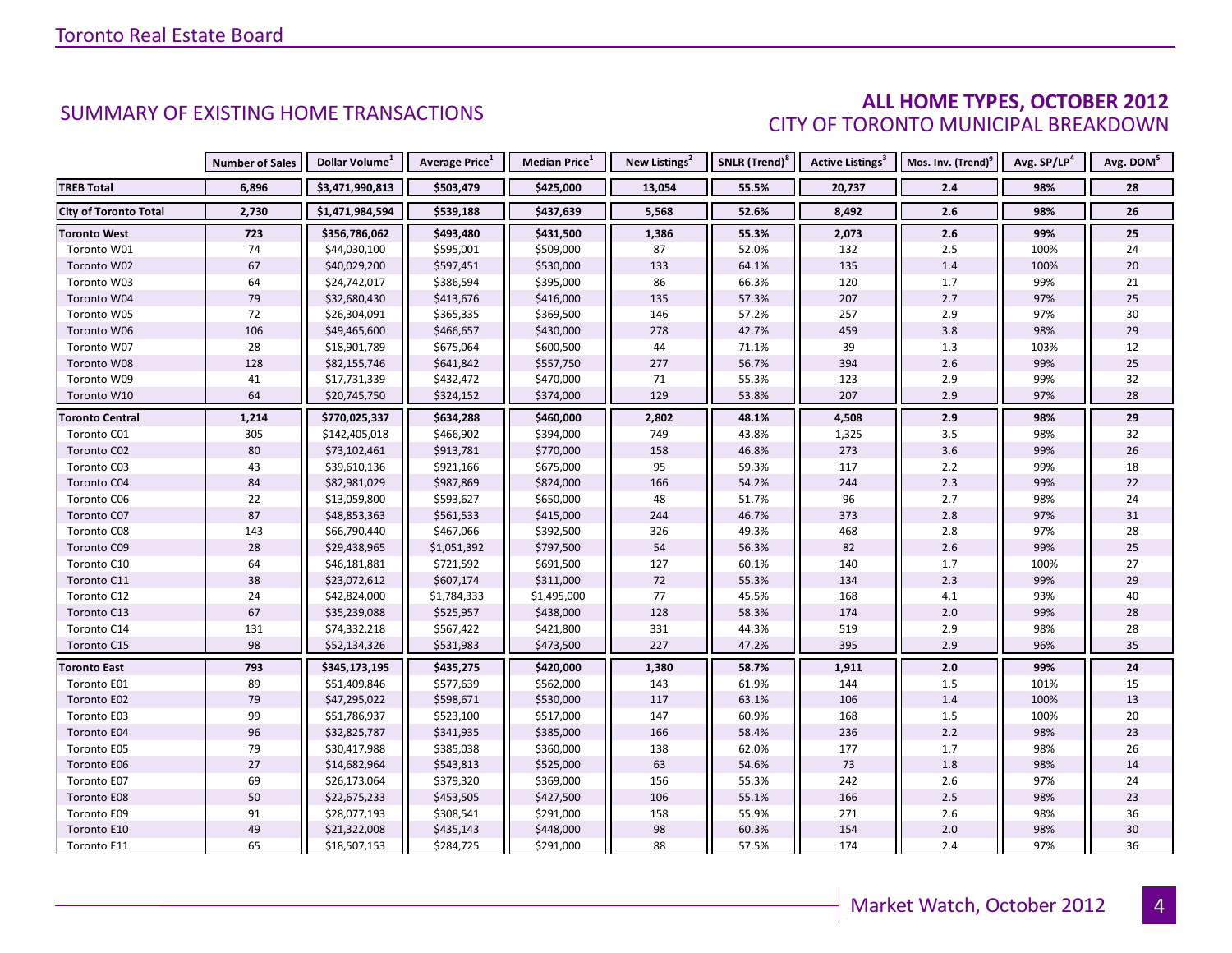### **ALL HOME TYPES, OCTOBER 2012** CITY OF TORONTO MUNICIPAL BREAKDOWN

|                              | <b>Number of Sales</b> | Dollar Volume <sup>1</sup> | Average Price <sup>1</sup> | <b>Median Price</b> <sup>1</sup> | New Listings <sup>2</sup> | SNLR (Trend) <sup>8</sup> | Active Listings <sup>3</sup> | Mos. Inv. (Trend) <sup>9</sup> | Avg. SP/LP <sup>4</sup> | Avg. DOM <sup>5</sup> |
|------------------------------|------------------------|----------------------------|----------------------------|----------------------------------|---------------------------|---------------------------|------------------------------|--------------------------------|-------------------------|-----------------------|
| <b>TREB Total</b>            | 6,896                  | \$3,471,990,813            | \$503,479                  | \$425,000                        | 13,054                    | 55.5%                     | 20,737                       | 2.4                            | 98%                     | 28                    |
| <b>City of Toronto Total</b> | 2,730                  | \$1,471,984,594            | \$539,188                  | \$437,639                        | 5,568                     | 52.6%                     | 8,492                        | 2.6                            | 98%                     | 26                    |
| <b>Toronto West</b>          | 723                    | \$356,786,062              | \$493,480                  | \$431,500                        | 1,386                     | 55.3%                     | 2,073                        | $2.6\,$                        | 99%                     | 25                    |
| Toronto W01                  | 74                     | \$44,030,100               | \$595,001                  | \$509,000                        | 87                        | 52.0%                     | 132                          | $2.5\,$                        | 100%                    | 24                    |
| Toronto W02                  | 67                     | \$40,029,200               | \$597,451                  | \$530,000                        | 133                       | 64.1%                     | 135                          | 1.4                            | 100%                    | $20\,$                |
| Toronto W03                  | 64                     | \$24,742,017               | \$386,594                  | \$395,000                        | 86                        | 66.3%                     | 120                          | 1.7                            | 99%                     | 21                    |
| Toronto W04                  | 79                     | \$32,680,430               | \$413,676                  | \$416,000                        | 135                       | 57.3%                     | 207                          | 2.7                            | 97%                     | 25                    |
| Toronto W05                  | 72                     | \$26,304,091               | \$365,335                  | \$369,500                        | 146                       | 57.2%                     | 257                          | 2.9                            | 97%                     | 30                    |
| Toronto W06                  | 106                    | \$49,465,600               | \$466,657                  | \$430,000                        | 278                       | 42.7%                     | 459                          | 3.8                            | 98%                     | 29                    |
| Toronto W07                  | 28                     | \$18,901,789               | \$675,064                  | \$600,500                        | 44                        | 71.1%                     | 39                           | 1.3                            | 103%                    | 12                    |
| Toronto W08                  | 128                    | \$82,155,746               | \$641,842                  | \$557,750                        | 277                       | 56.7%                     | 394                          | 2.6                            | 99%                     | 25                    |
| Toronto W09                  | 41                     | \$17,731,339               | \$432,472                  | \$470,000                        | 71                        | 55.3%                     | 123                          | 2.9                            | 99%                     | 32                    |
| Toronto W10                  | 64                     | \$20,745,750               | \$324,152                  | \$374,000                        | 129                       | 53.8%                     | 207                          | 2.9                            | 97%                     | 28                    |
| <b>Toronto Central</b>       | 1,214                  | \$770,025,337              | \$634,288                  | \$460,000                        | 2,802                     | 48.1%                     | 4,508                        | 2.9                            | 98%                     | 29                    |
| Toronto C01                  | 305                    | \$142,405,018              | \$466,902                  | \$394,000                        | 749                       | 43.8%                     | 1,325                        | 3.5                            | 98%                     | 32                    |
| Toronto C02                  | 80                     | \$73,102,461               | \$913,781                  | \$770,000                        | 158                       | 46.8%                     | 273                          | 3.6                            | 99%                     | 26                    |
| Toronto C03                  | 43                     | \$39,610,136               | \$921,166                  | \$675,000                        | 95                        | 59.3%                     | 117                          | $2.2\,$                        | 99%                     | 18                    |
| Toronto C04                  | 84                     | \$82,981,029               | \$987,869                  | \$824,000                        | 166                       | 54.2%                     | 244                          | 2.3                            | 99%                     | 22                    |
| Toronto C06                  | 22                     | \$13,059,800               | \$593,627                  | \$650,000                        | 48                        | 51.7%                     | 96                           | 2.7                            | 98%                     | 24                    |
| Toronto C07                  | 87                     | \$48,853,363               | \$561,533                  | \$415,000                        | 244                       | 46.7%                     | 373                          | 2.8                            | 97%                     | 31                    |
| Toronto C08                  | 143                    | \$66,790,440               | \$467,066                  | \$392,500                        | 326                       | 49.3%                     | 468                          | $2.8$                          | 97%                     | 28                    |
| Toronto C09                  | 28                     | \$29,438,965               | \$1,051,392                | \$797,500                        | 54                        | 56.3%                     | 82                           | 2.6                            | 99%                     | $25\,$                |
| Toronto C10                  | 64                     | \$46,181,881               | \$721,592                  | \$691,500                        | 127                       | 60.1%                     | 140                          | 1.7                            | 100%                    | 27                    |
| Toronto C11                  | 38                     | \$23,072,612               | \$607,174                  | \$311,000                        | 72                        | 55.3%                     | 134                          | 2.3                            | 99%                     | 29                    |
| Toronto C12                  | 24                     | \$42,824,000               | \$1,784,333                | \$1,495,000                      | 77                        | 45.5%                     | 168                          | 4.1                            | 93%                     | 40                    |
| Toronto C13                  | 67                     | \$35,239,088               | \$525,957                  | \$438,000                        | 128                       | 58.3%                     | 174                          | 2.0                            | 99%                     | 28                    |
| Toronto C14                  | 131                    | \$74,332,218               | \$567,422                  | \$421,800                        | 331                       | 44.3%                     | 519                          | 2.9                            | 98%                     | 28                    |
| Toronto C15                  | 98                     | \$52,134,326               | \$531,983                  | \$473,500                        | 227                       | 47.2%                     | 395                          | 2.9                            | 96%                     | 35                    |
| Toronto East                 | 793                    | \$345,173,195              | \$435,275                  | \$420,000                        | 1,380                     | 58.7%                     | 1,911                        | 2.0                            | 99%                     | 24                    |
| Toronto E01                  | 89                     | \$51,409,846               | \$577,639                  | \$562,000                        | 143                       | 61.9%                     | 144                          | 1.5                            | 101%                    | 15                    |
| Toronto E02                  | 79                     | \$47,295,022               | \$598,671                  | \$530,000                        | 117                       | 63.1%                     | 106                          | 1.4                            | 100%                    | 13                    |
| Toronto E03                  | 99                     | \$51,786,937               | \$523,100                  | \$517,000                        | 147                       | 60.9%                     | 168                          | 1.5                            | 100%                    | 20                    |
| Toronto E04                  | 96                     | \$32,825,787               | \$341,935                  | \$385,000                        | 166                       | 58.4%                     | 236                          | 2.2                            | 98%                     | 23                    |
| Toronto E05                  | 79                     | \$30,417,988               | \$385,038                  | \$360,000                        | 138                       | 62.0%                     | 177                          | $1.7$                          | 98%                     | 26                    |
| <b>Toronto E06</b>           | 27                     | \$14,682,964               | \$543,813                  | \$525,000                        | 63                        | 54.6%                     | 73                           | 1.8                            | 98%                     | 14                    |
| Toronto E07                  | 69                     | \$26,173,064               | \$379,320                  | \$369,000                        | 156                       | 55.3%                     | 242                          | 2.6                            | 97%                     | 24                    |
| Toronto E08                  | 50                     | \$22,675,233               | \$453,505                  | \$427,500                        | 106                       | 55.1%                     | 166                          | $2.5$                          | 98%                     | 23                    |
| Toronto E09                  | 91                     | \$28,077,193               | \$308,541                  | \$291,000                        | 158                       | 55.9%                     | 271                          | 2.6                            | 98%                     | 36                    |
| Toronto E10                  | 49                     | \$21,322,008               | \$435,143                  | \$448,000                        | 98                        | 60.3%                     | 154                          | $2.0$                          | 98%                     | 30                    |
| Toronto E11                  | 65                     | \$18,507,153               | \$284,725                  | \$291,000                        | 88                        | 57.5%                     | 174                          | 2.4                            | 97%                     | 36                    |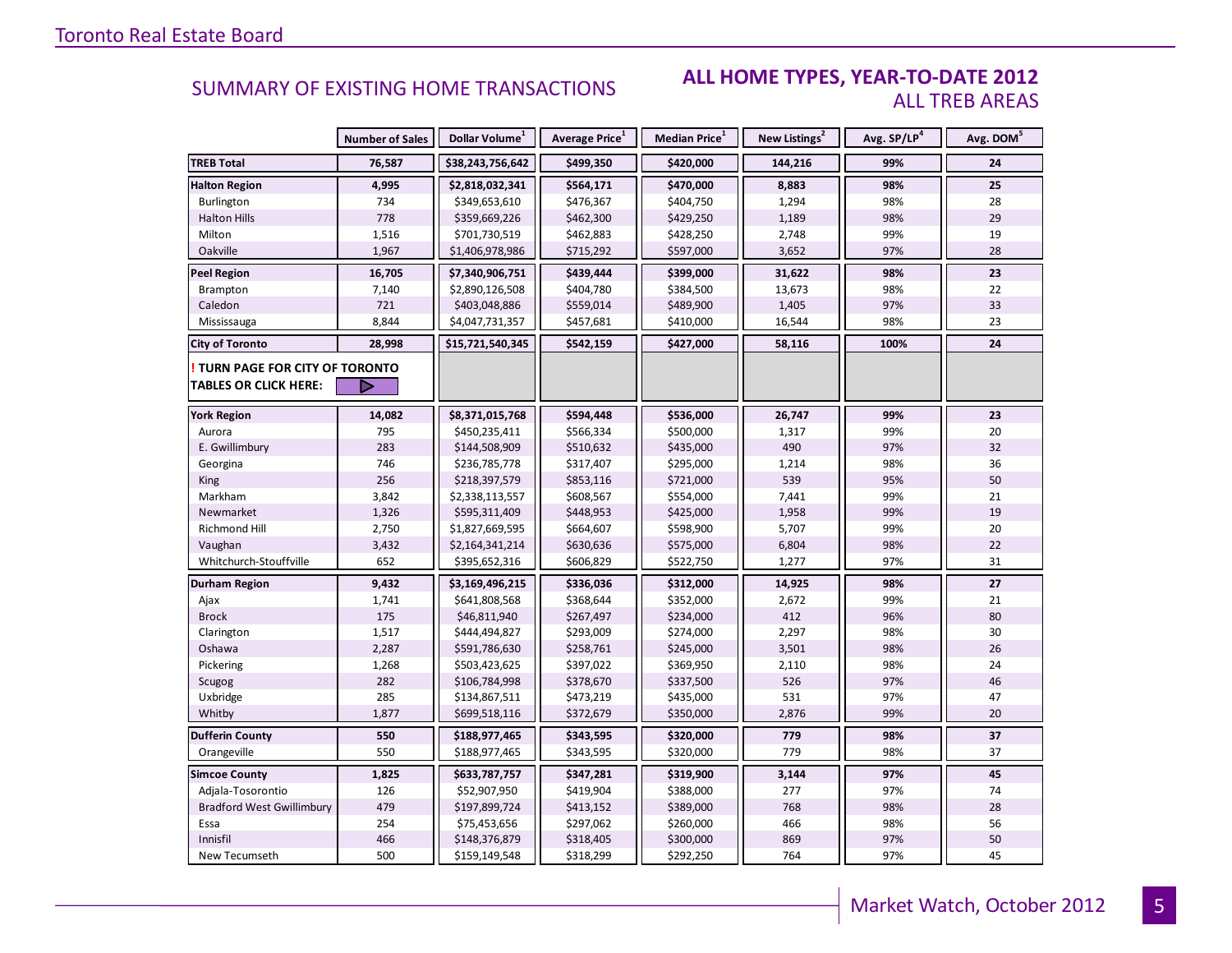#### **ALL HOME TYPES, YEAR-TO-DATE 2012** ALL TREB AREAS

|                                        | <b>Number of Sales</b> | Dollar Volume <sup>1</sup> | <b>Average Price</b> <sup>1</sup> | Median Price <sup>1</sup> | New Listings <sup>2</sup> | Avg. SP/LP <sup>4</sup> | Avg. DOM <sup>5</sup> |
|----------------------------------------|------------------------|----------------------------|-----------------------------------|---------------------------|---------------------------|-------------------------|-----------------------|
| <b>TREB Total</b>                      | 76,587                 | \$38,243,756,642           | \$499,350                         | \$420,000                 | 144,216                   | 99%                     | 24                    |
| <b>Halton Region</b>                   | 4,995                  | \$2,818,032,341            | \$564,171                         | \$470,000                 | 8,883                     | 98%                     | 25                    |
| Burlington                             | 734                    | \$349,653,610              | \$476,367                         | \$404,750                 | 1,294                     | 98%                     | 28                    |
| <b>Halton Hills</b>                    | 778                    | \$359,669,226              | \$462,300                         | \$429,250                 | 1,189                     | 98%                     | 29                    |
| Milton                                 | 1,516                  | \$701,730,519              | \$462,883                         | \$428,250                 | 2,748                     | 99%                     | 19                    |
| Oakville                               | 1,967                  | \$1,406,978,986            | \$715,292                         | \$597,000                 | 3,652                     | 97%                     | 28                    |
| <b>Peel Region</b>                     | 16,705                 | \$7,340,906,751            | \$439,444                         | \$399,000                 | 31,622                    | 98%                     | 23                    |
| Brampton                               | 7,140                  | \$2,890,126,508            | \$404,780                         | \$384,500                 | 13,673                    | 98%                     | 22                    |
| Caledon                                | 721                    | \$403,048,886              | \$559,014                         | \$489,900                 | 1,405                     | 97%                     | 33                    |
| Mississauga                            | 8,844                  | \$4,047,731,357            | \$457,681                         | \$410,000                 | 16,544                    | 98%                     | 23                    |
| <b>City of Toronto</b>                 | 28,998                 | \$15,721,540,345           | \$542,159                         | \$427,000                 | 58,116                    | 100%                    | 24                    |
| <b>! TURN PAGE FOR CITY OF TORONTO</b> |                        |                            |                                   |                           |                           |                         |                       |
| <b>TABLES OR CLICK HERE:</b>           |                        |                            |                                   |                           |                           |                         |                       |
| <b>York Region</b>                     | 14,082                 | \$8,371,015,768            | \$594,448                         | \$536,000                 | 26,747                    | 99%                     | 23                    |
| Aurora                                 | 795                    | \$450,235,411              | \$566,334                         | \$500,000                 | 1,317                     | 99%                     | 20                    |
| E. Gwillimbury                         | 283                    | \$144,508,909              | \$510,632                         | \$435,000                 | 490                       | 97%                     | 32                    |
| Georgina                               | 746                    | \$236,785,778              | \$317,407                         | \$295,000                 | 1,214                     | 98%                     | 36                    |
| <b>King</b>                            | 256                    | \$218,397,579              | \$853,116                         | \$721,000                 | 539                       | 95%                     | 50                    |
| Markham                                | 3,842                  | \$2,338,113,557            | \$608,567                         | \$554,000                 | 7,441                     | 99%                     | 21                    |
| Newmarket                              | 1,326                  | \$595,311,409              | \$448,953                         | \$425,000                 | 1,958                     | 99%                     | 19                    |
| Richmond Hill                          | 2,750                  | \$1,827,669,595            | \$664,607                         | \$598,900                 | 5,707                     | 99%                     | 20                    |
| Vaughan                                | 3,432                  | \$2,164,341,214            | \$630,636                         | \$575,000                 | 6,804                     | 98%                     | 22                    |
| Whitchurch-Stouffville                 | 652                    | \$395,652,316              | \$606,829                         | \$522,750                 | 1,277                     | 97%                     | 31                    |
| Durham Region                          | 9,432                  | \$3,169,496,215            | \$336,036                         | \$312,000                 | 14,925                    | 98%                     | 27                    |
| Ajax                                   | 1,741                  | \$641,808,568              | \$368,644                         | \$352,000                 | 2,672                     | 99%                     | 21                    |
| <b>Brock</b>                           | 175                    | \$46,811,940               | \$267,497                         | \$234,000                 | 412                       | 96%                     | 80                    |
| Clarington                             | 1,517                  | \$444,494,827              | \$293,009                         | \$274,000                 | 2,297                     | 98%                     | 30                    |
| Oshawa                                 | 2,287                  | \$591,786,630              | \$258,761                         | \$245,000                 | 3,501                     | 98%                     | 26                    |
| Pickering                              | 1,268                  | \$503,423,625              | \$397,022                         | \$369,950                 | 2,110                     | 98%                     | 24                    |
| Scugog                                 | 282                    | \$106,784,998              | \$378,670                         | \$337,500                 | 526                       | 97%                     | 46                    |
| Uxbridge                               | 285                    | \$134,867,511              | \$473,219                         | \$435,000                 | 531                       | 97%                     | 47                    |
| Whitby                                 | 1,877                  | \$699,518,116              | \$372,679                         | \$350,000                 | 2,876                     | 99%                     | 20                    |
| <b>Dufferin County</b>                 | 550                    | \$188,977,465              | \$343,595                         | \$320,000                 | 779                       | 98%                     | 37                    |
| Orangeville                            | 550                    | \$188,977,465              | \$343,595                         | \$320,000                 | 779                       | 98%                     | 37                    |
| <b>Simcoe County</b>                   | 1,825                  | \$633,787,757              | \$347,281                         | \$319,900                 | 3,144                     | 97%                     | 45                    |
| Adjala-Tosorontio                      | 126                    | \$52,907,950               | \$419,904                         | \$388,000                 | 277                       | 97%                     | 74                    |
| <b>Bradford West Gwillimbury</b>       | 479                    | \$197,899,724              | \$413,152                         | \$389,000                 | 768                       | 98%                     | 28                    |
| Essa                                   | 254                    | \$75,453,656               | \$297,062                         | \$260,000                 | 466                       | 98%                     | 56                    |
| Innisfil                               | 466                    | \$148,376,879              | \$318,405                         | \$300,000                 | 869                       | 97%                     | 50                    |
| New Tecumseth                          | 500                    | \$159,149,548              | \$318,299                         | \$292,250                 | 764                       | 97%                     | 45                    |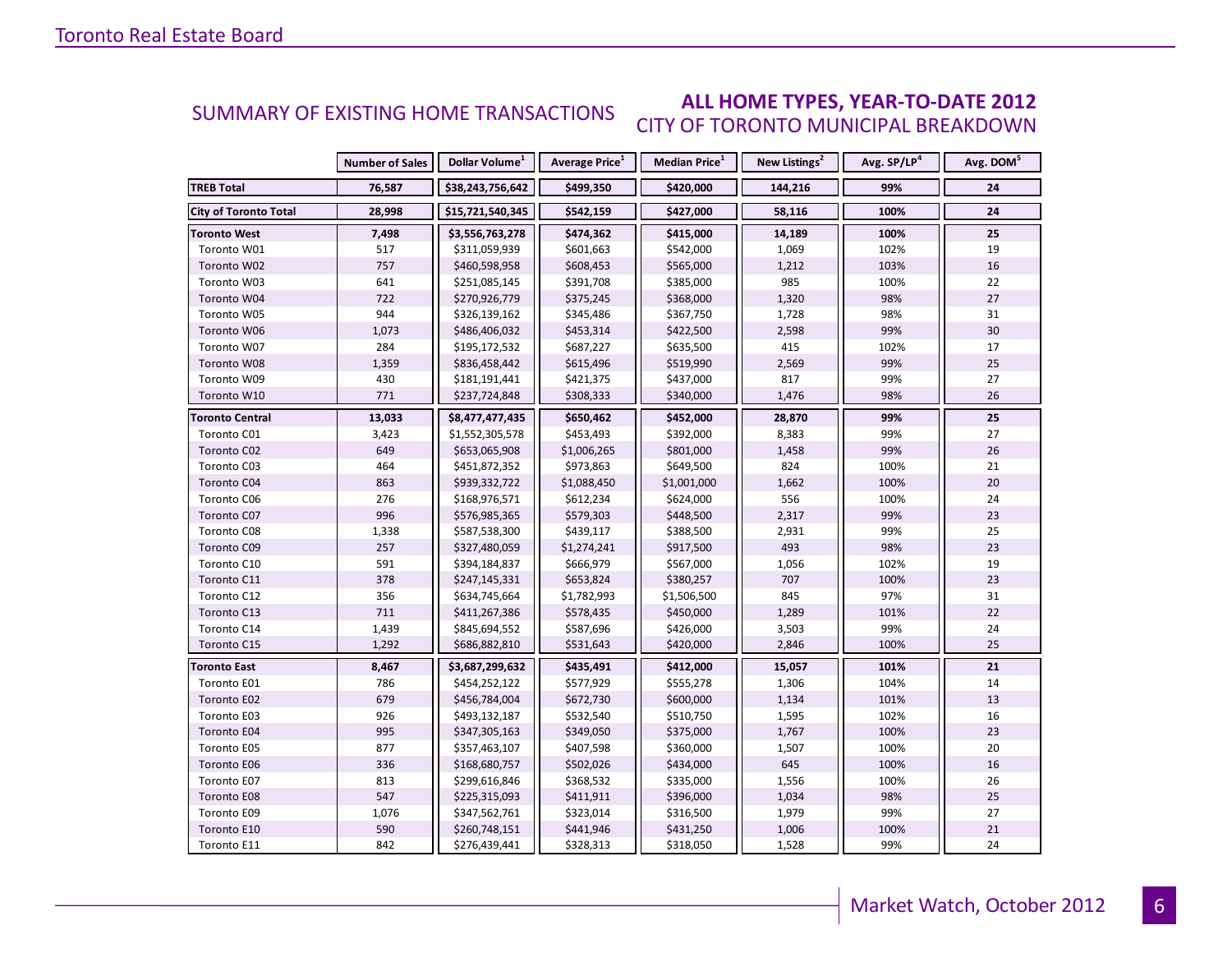#### **ALL HOME TYPES, YEAR-TO-DATE 2012** CITY OF TORONTO MUNICIPAL BREAKDOWN SUMMARY OF EXISTING HOME TRANSACTIONS

|                              | <b>Number of Sales</b> | Dollar Volume <sup>1</sup> | Average Price <sup>1</sup> | Median Price <sup>1</sup> | New Listings <sup>2</sup> | Avg. SP/LP <sup>4</sup> | Avg. DOM <sup>5</sup> |
|------------------------------|------------------------|----------------------------|----------------------------|---------------------------|---------------------------|-------------------------|-----------------------|
| <b>TREB Total</b>            | 76,587                 | \$38,243,756,642           | \$499,350                  | \$420,000                 | 144,216                   | 99%                     | 24                    |
| <b>City of Toronto Total</b> | 28,998                 | \$15,721,540,345           | \$542,159                  | \$427,000                 | 58,116                    | 100%                    | 24                    |
| <b>Toronto West</b>          | 7,498                  | \$3,556,763,278            | \$474,362                  | \$415,000                 | 14,189                    | 100%                    | 25                    |
| Toronto W01                  | 517                    | \$311,059,939              | \$601,663                  | \$542,000                 | 1,069                     | 102%                    | 19                    |
| Toronto W02                  | 757                    | \$460,598,958              | \$608,453                  | \$565,000                 | 1,212                     | 103%                    | 16                    |
| Toronto W03                  | 641                    | \$251,085,145              | \$391,708                  | \$385,000                 | 985                       | 100%                    | 22                    |
| Toronto W04                  | 722                    | \$270,926,779              | \$375,245                  | \$368,000                 | 1,320                     | 98%                     | 27                    |
| Toronto W05                  | 944                    | \$326,139,162              | \$345,486                  | \$367,750                 | 1,728                     | 98%                     | 31                    |
| Toronto W06                  | 1,073                  | \$486,406,032              | \$453,314                  | \$422,500                 | 2,598                     | 99%                     | 30                    |
| Toronto W07                  | 284                    | \$195,172,532              | \$687,227                  | \$635,500                 | 415                       | 102%                    | 17                    |
| Toronto W08                  | 1,359                  | \$836,458,442              | \$615,496                  | \$519,990                 | 2,569                     | 99%                     | 25                    |
| Toronto W09                  | 430                    | \$181,191,441              | \$421,375                  | \$437,000                 | 817                       | 99%                     | 27                    |
| Toronto W10                  | 771                    | \$237,724,848              | \$308,333                  | \$340,000                 | 1,476                     | 98%                     | 26                    |
| <b>Toronto Central</b>       | 13,033                 | \$8,477,477,435            | \$650,462                  | \$452,000                 | 28,870                    | 99%                     | 25                    |
| Toronto C01                  | 3,423                  | \$1,552,305,578            | \$453,493                  | \$392,000                 | 8,383                     | 99%                     | 27                    |
| Toronto C02                  | 649                    | \$653,065,908              | \$1,006,265                | \$801,000                 | 1,458                     | 99%                     | 26                    |
| Toronto C03                  | 464                    | \$451,872,352              | \$973,863                  | \$649,500                 | 824                       | 100%                    | 21                    |
| Toronto C04                  | 863                    | \$939,332,722              | \$1,088,450                | \$1,001,000               | 1,662                     | 100%                    | 20                    |
| Toronto C06                  | 276                    | \$168,976,571              | \$612,234                  | \$624,000                 | 556                       | 100%                    | 24                    |
| Toronto C07                  | 996                    | \$576,985,365              | \$579,303                  | \$448,500                 | 2,317                     | 99%                     | 23                    |
| Toronto C08                  | 1,338                  | \$587,538,300              | \$439,117                  | \$388,500                 | 2,931                     | 99%                     | 25                    |
| Toronto C09                  | 257                    | \$327,480,059              | \$1,274,241                | \$917,500                 | 493                       | 98%                     | 23                    |
| Toronto C10                  | 591                    | \$394,184,837              | \$666,979                  | \$567,000                 | 1,056                     | 102%                    | 19                    |
| Toronto C11                  | 378                    | \$247,145,331              | \$653,824                  | \$380,257                 | 707                       | 100%                    | 23                    |
| Toronto C12                  | 356                    | \$634,745,664              | \$1,782,993                | \$1,506,500               | 845                       | 97%                     | 31                    |
| Toronto C13                  | 711                    | \$411,267,386              | \$578,435                  | \$450,000                 | 1,289                     | 101%                    | 22                    |
| Toronto C14                  | 1,439                  | \$845,694,552              | \$587,696                  | \$426,000                 | 3,503                     | 99%                     | 24                    |
| Toronto C15                  | 1,292                  | \$686,882,810              | \$531,643                  | \$420,000                 | 2,846                     | 100%                    | 25                    |
| <b>Toronto East</b>          | 8,467                  | \$3,687,299,632            | \$435,491                  | \$412,000                 | 15,057                    | 101%                    | 21                    |
| Toronto E01                  | 786                    | \$454,252,122              | \$577,929                  | \$555,278                 | 1,306                     | 104%                    | 14                    |
| Toronto E02                  | 679                    | \$456,784,004              | \$672,730                  | \$600,000                 | 1,134                     | 101%                    | 13                    |
| Toronto E03                  | 926                    | \$493,132,187              | \$532,540                  | \$510,750                 | 1,595                     | 102%                    | 16                    |
| Toronto E04                  | 995                    | \$347,305,163              | \$349,050                  | \$375,000                 | 1,767                     | 100%                    | 23                    |
| Toronto E05                  | 877                    | \$357,463,107              | \$407,598                  | \$360,000                 | 1,507                     | 100%                    | 20                    |
| Toronto E06                  | 336                    | \$168,680,757              | \$502,026                  | \$434,000                 | 645                       | 100%                    | 16                    |
| Toronto E07                  | 813                    | \$299,616,846              | \$368,532                  | \$335,000                 | 1,556                     | 100%                    | 26                    |
| Toronto E08                  | 547                    | \$225,315,093              | \$411,911                  | \$396,000                 | 1,034                     | 98%                     | 25                    |
| Toronto E09                  | 1,076                  | \$347,562,761              | \$323,014                  | \$316,500                 | 1,979                     | 99%                     | 27                    |
| Toronto E10                  | 590                    | \$260,748,151              | \$441,946                  | \$431,250                 | 1,006                     | 100%                    | 21                    |
| Toronto E11                  | 842                    | \$276,439,441              | \$328,313                  | \$318,050                 | 1,528                     | 99%                     | 24                    |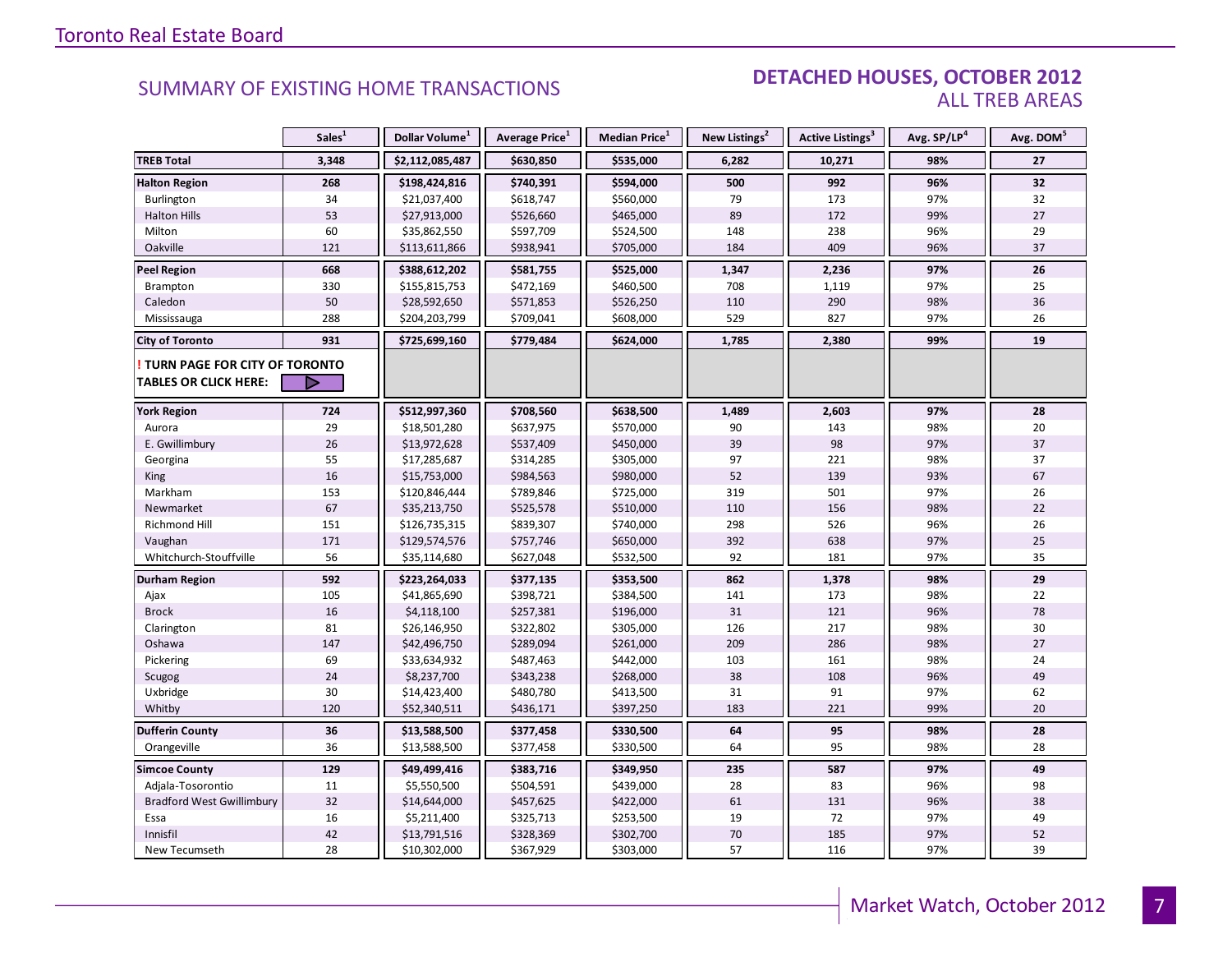#### DETACHED HOUSES, OCTOBER 2012 ALL TREB AREAS

|                                  | Sales <sup>1</sup> | Dollar Volume <sup>1</sup> | Average Price <sup>1</sup> | Median Price <sup>1</sup> | New Listings <sup>2</sup> | Active Listings <sup>3</sup> | Avg. SP/LP <sup>4</sup> | Avg. DOM <sup>5</sup> |
|----------------------------------|--------------------|----------------------------|----------------------------|---------------------------|---------------------------|------------------------------|-------------------------|-----------------------|
| <b>TREB Total</b>                | 3,348              | \$2,112,085,487            | \$630,850                  | \$535,000                 | 6,282                     | 10,271                       | 98%                     | 27                    |
| <b>Halton Region</b>             | 268                | \$198,424,816              | \$740,391                  | \$594,000                 | 500                       | 992                          | 96%                     | 32                    |
| <b>Burlington</b>                | 34                 | \$21,037,400               | \$618,747                  | \$560,000                 | 79                        | 173                          | 97%                     | 32                    |
| <b>Halton Hills</b>              | 53                 | \$27,913,000               | \$526,660                  | \$465,000                 | 89                        | 172                          | 99%                     | 27                    |
| Milton                           | 60                 | \$35,862,550               | \$597,709                  | \$524,500                 | 148                       | 238                          | 96%                     | 29                    |
| Oakville                         | 121                | \$113,611,866              | \$938,941                  | \$705,000                 | 184                       | 409                          | 96%                     | 37                    |
| <b>Peel Region</b>               | 668                | \$388,612,202              | \$581,755                  | \$525,000                 | 1,347                     | 2,236                        | 97%                     | 26                    |
| Brampton                         | 330                | \$155,815,753              | \$472,169                  | \$460,500                 | 708                       | 1,119                        | 97%                     | 25                    |
| Caledon                          | 50                 | \$28,592,650               | \$571,853                  | \$526,250                 | 110                       | 290                          | 98%                     | 36                    |
| Mississauga                      | 288                | \$204,203,799              | \$709,041                  | \$608,000                 | 529                       | 827                          | 97%                     | 26                    |
| <b>City of Toronto</b>           | 931                | \$725,699,160              | \$779,484                  | \$624,000                 | 1,785                     | 2,380                        | 99%                     | 19                    |
| TURN PAGE FOR CITY OF TORONTO    |                    |                            |                            |                           |                           |                              |                         |                       |
| <b>TABLES OR CLICK HERE:</b>     |                    |                            |                            |                           |                           |                              |                         |                       |
| <b>York Region</b>               | 724                | \$512,997,360              | \$708,560                  | \$638,500                 | 1,489                     | 2,603                        | 97%                     | 28                    |
| Aurora                           | 29                 | \$18,501,280               | \$637,975                  | \$570,000                 | 90                        | 143                          | 98%                     | 20                    |
| E. Gwillimbury                   | 26                 | \$13,972,628               | \$537,409                  | \$450,000                 | 39                        | 98                           | 97%                     | 37                    |
| Georgina                         | 55                 | \$17,285,687               | \$314,285                  | \$305,000                 | 97                        | 221                          | 98%                     | 37                    |
| King                             | 16                 | \$15,753,000               | \$984,563                  | \$980,000                 | 52                        | 139                          | 93%                     | 67                    |
| Markham                          | 153                | \$120,846,444              | \$789,846                  | \$725,000                 | 319                       | 501                          | 97%                     | 26                    |
| Newmarket                        | 67                 | \$35,213,750               | \$525,578                  | \$510,000                 | 110                       | 156                          | 98%                     | 22                    |
| Richmond Hill                    | 151                | \$126,735,315              | \$839,307                  | \$740,000                 | 298                       | 526                          | 96%                     | 26                    |
| Vaughan                          | 171                | \$129,574,576              | \$757,746                  | \$650,000                 | 392                       | 638                          | 97%                     | 25                    |
| Whitchurch-Stouffville           | 56                 | \$35,114,680               | \$627,048                  | \$532,500                 | 92                        | 181                          | 97%                     | 35                    |
| <b>Durham Region</b>             | 592                | \$223,264,033              | \$377,135                  | \$353,500                 | 862                       | 1,378                        | 98%                     | 29                    |
| Ajax                             | 105                | \$41,865,690               | \$398,721                  | \$384,500                 | 141                       | 173                          | 98%                     | 22                    |
| <b>Brock</b>                     | 16                 | \$4,118,100                | \$257,381                  | \$196,000                 | 31                        | 121                          | 96%                     | 78                    |
| Clarington                       | 81                 | \$26,146,950               | \$322,802                  | \$305,000                 | 126                       | 217                          | 98%                     | 30                    |
| Oshawa                           | 147                | \$42,496,750               | \$289,094                  | \$261,000                 | 209                       | 286                          | 98%                     | 27                    |
| Pickering                        | 69                 | \$33,634,932               | \$487,463                  | \$442,000                 | 103                       | 161                          | 98%                     | 24                    |
| Scugog                           | 24                 | \$8,237,700                | \$343,238                  | \$268,000                 | 38                        | 108                          | 96%                     | 49                    |
| Uxbridge                         | 30                 | \$14,423,400               | \$480,780                  | \$413,500                 | 31                        | 91                           | 97%                     | 62                    |
| Whitby                           | 120                | \$52,340,511               | \$436,171                  | \$397,250                 | 183                       | 221                          | 99%                     | 20                    |
| <b>Dufferin County</b>           | 36                 | \$13,588,500               | \$377,458                  | \$330,500                 | 64                        | 95                           | 98%                     | 28                    |
| Orangeville                      | 36                 | \$13,588,500               | \$377,458                  | \$330,500                 | 64                        | 95                           | 98%                     | 28                    |
| <b>Simcoe County</b>             | 129                | \$49,499,416               | \$383,716                  | \$349,950                 | 235                       | 587                          | 97%                     | 49                    |
| Adjala-Tosorontio                | 11                 | \$5,550,500                | \$504,591                  | \$439,000                 | 28                        | 83                           | 96%                     | 98                    |
| <b>Bradford West Gwillimbury</b> | 32                 | \$14,644,000               | \$457,625                  | \$422,000                 | 61                        | 131                          | 96%                     | 38                    |
| Essa                             | 16                 | \$5,211,400                | \$325,713                  | \$253,500                 | 19                        | 72                           | 97%                     | 49                    |
| Innisfil                         | 42                 | \$13,791,516               | \$328,369                  | \$302,700                 | 70                        | 185                          | 97%                     | 52                    |
| New Tecumseth                    | 28                 | \$10,302,000               | \$367,929                  | \$303,000                 | 57                        | 116                          | 97%                     | 39                    |

7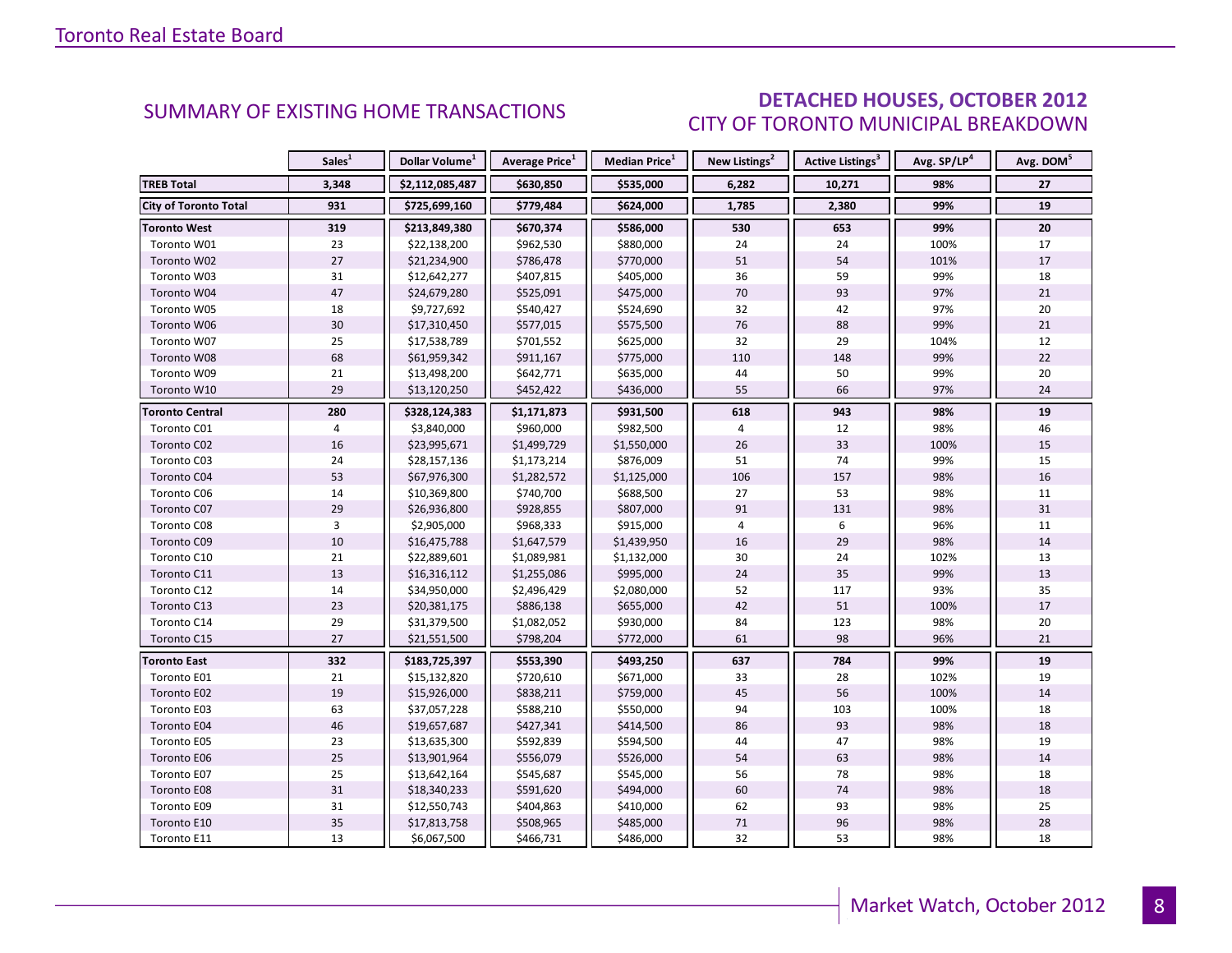### DETACHED HOUSES, OCTOBER 2012 CITY OF TORONTO MUNICIPAL BREAKDOWN

<span id="page-7-0"></span>

|                              | Sales <sup>1</sup> | Dollar Volume <sup>1</sup> | <b>Average Price</b> <sup>1</sup> | <b>Median Price</b> <sup>1</sup> | New Listings <sup>2</sup> | <b>Active Listings<sup>3</sup></b> | Avg. SP/LP <sup>4</sup> | Avg. DOM <sup>5</sup> |
|------------------------------|--------------------|----------------------------|-----------------------------------|----------------------------------|---------------------------|------------------------------------|-------------------------|-----------------------|
| <b>TREB Total</b>            | 3,348              | \$2,112,085,487            | \$630,850                         | \$535,000                        | 6,282                     | 10,271                             | 98%                     | 27                    |
| <b>City of Toronto Total</b> | 931                | \$725,699,160              | \$779,484                         | \$624,000                        | 1,785                     | 2,380                              | 99%                     | 19                    |
| <b>Toronto West</b>          | 319                | \$213,849,380              | \$670,374                         | \$586,000                        | 530                       | 653                                | 99%                     | 20                    |
| Toronto W01                  | 23                 | \$22,138,200               | \$962,530                         | \$880,000                        | 24                        | 24                                 | 100%                    | 17                    |
| Toronto W02                  | 27                 | \$21,234,900               | \$786,478                         | \$770,000                        | 51                        | 54                                 | 101%                    | 17                    |
| Toronto W03                  | 31                 | \$12,642,277               | \$407,815                         | \$405,000                        | 36                        | 59                                 | 99%                     | 18                    |
| Toronto W04                  | 47                 | \$24,679,280               | \$525,091                         | \$475,000                        | 70                        | 93                                 | 97%                     | 21                    |
| Toronto W05                  | 18                 | \$9,727,692                | \$540,427                         | \$524,690                        | 32                        | 42                                 | 97%                     | 20                    |
| Toronto W06                  | 30                 | \$17,310,450               | \$577,015                         | \$575,500                        | 76                        | 88                                 | 99%                     | 21                    |
| Toronto W07                  | 25                 | \$17,538,789               | \$701,552                         | \$625,000                        | 32                        | 29                                 | 104%                    | 12                    |
| Toronto W08                  | 68                 | \$61,959,342               | \$911,167                         | \$775,000                        | 110                       | 148                                | 99%                     | 22                    |
| Toronto W09                  | 21                 | \$13,498,200               | \$642,771                         | \$635,000                        | 44                        | 50                                 | 99%                     | 20                    |
| Toronto W10                  | 29                 | \$13,120,250               | \$452,422                         | \$436,000                        | 55                        | 66                                 | 97%                     | 24                    |
| <b>Toronto Central</b>       | 280                | \$328,124,383              | \$1,171,873                       | \$931,500                        | 618                       | 943                                | 98%                     | 19                    |
| Toronto C01                  | 4                  | \$3,840,000                | \$960,000                         | \$982,500                        | 4                         | 12                                 | 98%                     | 46                    |
| Toronto C02                  | 16                 | \$23,995,671               | \$1,499,729                       | \$1,550,000                      | 26                        | 33                                 | 100%                    | 15                    |
| Toronto C03                  | 24                 | \$28,157,136               | \$1,173,214                       | \$876,009                        | 51                        | 74                                 | 99%                     | 15                    |
| Toronto C04                  | 53                 | \$67,976,300               | \$1,282,572                       | \$1,125,000                      | 106                       | 157                                | 98%                     | 16                    |
| Toronto C06                  | 14                 | \$10,369,800               | \$740,700                         | \$688,500                        | 27                        | 53                                 | 98%                     | 11                    |
| Toronto C07                  | 29                 | \$26,936,800               | \$928,855                         | \$807,000                        | 91                        | 131                                | 98%                     | 31                    |
| Toronto C08                  | 3                  | \$2,905,000                | \$968,333                         | \$915,000                        | 4                         | 6                                  | 96%                     | 11                    |
| Toronto C09                  | 10                 | \$16,475,788               | \$1,647,579                       | \$1,439,950                      | 16                        | 29                                 | 98%                     | 14                    |
| Toronto C10                  | 21                 | \$22,889,601               | \$1,089,981                       | \$1,132,000                      | 30                        | 24                                 | 102%                    | 13                    |
| Toronto C11                  | 13                 | \$16,316,112               | \$1,255,086                       | \$995,000                        | 24                        | 35                                 | 99%                     | 13                    |
| Toronto C12                  | 14                 | \$34,950,000               | \$2,496,429                       | \$2,080,000                      | 52                        | 117                                | 93%                     | 35                    |
| Toronto C13                  | 23                 | \$20,381,175               | \$886,138                         | \$655,000                        | 42                        | 51                                 | 100%                    | 17                    |
| Toronto C14                  | 29                 | \$31,379,500               | \$1,082,052                       | \$930,000                        | 84                        | 123                                | 98%                     | 20                    |
| Toronto C15                  | 27                 | \$21,551,500               | \$798,204                         | \$772,000                        | 61                        | 98                                 | 96%                     | 21                    |
| <b>Toronto East</b>          | 332                | \$183,725,397              | \$553,390                         | \$493,250                        | 637                       | 784                                | 99%                     | 19                    |
| Toronto E01                  | 21                 | \$15,132,820               | \$720,610                         | \$671,000                        | 33                        | 28                                 | 102%                    | 19                    |
| Toronto E02                  | 19                 | \$15,926,000               | \$838,211                         | \$759,000                        | 45                        | 56                                 | 100%                    | 14                    |
| Toronto E03                  | 63                 | \$37,057,228               | \$588,210                         | \$550,000                        | 94                        | 103                                | 100%                    | 18                    |
| Toronto E04                  | 46                 | \$19,657,687               | \$427,341                         | \$414,500                        | 86                        | 93                                 | 98%                     | 18                    |
| Toronto E05                  | 23                 | \$13,635,300               | \$592,839                         | \$594,500                        | 44                        | 47                                 | 98%                     | 19                    |
| Toronto E06                  | 25                 | \$13,901,964               | \$556,079                         | \$526,000                        | 54                        | 63                                 | 98%                     | 14                    |
| Toronto E07                  | 25                 | \$13,642,164               | \$545,687                         | \$545,000                        | 56                        | 78                                 | 98%                     | 18                    |
| Toronto E08                  | 31                 | \$18,340,233               | \$591,620                         | \$494,000                        | 60                        | 74                                 | 98%                     | 18                    |
| Toronto E09                  | 31                 | \$12,550,743               | \$404,863                         | \$410,000                        | 62                        | 93                                 | 98%                     | 25                    |
| Toronto E10                  | 35                 | \$17,813,758               | \$508,965                         | \$485,000                        | $71\,$                    | 96                                 | 98%                     | 28                    |
| Toronto E11                  | 13                 | \$6,067,500                | \$466,731                         | \$486,000                        | 32                        | 53                                 | 98%                     | 18                    |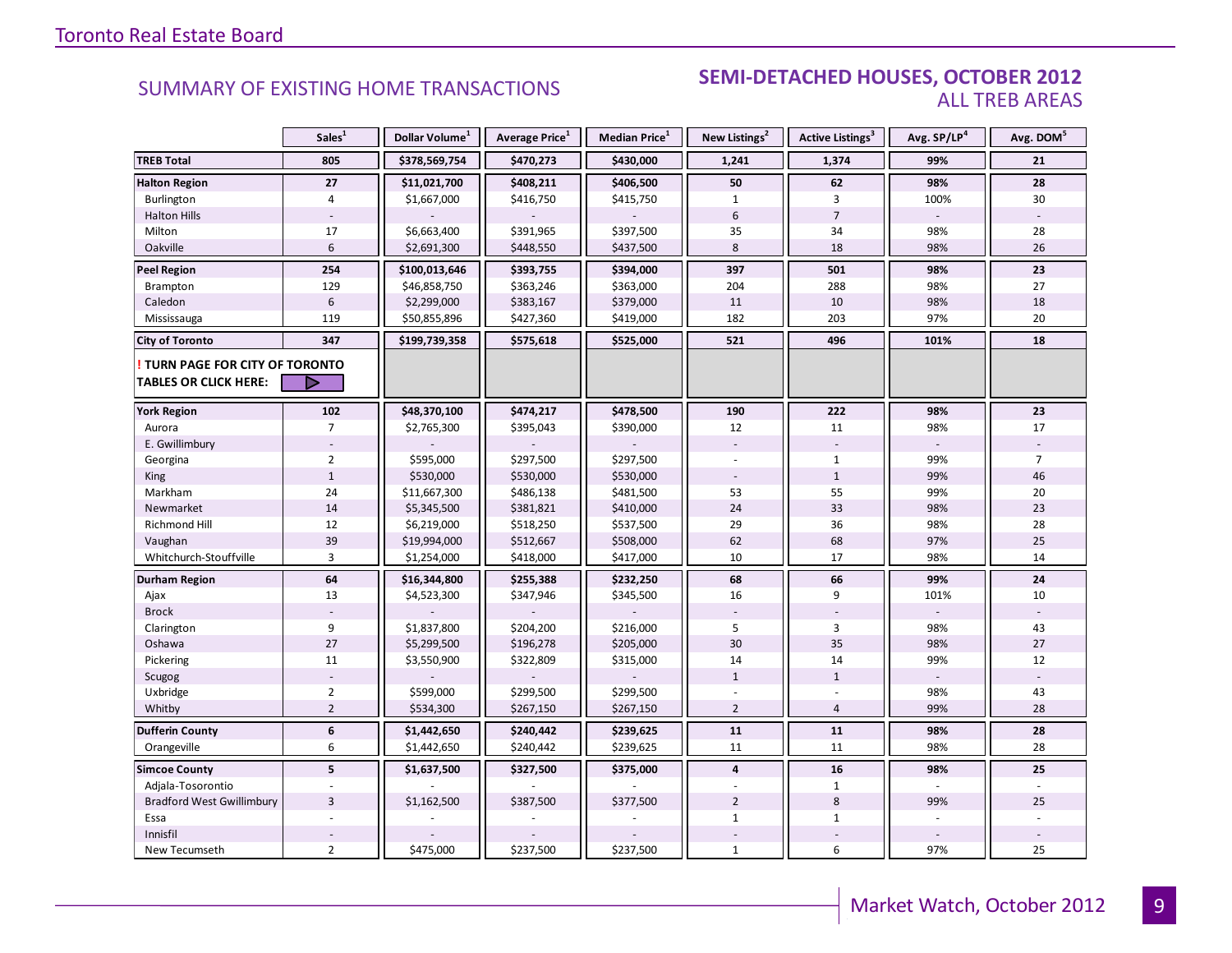#### **Industrial Leasing SUMMARY OF EXISTING HOME TRANSACTIONS SEMI-DETACHED HOUSES, OCTOBER 2012** ALL TREB AREAS

|                                  | Sales <sup>1</sup> | Dollar Volume <sup>1</sup> | Average Price <sup>1</sup> | Median Price <sup>1</sup> | New Listings <sup>2</sup> | Active Listings <sup>3</sup> | Avg. SP/LP <sup>4</sup> | Avg. DOM <sup>5</sup> |
|----------------------------------|--------------------|----------------------------|----------------------------|---------------------------|---------------------------|------------------------------|-------------------------|-----------------------|
| <b>TREB Total</b>                | 805                | \$378,569,754              | \$470,273                  | \$430,000                 | 1,241                     | 1,374                        | 99%                     | 21                    |
| <b>Halton Region</b>             | 27                 | \$11,021,700               | \$408,211                  | \$406,500                 | 50                        | 62                           | 98%                     | 28                    |
| Burlington                       | $\overline{4}$     | \$1,667,000                | \$416,750                  | \$415,750                 | $\mathbf{1}$              | $\overline{3}$               | 100%                    | 30                    |
| <b>Halton Hills</b>              |                    |                            |                            |                           | 6                         | $\overline{7}$               |                         |                       |
| Milton                           | 17                 | \$6,663,400                | \$391,965                  | \$397,500                 | 35                        | 34                           | 98%                     | 28                    |
| Oakville                         | 6                  | \$2,691,300                | \$448,550                  | \$437,500                 | 8                         | 18                           | 98%                     | 26                    |
| <b>Peel Region</b>               | 254                | \$100,013,646              | \$393,755                  | \$394,000                 | 397                       | 501                          | 98%                     | 23                    |
| <b>Brampton</b>                  | 129                | \$46,858,750               | \$363,246                  | \$363,000                 | 204                       | 288                          | 98%                     | 27                    |
| Caledon                          | $6\,$              | \$2,299,000                | \$383,167                  | \$379,000                 | 11                        | 10                           | 98%                     | 18                    |
| Mississauga                      | 119                | \$50,855,896               | \$427,360                  | \$419,000                 | 182                       | 203                          | 97%                     | 20                    |
| <b>City of Toronto</b>           | 347                | \$199,739,358              | \$575,618                  | \$525,000                 | 521                       | 496                          | 101%                    | 18                    |
| TURN PAGE FOR CITY OF TORONTO    |                    |                            |                            |                           |                           |                              |                         |                       |
| <b>TABLES OR CLICK HERE:</b>     | D                  |                            |                            |                           |                           |                              |                         |                       |
| <b>York Region</b>               | 102                | \$48,370,100               | \$474,217                  | \$478,500                 | 190                       | 222                          | 98%                     | 23                    |
| Aurora                           | $7\overline{ }$    | \$2,765,300                | \$395,043                  | \$390,000                 | 12                        | 11                           | 98%                     | 17                    |
| E. Gwillimbury                   |                    |                            |                            |                           |                           |                              |                         |                       |
| Georgina                         | $\overline{2}$     | \$595,000                  | \$297,500                  | \$297,500                 |                           | $\mathbf{1}$                 | 99%                     | $\overline{7}$        |
| <b>King</b>                      | $\mathbf{1}$       | \$530,000                  | \$530,000                  | \$530,000                 |                           | $\mathbf{1}$                 | 99%                     | 46                    |
| Markham                          | 24                 | \$11,667,300               | \$486,138                  | \$481,500                 | 53                        | 55                           | 99%                     | 20                    |
| Newmarket                        | 14                 | \$5,345,500                | \$381,821                  | \$410,000                 | 24                        | 33                           | 98%                     | 23                    |
| <b>Richmond Hill</b>             | 12                 | \$6,219,000                | \$518,250                  | \$537,500                 | 29                        | 36                           | 98%                     | 28                    |
| Vaughan                          | 39                 | \$19,994,000               | \$512,667                  | \$508,000                 | 62                        | 68                           | 97%                     | 25                    |
| Whitchurch-Stouffville           | $\overline{3}$     | \$1,254,000                | \$418,000                  | \$417,000                 | 10                        | 17                           | 98%                     | 14                    |
| <b>Durham Region</b>             | 64                 | \$16,344,800               | \$255,388                  | \$232,250                 | 68                        | 66                           | 99%                     | 24                    |
| Ajax                             | 13                 | \$4,523,300                | \$347,946                  | \$345,500                 | 16                        | 9                            | 101%                    | 10                    |
| <b>Brock</b>                     |                    |                            |                            |                           |                           |                              |                         |                       |
| Clarington                       | 9                  | \$1,837,800                | \$204,200                  | \$216,000                 | 5                         | $\overline{3}$               | 98%                     | 43                    |
| Oshawa                           | 27                 | \$5,299,500                | \$196,278                  | \$205,000                 | 30                        | 35                           | 98%                     | 27                    |
| Pickering                        | 11                 | \$3,550,900                | \$322,809                  | \$315,000                 | 14                        | 14                           | 99%                     | 12                    |
| Scugog                           |                    |                            |                            |                           | $\mathbf{1}$              | $\mathbf{1}$                 |                         |                       |
| Uxbridge                         | $\overline{2}$     | \$599,000                  | \$299,500                  | \$299,500                 |                           |                              | 98%                     | 43                    |
| Whitby                           | $\overline{2}$     | \$534,300                  | \$267,150                  | \$267,150                 | $\overline{2}$            | $\overline{4}$               | 99%                     | 28                    |
| <b>Dufferin County</b>           | $\boldsymbol{6}$   | \$1,442,650                | \$240,442                  | \$239,625                 | 11                        | 11                           | 98%                     | 28                    |
| Orangeville                      | 6                  | \$1,442,650                | \$240,442                  | \$239,625                 | 11                        | 11                           | 98%                     | 28                    |
| <b>Simcoe County</b>             | 5 <sup>1</sup>     | \$1,637,500                | \$327,500                  | \$375,000                 | $\overline{4}$            | 16                           | 98%                     | 25                    |
| Adjala-Tosorontio                |                    |                            |                            |                           |                           | 1                            |                         |                       |
| <b>Bradford West Gwillimbury</b> | $\overline{3}$     | \$1,162,500                | \$387,500                  | \$377,500                 | $\overline{2}$            | 8                            | 99%                     | 25                    |
| Essa                             |                    |                            |                            |                           | $\mathbf{1}$              | $\mathbf{1}$                 |                         |                       |
| Innisfil                         |                    |                            |                            |                           |                           |                              |                         |                       |
| New Tecumseth                    | $\overline{2}$     | \$475,000                  | \$237,500                  | \$237,500                 | $\mathbf{1}$              | 6                            | 97%                     | 25                    |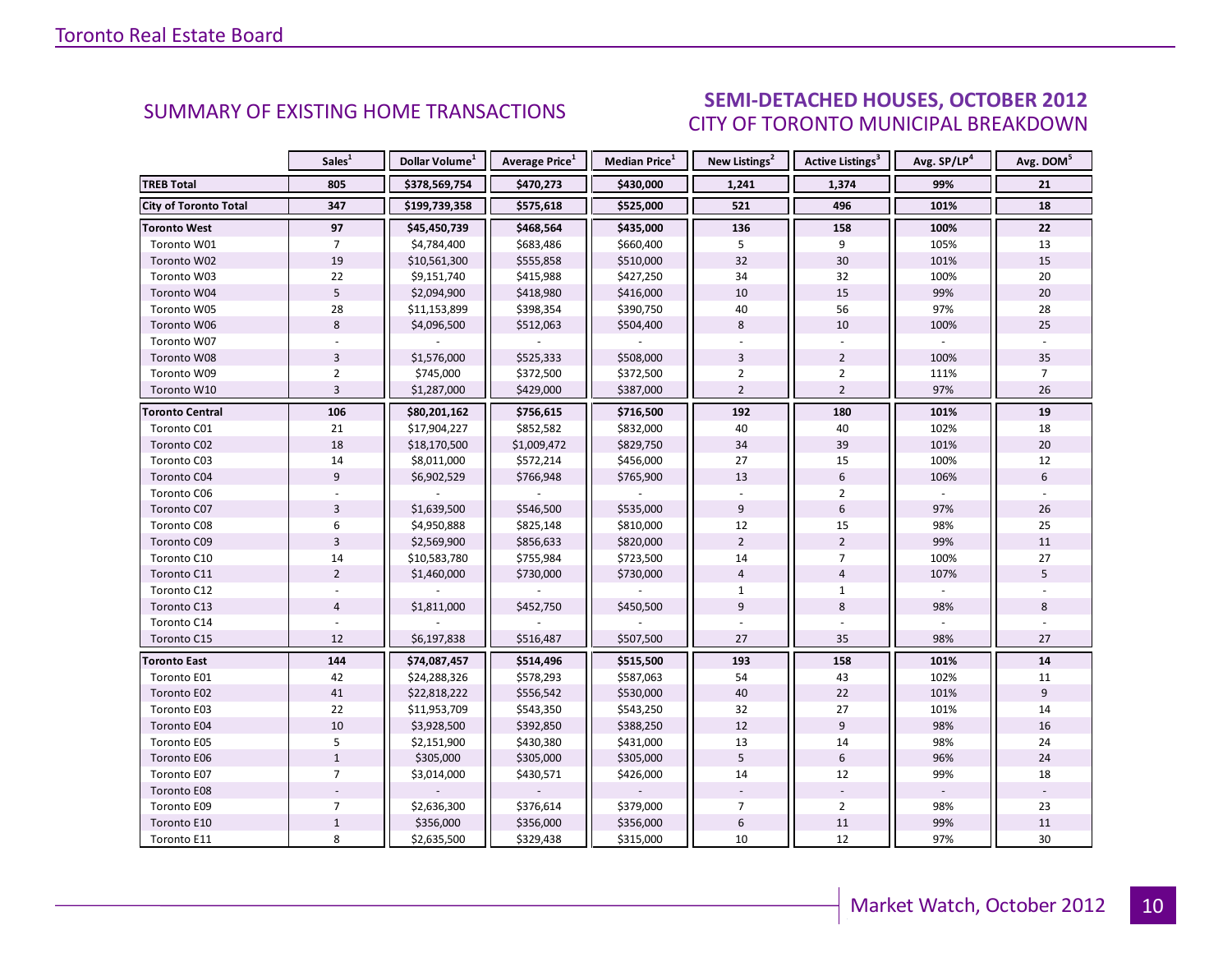#### OCTORER 2012 CITY OF TORONTO MUNICIPAL BREAKDOWN SUMMARY OF EXISTING HOME TRANSACTIONS **SEMI-DETACHED HOUSES, OCTOBER 2012**

<span id="page-9-0"></span>

|                        | Sales <sup>1</sup> | Dollar Volume <sup>1</sup> | Average Price <sup>1</sup> | Median Price <sup>1</sup> | New Listings <sup>2</sup> | Active Listings <sup>3</sup> | Avg. SP/LP <sup>4</sup> | Avg. DOM <sup>5</sup> |
|------------------------|--------------------|----------------------------|----------------------------|---------------------------|---------------------------|------------------------------|-------------------------|-----------------------|
| <b>TREB Total</b>      | 805                | \$378,569,754              | \$470,273                  | \$430,000                 | 1,241                     | 1,374                        | 99%                     | 21                    |
| City of Toronto Total  | 347                | \$199,739,358              | \$575,618                  | \$525,000                 | 521                       | 496                          | 101%                    | 18                    |
| <b>Toronto West</b>    | 97                 | \$45,450,739               | \$468,564                  | \$435,000                 | 136                       | 158                          | 100%                    | 22                    |
| Toronto W01            | $\overline{7}$     | \$4,784,400                | \$683,486                  | \$660,400                 | 5                         | 9                            | 105%                    | 13                    |
| Toronto W02            | 19                 | \$10,561,300               | \$555,858                  | \$510,000                 | 32                        | 30                           | 101%                    | 15                    |
| Toronto W03            | 22                 | \$9,151,740                | \$415,988                  | \$427,250                 | 34                        | 32                           | 100%                    | 20                    |
| Toronto W04            | $\overline{5}$     | \$2,094,900                | \$418,980                  | \$416,000                 | 10                        | 15                           | 99%                     | 20                    |
| Toronto W05            | 28                 | \$11,153,899               | \$398,354                  | \$390,750                 | 40                        | 56                           | 97%                     | 28                    |
| Toronto W06            | $\,8\,$            | \$4,096,500                | \$512,063                  | \$504,400                 | 8                         | 10                           | 100%                    | 25                    |
| Toronto W07            |                    |                            |                            |                           |                           |                              |                         |                       |
| Toronto W08            | $\overline{3}$     | \$1,576,000                | \$525,333                  | \$508,000                 | $\overline{3}$            | $\overline{2}$               | 100%                    | 35                    |
| Toronto W09            | $\overline{2}$     | \$745,000                  | \$372,500                  | \$372,500                 | $\overline{2}$            | 2                            | 111%                    | $\overline{7}$        |
| Toronto W10            | $\overline{3}$     | \$1,287,000                | \$429,000                  | \$387,000                 | $\overline{2}$            | $\overline{2}$               | 97%                     | 26                    |
| <b>Toronto Central</b> | 106                | \$80,201,162               | \$756,615                  | \$716,500                 | 192                       | 180                          | 101%                    | 19                    |
| Toronto C01            | 21                 | \$17,904,227               | \$852,582                  | \$832,000                 | 40                        | 40                           | 102%                    | 18                    |
| Toronto C02            | 18                 | \$18,170,500               | \$1,009,472                | \$829,750                 | 34                        | 39                           | 101%                    | 20                    |
| Toronto C03            | 14                 | \$8,011,000                | \$572,214                  | \$456,000                 | 27                        | 15                           | 100%                    | 12                    |
| Toronto C04            | 9                  | \$6,902,529                | \$766,948                  | \$765,900                 | 13                        | 6                            | 106%                    | 6                     |
| Toronto C06            |                    |                            |                            |                           |                           | $\overline{2}$               |                         |                       |
| Toronto C07            | $\overline{3}$     | \$1,639,500                | \$546,500                  | \$535,000                 | 9                         | 6                            | 97%                     | 26                    |
| Toronto C08            | $\boldsymbol{6}$   | \$4,950,888                | \$825,148                  | \$810,000                 | 12                        | 15                           | 98%                     | 25                    |
| Toronto C09            | $\overline{3}$     | \$2,569,900                | \$856,633                  | \$820,000                 | $\overline{2}$            | $\overline{2}$               | 99%                     | 11                    |
| Toronto C10            | 14                 | \$10,583,780               | \$755,984                  | \$723,500                 | 14                        | $\overline{7}$               | 100%                    | 27                    |
| Toronto C11            | $\overline{2}$     | \$1,460,000                | \$730,000                  | \$730,000                 | $\overline{4}$            | $\overline{4}$               | 107%                    | 5                     |
| Toronto C12            |                    |                            |                            |                           | $\mathbf{1}$              | $\mathbf{1}$                 |                         |                       |
| Toronto C13            | $\overline{4}$     | \$1,811,000                | \$452,750                  | \$450,500                 | $\overline{9}$            | 8                            | 98%                     | 8                     |
| Toronto C14            |                    |                            |                            |                           |                           |                              |                         |                       |
| Toronto C15            | 12                 | \$6,197,838                | \$516,487                  | \$507,500                 | 27                        | 35                           | 98%                     | 27                    |
| <b>Toronto East</b>    | 144                | \$74,087,457               | \$514,496                  | \$515,500                 | 193                       | 158                          | 101%                    | 14                    |
| Toronto E01            | 42                 | \$24,288,326               | \$578,293                  | \$587,063                 | 54                        | 43                           | 102%                    | 11                    |
| Toronto E02            | 41                 | \$22,818,222               | \$556,542                  | \$530,000                 | 40                        | 22                           | 101%                    | $\overline{9}$        |
| Toronto E03            | 22                 | \$11,953,709               | \$543,350                  | \$543,250                 | 32                        | 27                           | 101%                    | 14                    |
| Toronto E04            | $10\,$             | \$3,928,500                | \$392,850                  | \$388,250                 | 12                        | $\overline{9}$               | 98%                     | 16                    |
| Toronto E05            | 5                  | \$2,151,900                | \$430,380                  | \$431,000                 | 13                        | 14                           | 98%                     | 24                    |
| Toronto E06            | $\mathbf 1$        | \$305,000                  | \$305,000                  | \$305,000                 | 5                         | $6\overline{6}$              | 96%                     | 24                    |
| Toronto E07            | $\overline{7}$     | \$3,014,000                | \$430,571                  | \$426,000                 | 14                        | 12                           | 99%                     | 18                    |
| Toronto E08            |                    |                            |                            |                           |                           |                              |                         |                       |
| Toronto E09            | $\overline{7}$     | \$2,636,300                | \$376,614                  | \$379,000                 | $\overline{7}$            | $\overline{2}$               | 98%                     | 23                    |
| Toronto E10            | $\mathbf 1$        | \$356,000                  | \$356,000                  | \$356,000                 | $\boldsymbol{6}$          | $11\,$                       | 99%                     | $11\,$                |
| Toronto E11            | 8                  | \$2,635,500                | \$329,438                  | \$315,000                 | 10                        | 12                           | 97%                     | 30                    |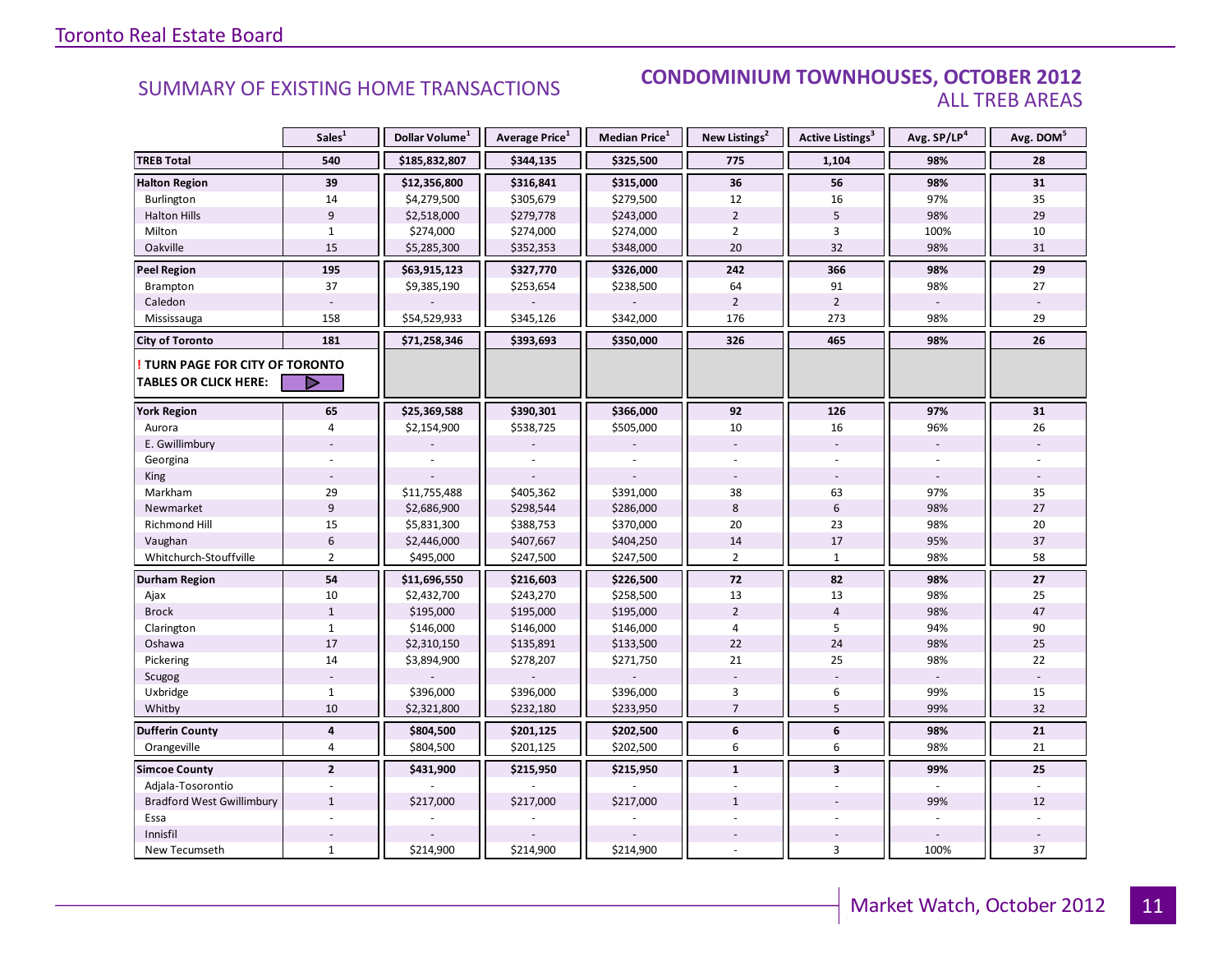#### SUMMARY OF EXISTING HOME TRANSACTIONS **CONDOMINIUM TOWNHOUSES, OCTOBER 2012** ALL TREB AREAS

|                                  | Sales <sup>1</sup>       | Dollar Volume <sup>1</sup> | Average Price <sup>1</sup> | Median Price <sup>1</sup> | New Listings <sup>2</sup> | Active Listings <sup>3</sup> | Avg. SP/LP <sup>4</sup> | Avg. DOM <sup>5</sup> |
|----------------------------------|--------------------------|----------------------------|----------------------------|---------------------------|---------------------------|------------------------------|-------------------------|-----------------------|
| <b>TREB Total</b>                | 540                      | \$185,832,807              | \$344,135                  | \$325,500                 | 775                       | 1,104                        | 98%                     | 28                    |
| <b>Halton Region</b>             | 39                       | \$12,356,800               | \$316,841                  | \$315,000                 | 36                        | 56                           | 98%                     | 31                    |
| Burlington                       | 14                       | \$4,279,500                | \$305,679                  | \$279,500                 | 12                        | 16                           | 97%                     | 35                    |
| <b>Halton Hills</b>              | $\overline{9}$           | \$2,518,000                | \$279,778                  | \$243,000                 | $\overline{2}$            | 5                            | 98%                     | 29                    |
| Milton                           | $\mathbf{1}$             | \$274,000                  | \$274,000                  | \$274,000                 | $\overline{2}$            | 3                            | 100%                    | 10                    |
| Oakville                         | 15                       | \$5,285,300                | \$352,353                  | \$348,000                 | 20                        | 32                           | 98%                     | 31                    |
| <b>Peel Region</b>               | 195                      | \$63,915,123               | \$327,770                  | \$326,000                 | 242                       | 366                          | 98%                     | 29                    |
| Brampton                         | 37                       | \$9,385,190                | \$253,654                  | \$238,500                 | 64                        | 91                           | 98%                     | 27                    |
| Caledon                          |                          |                            |                            |                           | $\overline{2}$            | $\overline{2}$               |                         |                       |
| Mississauga                      | 158                      | \$54,529,933               | \$345,126                  | \$342,000                 | 176                       | 273                          | 98%                     | 29                    |
| <b>City of Toronto</b>           | 181                      | \$71,258,346               | \$393,693                  | \$350,000                 | 326                       | 465                          | 98%                     | 26                    |
| TURN PAGE FOR CITY OF TORONTO    |                          |                            |                            |                           |                           |                              |                         |                       |
| <b>TABLES OR CLICK HERE:</b>     | D                        |                            |                            |                           |                           |                              |                         |                       |
| <b>York Region</b>               | 65                       | \$25,369,588               | \$390,301                  | \$366,000                 | 92                        | 126                          | 97%                     | 31                    |
| Aurora                           | 4                        | \$2,154,900                | \$538,725                  | \$505,000                 | 10                        | 16                           | 96%                     | 26                    |
| E. Gwillimbury                   |                          |                            |                            |                           |                           |                              |                         |                       |
| Georgina                         |                          |                            |                            |                           |                           |                              |                         |                       |
| King                             |                          |                            |                            |                           |                           |                              |                         |                       |
| Markham                          | 29                       | \$11,755,488               | \$405,362                  | \$391,000                 | 38                        | 63                           | 97%                     | 35                    |
| Newmarket                        | $\boldsymbol{9}$         | \$2,686,900                | \$298,544                  | \$286,000                 | 8                         | $\boldsymbol{6}$             | 98%                     | 27                    |
| Richmond Hill                    | 15                       | \$5,831,300                | \$388,753                  | \$370,000                 | 20                        | 23                           | 98%                     | 20                    |
| Vaughan                          | $6\,$                    | \$2,446,000                | \$407,667                  | \$404,250                 | 14                        | 17                           | 95%                     | 37                    |
| Whitchurch-Stouffville           | $\overline{2}$           | \$495,000                  | \$247,500                  | \$247,500                 | $\overline{2}$            | $\mathbf{1}$                 | 98%                     | 58                    |
| <b>Durham Region</b>             | 54                       | \$11,696,550               | \$216,603                  | \$226,500                 | 72                        | 82                           | 98%                     | 27                    |
| Ajax                             | 10                       | \$2,432,700                | \$243,270                  | \$258,500                 | 13                        | 13                           | 98%                     | 25                    |
| <b>Brock</b>                     | $\mathbf{1}$             | \$195,000                  | \$195,000                  | \$195,000                 | $\overline{2}$            | $\overline{4}$               | 98%                     | 47                    |
| Clarington                       | 1                        | \$146,000                  | \$146,000                  | \$146,000                 | $\overline{4}$            | 5                            | 94%                     | 90                    |
| Oshawa                           | 17                       | \$2,310,150                | \$135,891                  | \$133,500                 | 22                        | 24                           | 98%                     | 25                    |
| Pickering                        | 14                       | \$3,894,900                | \$278,207                  | \$271,750                 | 21                        | 25                           | 98%                     | 22                    |
| Scugog                           |                          |                            |                            |                           |                           |                              |                         |                       |
| Uxbridge                         | $\mathbf{1}$             | \$396,000                  | \$396,000                  | \$396,000                 | 3                         | 6                            | 99%                     | 15                    |
| Whitby                           | 10                       | \$2,321,800                | \$232,180                  | \$233,950                 | $\overline{7}$            | 5                            | 99%                     | 32                    |
| <b>Dufferin County</b>           | 4                        | \$804,500                  | \$201,125                  | \$202,500                 | 6                         | 6                            | 98%                     | 21                    |
| Orangeville                      | $\overline{4}$           | \$804,500                  | \$201,125                  | \$202,500                 | 6                         | 6                            | 98%                     | 21                    |
| <b>Simcoe County</b>             | $\overline{2}$           | \$431,900                  | \$215,950                  | \$215,950                 | $\mathbf{1}$              | $\overline{\mathbf{3}}$      | 99%                     | 25                    |
| Adjala-Tosorontio                | $\overline{\phantom{a}}$ |                            |                            |                           |                           |                              |                         |                       |
| <b>Bradford West Gwillimbury</b> | $\mathbf{1}$             | \$217,000                  | \$217,000                  | \$217,000                 | $\mathbf{1}$              |                              | 99%                     | 12                    |
| Essa                             |                          |                            |                            |                           |                           |                              |                         |                       |
| Innisfil                         |                          |                            |                            |                           |                           |                              |                         |                       |
| New Tecumseth                    | $\mathbf{1}$             | \$214,900                  | \$214,900                  | \$214,900                 |                           | 3                            | 100%                    | 37                    |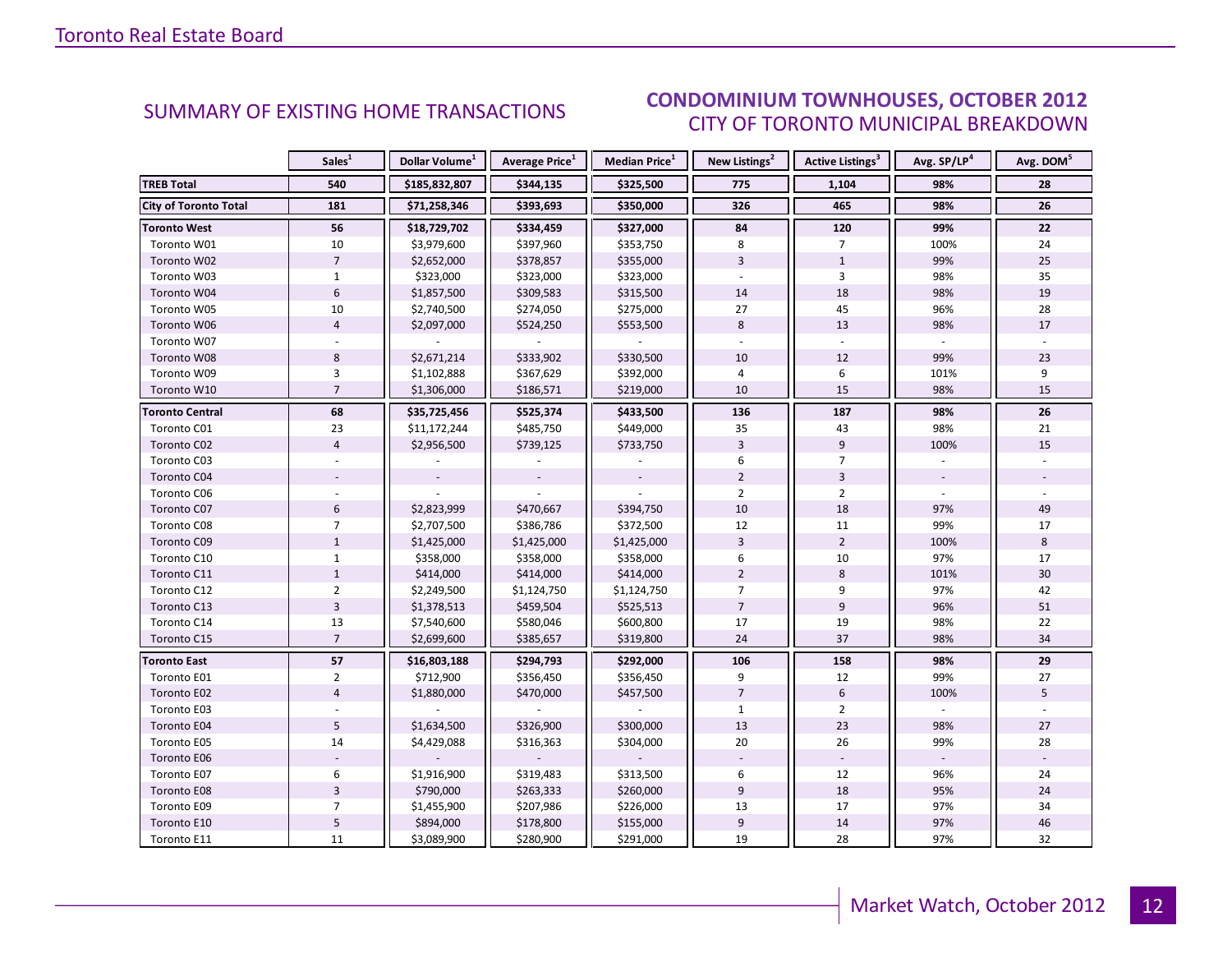#### OCTORER 2012 CITY OF TORONTO MUNICIPAL BREAKDOWN **CONDOMINIUM TOWNHOUSES, OCTOBER 2012**<br>CUTY OF TOPONTO MUNICIPAL PREAKDOMAL

<span id="page-11-0"></span>

|                              | Sales <sup>1</sup> | Dollar Volume <sup>1</sup> | <b>Average Price</b> <sup>1</sup> | Median Price <sup>1</sup> | New Listings <sup>2</sup> | <b>Active Listings<sup>3</sup></b> | Avg. SP/LP <sup>4</sup> | Avg. DOM <sup>5</sup> |
|------------------------------|--------------------|----------------------------|-----------------------------------|---------------------------|---------------------------|------------------------------------|-------------------------|-----------------------|
| <b>TREB Total</b>            | 540                | \$185,832,807              | \$344,135                         | \$325,500                 | 775                       | 1,104                              | 98%                     | 28                    |
| <b>City of Toronto Total</b> | 181                | \$71,258,346               | \$393,693                         | \$350,000                 | 326                       | 465                                | 98%                     | 26                    |
| <b>Toronto West</b>          | 56                 | \$18,729,702               | \$334,459                         | \$327,000                 | 84                        | 120                                | 99%                     | 22                    |
| Toronto W01                  | 10                 | \$3,979,600                | \$397,960                         | \$353,750                 | 8                         | $\overline{7}$                     | 100%                    | 24                    |
| Toronto W02                  | $\overline{7}$     | \$2,652,000                | \$378,857                         | \$355,000                 | $\overline{3}$            | $\mathbf{1}$                       | 99%                     | 25                    |
| Toronto W03                  | $\mathbf{1}$       | \$323,000                  | \$323,000                         | \$323,000                 | $\omega$                  | 3                                  | 98%                     | 35                    |
| Toronto W04                  | $6\,$              | \$1,857,500                | \$309,583                         | \$315,500                 | 14                        | 18                                 | 98%                     | 19                    |
| Toronto W05                  | 10                 | \$2,740,500                | \$274,050                         | \$275,000                 | 27                        | 45                                 | 96%                     | 28                    |
| Toronto W06                  | $\overline{4}$     | \$2,097,000                | \$524,250                         | \$553,500                 | 8                         | 13                                 | 98%                     | 17                    |
| Toronto W07                  |                    |                            |                                   |                           |                           | $\sim$                             |                         |                       |
| Toronto W08                  | 8                  | \$2,671,214                | \$333,902                         | \$330,500                 | 10                        | 12                                 | 99%                     | 23                    |
| Toronto W09                  | 3                  | \$1,102,888                | \$367,629                         | \$392,000                 | $\overline{4}$            | 6                                  | 101%                    | 9                     |
| Toronto W10                  | $\overline{7}$     | \$1,306,000                | \$186,571                         | \$219,000                 | 10                        | 15                                 | 98%                     | 15                    |
| <b>Toronto Central</b>       | 68                 | \$35,725,456               | \$525,374                         | \$433,500                 | 136                       | 187                                | 98%                     | 26                    |
| Toronto C01                  | 23                 | \$11,172,244               | \$485,750                         | \$449,000                 | 35                        | 43                                 | 98%                     | 21                    |
| Toronto C02                  | $\overline{4}$     | \$2,956,500                | \$739,125                         | \$733,750                 | $\overline{3}$            | 9                                  | 100%                    | 15                    |
| Toronto C03                  |                    |                            |                                   |                           | 6                         | $\overline{7}$                     |                         |                       |
| Toronto C04                  |                    |                            |                                   |                           | $\overline{2}$            | $\overline{3}$                     |                         |                       |
| Toronto C06                  |                    |                            |                                   |                           | $\overline{2}$            | $\overline{2}$                     |                         |                       |
| Toronto C07                  | $6\phantom{1}$     | \$2,823,999                | \$470,667                         | \$394,750                 | 10                        | 18                                 | 97%                     | 49                    |
| Toronto C08                  | $\overline{7}$     | \$2,707,500                | \$386,786                         | \$372,500                 | 12                        | 11                                 | 99%                     | 17                    |
| Toronto C09                  | $\mathbf{1}$       | \$1,425,000                | \$1,425,000                       | \$1,425,000               | $\overline{3}$            | $\overline{2}$                     | 100%                    | 8                     |
| Toronto C10                  | $\mathbf{1}$       | \$358,000                  | \$358,000                         | \$358,000                 | 6                         | 10                                 | 97%                     | 17                    |
| Toronto C11                  | $\mathbf{1}$       | \$414,000                  | \$414,000                         | \$414,000                 | $\overline{2}$            | 8                                  | 101%                    | 30                    |
| Toronto C12                  | $\overline{2}$     | \$2,249,500                | \$1,124,750                       | \$1,124,750               | $\overline{7}$            | 9                                  | 97%                     | 42                    |
| Toronto C13                  | $\overline{3}$     | \$1,378,513                | \$459,504                         | \$525,513                 | $\overline{7}$            | 9                                  | 96%                     | 51                    |
| Toronto C14                  | 13                 | \$7,540,600                | \$580,046                         | \$600,800                 | 17                        | 19                                 | 98%                     | 22                    |
| Toronto C15                  | $\overline{7}$     | \$2,699,600                | \$385,657                         | \$319,800                 | 24                        | 37                                 | 98%                     | 34                    |
| <b>Toronto East</b>          | 57                 | \$16,803,188               | \$294,793                         | \$292,000                 | 106                       | 158                                | 98%                     | 29                    |
| Toronto E01                  | $\overline{2}$     | \$712,900                  | \$356,450                         | \$356,450                 | 9                         | 12                                 | 99%                     | 27                    |
| Toronto E02                  | $\overline{4}$     | \$1,880,000                | \$470,000                         | \$457,500                 | $\overline{7}$            | 6                                  | 100%                    | 5                     |
| Toronto E03                  |                    |                            |                                   |                           | $\mathbf{1}$              | $\overline{2}$                     |                         |                       |
| Toronto E04                  | 5                  | \$1,634,500                | \$326,900                         | \$300,000                 | 13                        | 23                                 | 98%                     | 27                    |
| Toronto E05                  | 14                 | \$4,429,088                | \$316,363                         | \$304,000                 | 20                        | 26                                 | 99%                     | 28                    |
| Toronto E06                  |                    |                            |                                   |                           |                           |                                    |                         |                       |
| Toronto E07                  | 6                  | \$1,916,900                | \$319,483                         | \$313,500                 | 6                         | 12                                 | 96%                     | 24                    |
| Toronto E08                  | $\overline{3}$     | \$790,000                  | \$263,333                         | \$260,000                 | 9                         | 18                                 | 95%                     | 24                    |
| Toronto E09                  | $\overline{7}$     | \$1,455,900                | \$207,986                         | \$226,000                 | 13                        | 17                                 | 97%                     | 34                    |
| Toronto E10                  | 5                  | \$894,000                  | \$178,800                         | \$155,000                 | $9$                       | 14                                 | 97%                     | 46                    |
| Toronto E11                  | 11                 | \$3,089,900                | \$280,900                         | \$291,000                 | 19                        | 28                                 | 97%                     | 32                    |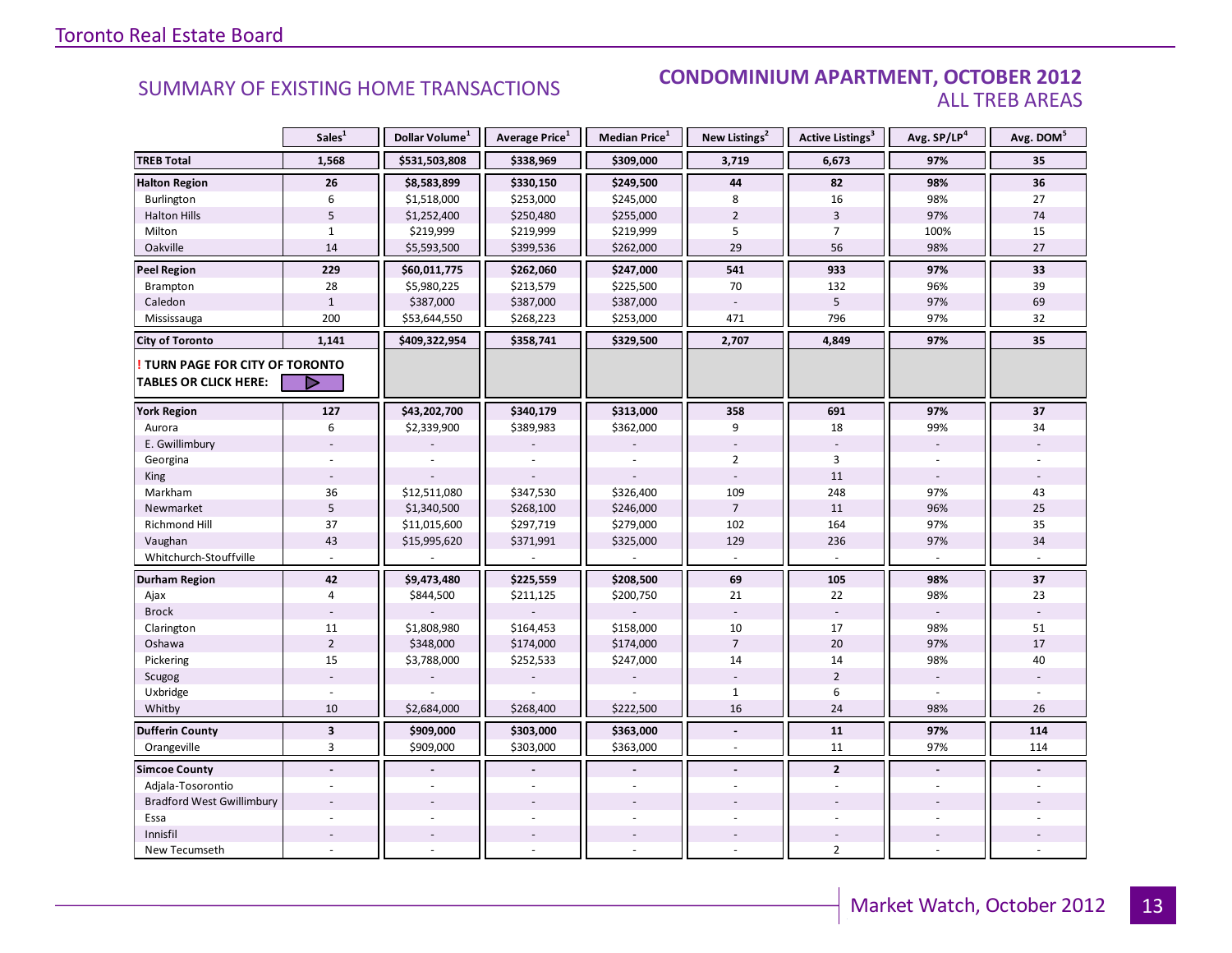#### SUMMARY OF EXISTING HOME TRANSACTIONS **CONDOMINIUM APARTMENT, OCTOBER 2012** ALL TREB AREAS

|                                                                        | Sales <sup>1</sup> | Dollar Volume <sup>1</sup> | Average Price <sup>1</sup> | Median Price <sup>1</sup> | New Listings <sup>2</sup> | Active Listings <sup>3</sup> | Avg. SP/LP <sup>4</sup> | Avg. DOM <sup>5</sup> |
|------------------------------------------------------------------------|--------------------|----------------------------|----------------------------|---------------------------|---------------------------|------------------------------|-------------------------|-----------------------|
| <b>TREB Total</b>                                                      | 1,568              | \$531,503,808              | \$338,969                  | \$309,000                 | 3,719                     | 6,673                        | 97%                     | 35                    |
| <b>Halton Region</b>                                                   | 26                 | \$8,583,899                | \$330,150                  | \$249,500                 | 44                        | 82                           | 98%                     | 36                    |
| Burlington                                                             | 6                  | \$1,518,000                | \$253,000                  | \$245,000                 | 8                         | 16                           | 98%                     | 27                    |
| <b>Halton Hills</b>                                                    | 5                  | \$1,252,400                | \$250,480                  | \$255,000                 | $\overline{2}$            | $\overline{3}$               | 97%                     | 74                    |
| Milton                                                                 | $\mathbf{1}$       | \$219,999                  | \$219,999                  | \$219,999                 | 5                         | $\overline{7}$               | 100%                    | 15                    |
| Oakville                                                               | 14                 | \$5,593,500                | \$399,536                  | \$262,000                 | 29                        | 56                           | 98%                     | 27                    |
| <b>Peel Region</b>                                                     | 229                | \$60,011,775               | \$262,060                  | \$247,000                 | 541                       | 933                          | 97%                     | 33                    |
| <b>Brampton</b>                                                        | 28                 | \$5,980,225                | \$213,579                  | \$225,500                 | 70                        | 132                          | 96%                     | 39                    |
| Caledon                                                                | $\mathbf{1}$       | \$387,000                  | \$387,000                  | \$387,000                 |                           | 5                            | 97%                     | 69                    |
| Mississauga                                                            | 200                | \$53,644,550               | \$268,223                  | \$253,000                 | 471                       | 796                          | 97%                     | 32                    |
| <b>City of Toronto</b>                                                 | 1,141              | \$409,322,954              | \$358,741                  | \$329,500                 | 2,707                     | 4,849                        | 97%                     | 35                    |
| <b>! TURN PAGE FOR CITY OF TORONTO</b><br><b>TABLES OR CLICK HERE:</b> | ▷                  |                            |                            |                           |                           |                              |                         |                       |
| <b>York Region</b>                                                     | 127                | \$43,202,700               | \$340,179                  | \$313,000                 | 358                       | 691                          | 97%                     | 37                    |
| Aurora                                                                 | 6                  | \$2,339,900                | \$389,983                  | \$362,000                 | 9                         | 18                           | 99%                     | 34                    |
| E. Gwillimbury                                                         |                    |                            |                            |                           |                           |                              |                         |                       |
| Georgina                                                               |                    |                            |                            |                           | $\overline{2}$            | 3                            |                         |                       |
| King                                                                   |                    |                            |                            |                           |                           | 11                           |                         |                       |
| Markham                                                                | 36                 | \$12,511,080               | \$347,530                  | \$326,400                 | 109                       | 248                          | 97%                     | 43                    |
| Newmarket                                                              | $\sqrt{5}$         | \$1,340,500                | \$268,100                  | \$246,000                 | $\overline{7}$            | 11                           | 96%                     | 25                    |
| <b>Richmond Hill</b>                                                   | 37                 | \$11,015,600               | \$297,719                  | \$279,000                 | 102                       | 164                          | 97%                     | 35                    |
| Vaughan                                                                | 43                 | \$15,995,620               | \$371,991                  | \$325,000                 | 129                       | 236                          | 97%                     | 34                    |
| Whitchurch-Stouffville                                                 |                    |                            |                            |                           |                           |                              |                         |                       |
| <b>Durham Region</b>                                                   | 42                 | \$9,473,480                | \$225,559                  | \$208,500                 | 69                        | 105                          | 98%                     | 37                    |
| Ajax                                                                   | 4                  | \$844,500                  | \$211,125                  | \$200,750                 | 21                        | 22                           | 98%                     | 23                    |
| <b>Brock</b>                                                           |                    |                            |                            |                           |                           |                              |                         |                       |
| Clarington                                                             | 11                 | \$1,808,980                | \$164,453                  | \$158,000                 | 10                        | 17                           | 98%                     | 51                    |
| Oshawa                                                                 | $\overline{2}$     | \$348,000                  | \$174,000                  | \$174,000                 | $\overline{7}$            | 20                           | 97%                     | 17                    |
| Pickering                                                              | 15                 | \$3,788,000                | \$252,533                  | \$247,000                 | 14                        | 14                           | 98%                     | 40                    |
| Scugog                                                                 |                    |                            |                            |                           |                           | $\overline{2}$               |                         |                       |
| Uxbridge                                                               |                    |                            |                            |                           | $\mathbf{1}$              | 6                            |                         |                       |
| Whitby                                                                 | 10                 | \$2,684,000                | \$268,400                  | \$222,500                 | 16                        | 24                           | 98%                     | 26                    |
| <b>Dufferin County</b>                                                 | $\mathbf{3}$       | \$909,000                  | \$303,000                  | \$363,000                 | $\tilde{\phantom{a}}$     | 11                           | 97%                     | 114                   |
| Orangeville                                                            | 3                  | \$909,000                  | \$303,000                  | \$363,000                 | $\sim$                    | 11                           | 97%                     | 114                   |
| <b>Simcoe County</b>                                                   | $\overline{a}$     |                            |                            |                           | $\overline{a}$            | $\overline{2}$               | $\blacksquare$          |                       |
| Adjala-Tosorontio                                                      |                    |                            |                            |                           |                           |                              |                         |                       |
| <b>Bradford West Gwillimbury</b>                                       |                    |                            |                            |                           |                           |                              |                         |                       |
| Essa                                                                   |                    |                            |                            |                           |                           |                              |                         |                       |
| Innisfil                                                               |                    |                            |                            |                           |                           |                              |                         |                       |
| New Tecumseth                                                          |                    |                            |                            |                           |                           | $\overline{2}$               |                         |                       |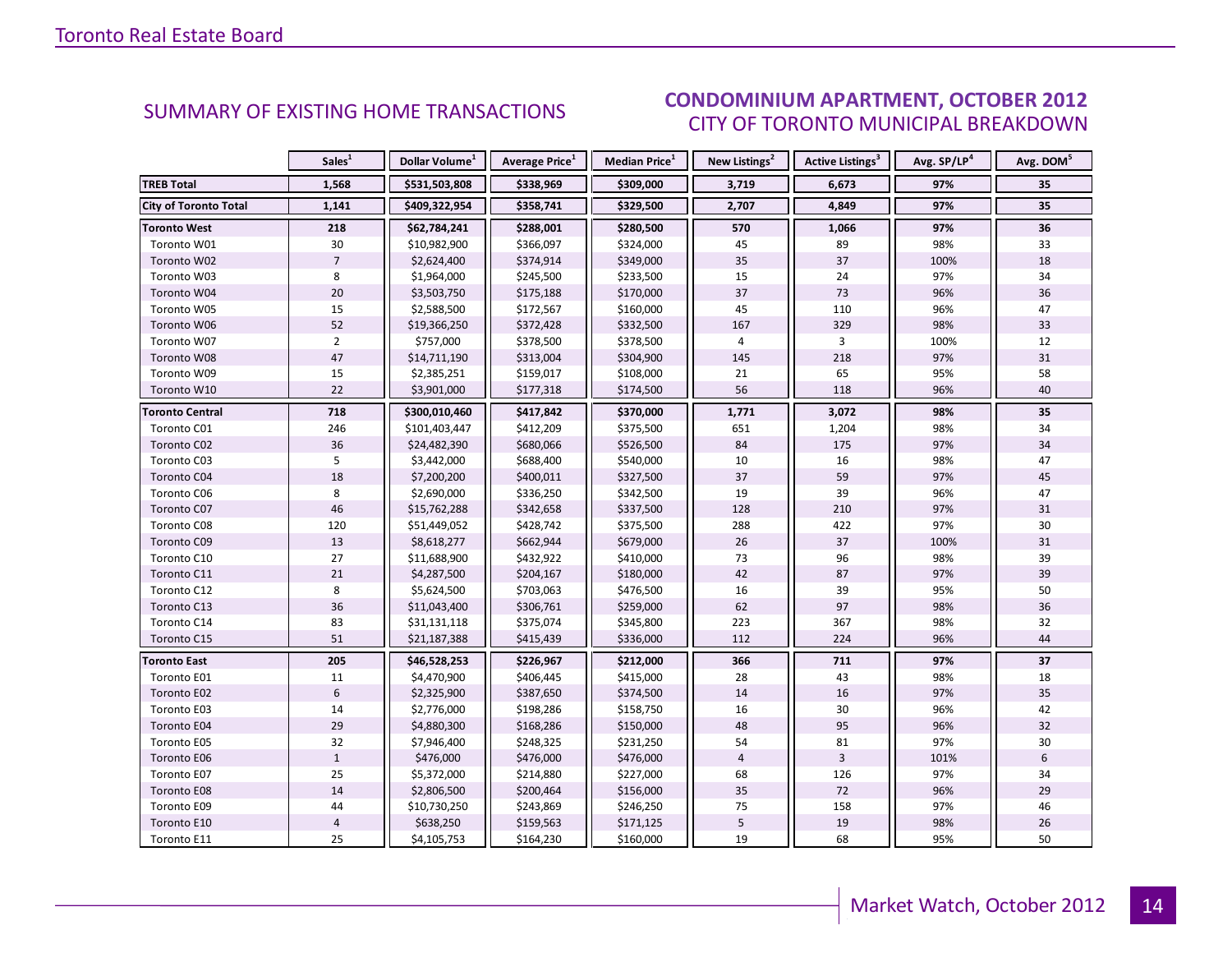#### OCTORER 2012 CITY OF TORONTO MUNICIPAL BREAKDOWN SUMMARY OF EXISTING HOME TRANSACTIONS<br>CITY OF TOPONTO MUNICIPAL PREAKDOMAL

<span id="page-13-0"></span>

|                              | Sales <sup>1</sup> | Dollar Volume <sup>1</sup> | <b>Average Price</b> <sup>1</sup> | <b>Median Price</b> <sup>1</sup> | New Listings <sup>2</sup> | <b>Active Listings<sup>3</sup></b> | Avg. SP/LP <sup>4</sup> | Avg. DOM <sup>5</sup> |
|------------------------------|--------------------|----------------------------|-----------------------------------|----------------------------------|---------------------------|------------------------------------|-------------------------|-----------------------|
| <b>TREB Total</b>            | 1,568              | \$531,503,808              | \$338,969                         | \$309,000                        | 3,719                     | 6,673                              | 97%                     | 35                    |
| <b>City of Toronto Total</b> | 1,141              | \$409,322,954              | \$358,741                         | \$329,500                        | 2,707                     | 4,849                              | 97%                     | 35                    |
| <b>Toronto West</b>          | 218                | \$62,784,241               | \$288,001                         | \$280,500                        | 570                       | 1,066                              | 97%                     | 36                    |
| Toronto W01                  | 30                 | \$10,982,900               | \$366,097                         | \$324,000                        | 45                        | 89                                 | 98%                     | 33                    |
| Toronto W02                  | $\overline{7}$     | \$2,624,400                | \$374,914                         | \$349,000                        | 35                        | 37                                 | 100%                    | 18                    |
| Toronto W03                  | 8                  | \$1,964,000                | \$245,500                         | \$233,500                        | 15                        | 24                                 | 97%                     | 34                    |
| Toronto W04                  | 20                 | \$3,503,750                | \$175,188                         | \$170,000                        | 37                        | 73                                 | 96%                     | 36                    |
| Toronto W05                  | 15                 | \$2,588,500                | \$172,567                         | \$160,000                        | 45                        | 110                                | 96%                     | 47                    |
| Toronto W06                  | 52                 | \$19,366,250               | \$372,428                         | \$332,500                        | 167                       | 329                                | 98%                     | 33                    |
| Toronto W07                  | $\overline{2}$     | \$757,000                  | \$378,500                         | \$378,500                        | $\overline{4}$            | $\overline{3}$                     | 100%                    | 12                    |
| Toronto W08                  | 47                 | \$14,711,190               | \$313,004                         | \$304,900                        | 145                       | 218                                | 97%                     | 31                    |
| Toronto W09                  | 15                 | \$2,385,251                | \$159,017                         | \$108,000                        | 21                        | 65                                 | 95%                     | 58                    |
| Toronto W10                  | 22                 | \$3,901,000                | \$177,318                         | \$174,500                        | 56                        | 118                                | 96%                     | 40                    |
| <b>Toronto Central</b>       | 718                | \$300,010,460              | \$417,842                         | \$370,000                        | 1,771                     | 3,072                              | 98%                     | 35                    |
| Toronto C01                  | 246                | \$101,403,447              | \$412,209                         | \$375,500                        | 651                       | 1,204                              | 98%                     | 34                    |
| Toronto C02                  | 36                 | \$24,482,390               | \$680,066                         | \$526,500                        | 84                        | 175                                | 97%                     | 34                    |
| Toronto C03                  | 5                  | \$3,442,000                | \$688,400                         | \$540,000                        | 10                        | 16                                 | 98%                     | 47                    |
| Toronto C04                  | 18                 | \$7,200,200                | \$400,011                         | \$327,500                        | 37                        | 59                                 | 97%                     | 45                    |
| Toronto C06                  | 8                  | \$2,690,000                | \$336,250                         | \$342,500                        | 19                        | 39                                 | 96%                     | 47                    |
| Toronto C07                  | 46                 | \$15,762,288               | \$342,658                         | \$337,500                        | 128                       | 210                                | 97%                     | 31                    |
| Toronto C08                  | 120                | \$51,449,052               | \$428,742                         | \$375,500                        | 288                       | 422                                | 97%                     | 30                    |
| Toronto C09                  | 13                 | \$8,618,277                | \$662,944                         | \$679,000                        | 26                        | 37                                 | 100%                    | 31                    |
| Toronto C10                  | 27                 | \$11,688,900               | \$432,922                         | \$410,000                        | 73                        | 96                                 | 98%                     | 39                    |
| Toronto C11                  | 21                 | \$4,287,500                | \$204,167                         | \$180,000                        | 42                        | 87                                 | 97%                     | 39                    |
| Toronto C12                  | 8                  | \$5,624,500                | \$703,063                         | \$476,500                        | 16                        | 39                                 | 95%                     | 50                    |
| Toronto C13                  | 36                 | \$11,043,400               | \$306,761                         | \$259,000                        | 62                        | 97                                 | 98%                     | 36                    |
| Toronto C14                  | 83                 | \$31,131,118               | \$375,074                         | \$345,800                        | 223                       | 367                                | 98%                     | 32                    |
| Toronto C15                  | 51                 | \$21,187,388               | \$415,439                         | \$336,000                        | 112                       | 224                                | 96%                     | 44                    |
| <b>Toronto East</b>          | 205                | \$46,528,253               | \$226,967                         | \$212,000                        | 366                       | 711                                | 97%                     | 37                    |
| Toronto E01                  | 11                 | \$4,470,900                | \$406,445                         | \$415,000                        | 28                        | 43                                 | 98%                     | 18                    |
| Toronto E02                  | $6\,$              | \$2,325,900                | \$387,650                         | \$374,500                        | 14                        | 16                                 | 97%                     | 35                    |
| Toronto E03                  | 14                 | \$2,776,000                | \$198,286                         | \$158,750                        | 16                        | 30                                 | 96%                     | 42                    |
| Toronto E04                  | 29                 | \$4,880,300                | \$168,286                         | \$150,000                        | 48                        | 95                                 | 96%                     | 32                    |
| Toronto E05                  | 32                 | \$7,946,400                | \$248,325                         | \$231,250                        | 54                        | 81                                 | 97%                     | 30                    |
| Toronto E06                  | $\mathbf{1}$       | \$476,000                  | \$476,000                         | \$476,000                        | $\overline{4}$            | $\overline{3}$                     | 101%                    | 6                     |
| Toronto E07                  | 25                 | \$5,372,000                | \$214,880                         | \$227,000                        | 68                        | 126                                | 97%                     | 34                    |
| Toronto E08                  | 14                 | \$2,806,500                | \$200,464                         | \$156,000                        | 35                        | 72                                 | 96%                     | 29                    |
| Toronto E09                  | 44                 | \$10,730,250               | \$243,869                         | \$246,250                        | 75                        | 158                                | 97%                     | 46                    |
| Toronto E10                  | $\overline{4}$     | \$638,250                  | \$159,563                         | \$171,125                        | $\sqrt{5}$                | 19                                 | 98%                     | 26                    |
| Toronto E11                  | 25                 | \$4,105,753                | \$164,230                         | \$160,000                        | 19                        | 68                                 | 95%                     | 50                    |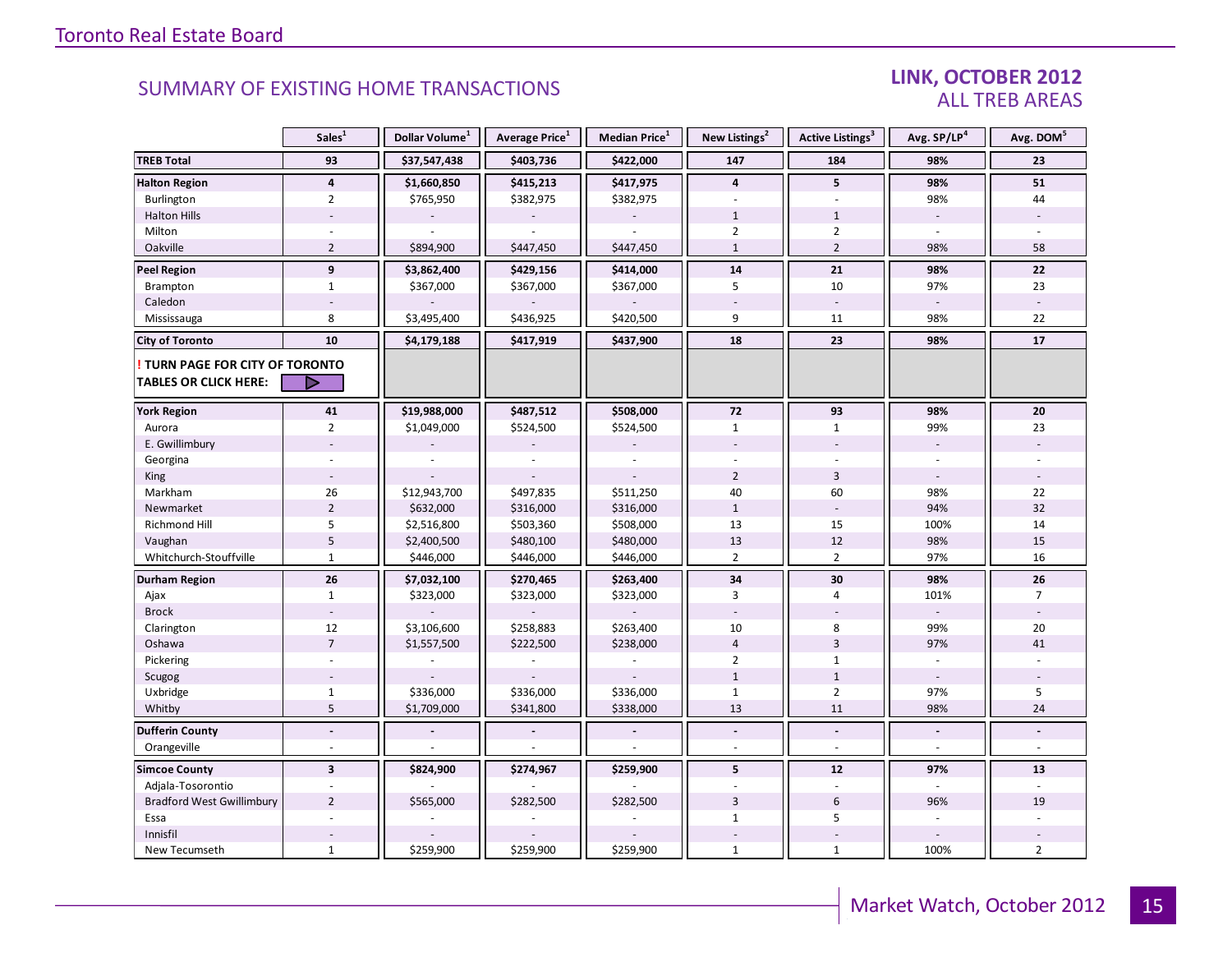### LINK, OCTOBER 2012 ALL TREB AREAS

|                                                               | Sales <sup>1</sup>      | Dollar Volume <sup>1</sup> | Average Price <sup>1</sup> | <b>Median Price</b> <sup>1</sup> | New Listings <sup>2</sup> | <b>Active Listings<sup>3</sup></b> | Avg. SP/LP <sup>4</sup>  | Avg. DOM <sup>5</sup> |
|---------------------------------------------------------------|-------------------------|----------------------------|----------------------------|----------------------------------|---------------------------|------------------------------------|--------------------------|-----------------------|
| <b>TREB Total</b>                                             | 93                      | \$37,547,438               | \$403,736                  | \$422,000                        | 147                       | 184                                | 98%                      | 23                    |
| <b>Halton Region</b>                                          | $\overline{\mathbf{4}}$ | \$1,660,850                | \$415,213                  | \$417,975                        | $\overline{\mathbf{4}}$   | 5                                  | 98%                      | 51                    |
| Burlington                                                    | $\overline{2}$          | \$765,950                  | \$382,975                  | \$382,975                        | $\sim$                    | $\overline{\phantom{a}}$           | 98%                      | 44                    |
| <b>Halton Hills</b>                                           |                         |                            |                            |                                  | $\mathbf{1}$              | $\mathbf{1}$                       | $\sim$                   |                       |
| Milton                                                        |                         |                            |                            |                                  | $\overline{2}$            | $\overline{2}$                     | $\overline{a}$           |                       |
| Oakville                                                      | $\overline{2}$          | \$894,900                  | \$447,450                  | \$447,450                        | $\mathbf{1}$              | $\overline{2}$                     | 98%                      | 58                    |
| Peel Region                                                   | 9                       | \$3,862,400                | \$429,156                  | \$414,000                        | 14                        | 21                                 | 98%                      | 22                    |
| Brampton                                                      | $\mathbf{1}$            | \$367,000                  | \$367,000                  | \$367,000                        | 5                         | 10                                 | 97%                      | 23                    |
| Caledon                                                       |                         |                            |                            |                                  |                           |                                    |                          |                       |
| Mississauga                                                   | 8                       | \$3,495,400                | \$436,925                  | \$420,500                        | 9                         | 11                                 | 98%                      | 22                    |
| <b>City of Toronto</b>                                        | 10                      | \$4,179,188                | \$417,919                  | \$437,900                        | 18                        | 23                                 | 98%                      | 17                    |
| TURN PAGE FOR CITY OF TORONTO<br><b>TABLES OR CLICK HERE:</b> | D                       |                            |                            |                                  |                           |                                    |                          |                       |
| <b>York Region</b>                                            | 41                      | \$19,988,000               | \$487,512                  | \$508,000                        | 72                        | 93                                 | 98%                      | 20                    |
| Aurora                                                        | $\overline{2}$          | \$1,049,000                | \$524,500                  | \$524,500                        | $\mathbf{1}$              | $\mathbf{1}$                       | 99%                      | 23                    |
| E. Gwillimbury                                                |                         |                            |                            |                                  |                           |                                    | $\sim$                   |                       |
| Georgina                                                      |                         |                            |                            |                                  |                           |                                    |                          |                       |
| King                                                          |                         |                            |                            |                                  | $\overline{2}$            | $\overline{3}$                     | $\overline{\phantom{a}}$ |                       |
| Markham                                                       | 26                      | \$12,943,700               | \$497,835                  | \$511,250                        | 40                        | 60                                 | 98%                      | 22                    |
| Newmarket                                                     | $\mathbf 2$             | \$632,000                  | \$316,000                  | \$316,000                        | $1\,$                     |                                    | 94%                      | 32                    |
| Richmond Hill                                                 | 5                       | \$2,516,800                | \$503,360                  | \$508,000                        | 13                        | 15                                 | 100%                     | 14                    |
| Vaughan                                                       | 5                       | \$2,400,500                | \$480,100                  | \$480,000                        | 13                        | 12                                 | 98%                      | 15                    |
| Whitchurch-Stouffville                                        | $\mathbf{1}$            | \$446,000                  | \$446,000                  | \$446,000                        | $\overline{2}$            | $\overline{2}$                     | 97%                      | 16                    |
| <b>Durham Region</b>                                          | 26                      | \$7,032,100                | \$270,465                  | \$263,400                        | 34                        | 30                                 | 98%                      | ${\bf 26}$            |
| Ajax                                                          | $\mathbf{1}$            | \$323,000                  | \$323,000                  | \$323,000                        | 3                         | $\overline{4}$                     | 101%                     | $\overline{7}$        |
| <b>Brock</b>                                                  |                         |                            |                            |                                  |                           |                                    |                          |                       |
| Clarington                                                    | 12                      | \$3,106,600                | \$258,883                  | \$263,400                        | 10                        | 8                                  | 99%                      | 20                    |
| Oshawa                                                        | $\overline{7}$          | \$1,557,500                | \$222,500                  | \$238,000                        | $\overline{4}$            | $\overline{3}$                     | 97%                      | 41                    |
| Pickering                                                     | ÷.                      |                            |                            |                                  | $\overline{2}$            | $\mathbf{1}$                       | $\sim$                   |                       |
| Scugog                                                        |                         |                            |                            |                                  | $\mathbf{1}$              | $\mathbf 1$                        |                          |                       |
| Uxbridge                                                      | $\mathbf{1}$            | \$336,000                  | \$336,000                  | \$336,000                        | $\mathbf{1}$              | $\overline{2}$                     | 97%                      | 5                     |
| Whitby                                                        | 5                       | \$1,709,000                | \$341,800                  | \$338,000                        | 13                        | 11                                 | 98%                      | 24                    |
| <b>Dufferin County</b>                                        | $\blacksquare$          |                            |                            |                                  | $\blacksquare$            | $\overline{\phantom{a}}$           | $\blacksquare$           |                       |
| Orangeville                                                   |                         |                            |                            |                                  |                           |                                    | $\sim$                   |                       |
| <b>Simcoe County</b>                                          | $\overline{\mathbf{3}}$ | \$824,900                  | \$274,967                  | \$259,900                        | 5                         | 12                                 | 97%                      | 13                    |
| Adjala-Tosorontio                                             |                         |                            |                            |                                  |                           |                                    |                          |                       |
| <b>Bradford West Gwillimbury</b>                              | $\overline{2}$          | \$565,000                  | \$282,500                  | \$282,500                        | $\overline{3}$            | $6\,$                              | 96%                      | 19                    |
| Essa                                                          |                         |                            |                            |                                  | $\mathbf{1}$              | 5                                  |                          |                       |
| Innisfil                                                      |                         |                            |                            |                                  |                           |                                    |                          |                       |
| New Tecumseth                                                 | $\mathbf{1}$            | \$259,900                  | \$259,900                  | \$259,900                        | $\mathbf{1}$              | $\mathbf{1}$                       | 100%                     | $\overline{2}$        |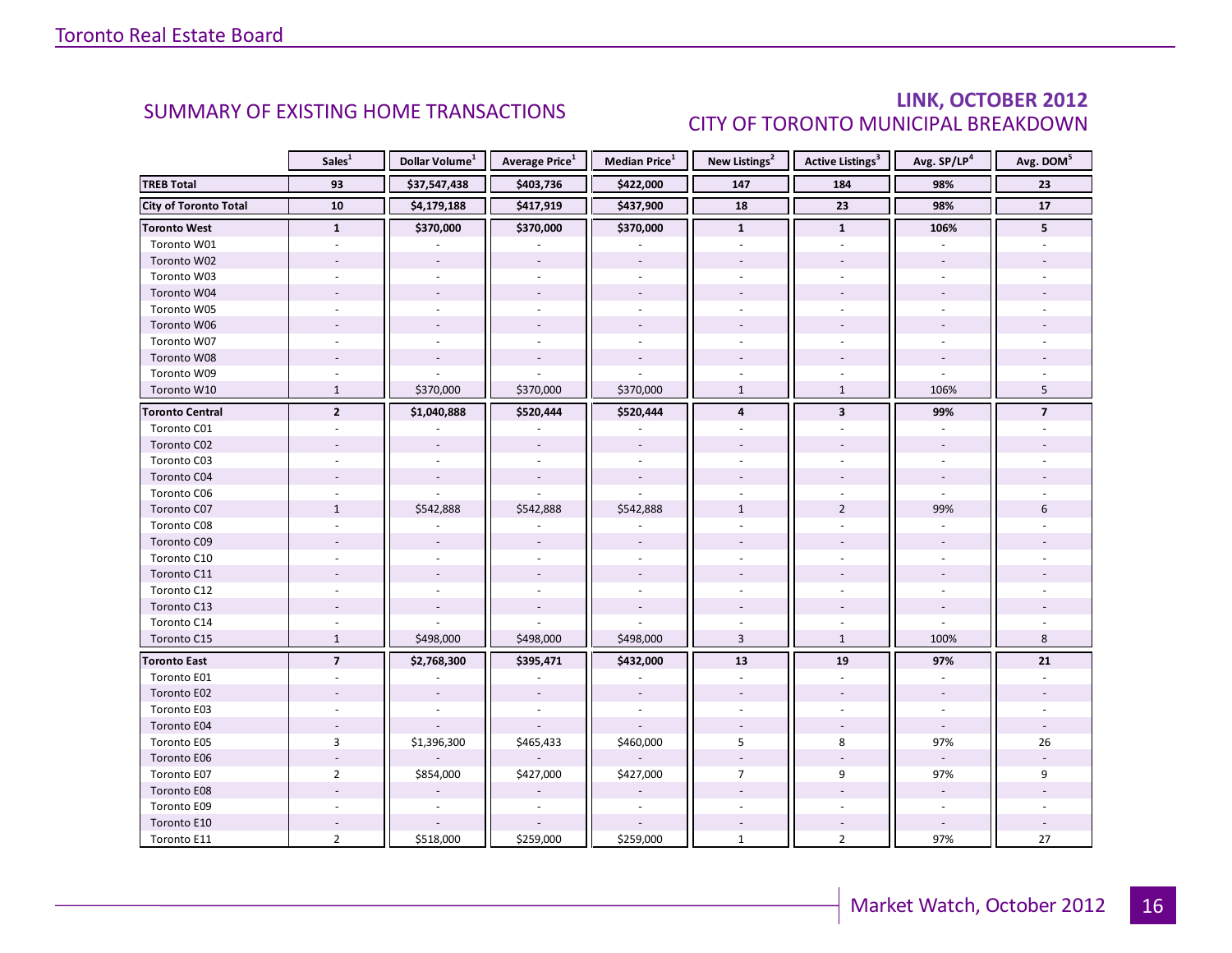### LINK, OCTOBER 2012 CITY OF TORONTO MUNICIPAL BREAKDOWN

<span id="page-15-0"></span>

|                              | Sales <sup>1</sup> | Dollar Volume <sup>1</sup> | <b>Average Price</b> <sup>1</sup> | <b>Median Price</b> <sup>1</sup> | New Listings <sup>2</sup> | Active Listings <sup>3</sup> | Avg. SP/LP <sup>4</sup> | Avg. DOM <sup>5</sup>    |
|------------------------------|--------------------|----------------------------|-----------------------------------|----------------------------------|---------------------------|------------------------------|-------------------------|--------------------------|
| <b>TREB Total</b>            | 93                 | \$37,547,438               | \$403,736                         | \$422,000                        | 147                       | 184                          | 98%                     | 23                       |
| <b>City of Toronto Total</b> | 10                 | \$4,179,188                | \$417,919                         | \$437,900                        | 18                        | 23                           | 98%                     | 17                       |
| <b>Toronto West</b>          | $\mathbf{1}$       | \$370,000                  | \$370,000                         | \$370,000                        | $\mathbf{1}$              | $\mathbf{1}$                 | 106%                    | 5 <sup>1</sup>           |
| Toronto W01                  |                    |                            |                                   |                                  |                           |                              |                         |                          |
| Toronto W02                  |                    |                            |                                   |                                  |                           |                              |                         |                          |
| Toronto W03                  |                    |                            |                                   | $\sim$                           |                           |                              |                         |                          |
| Toronto W04                  |                    |                            |                                   |                                  |                           |                              |                         |                          |
| Toronto W05                  |                    |                            |                                   |                                  |                           |                              |                         |                          |
| Toronto W06                  |                    |                            |                                   |                                  |                           |                              |                         |                          |
| Toronto W07                  |                    |                            |                                   |                                  |                           |                              |                         |                          |
| Toronto W08                  |                    |                            |                                   |                                  |                           |                              |                         |                          |
| Toronto W09                  |                    |                            |                                   |                                  |                           |                              |                         |                          |
| Toronto W10                  | $\mathbf{1}$       | \$370,000                  | \$370,000                         | \$370,000                        | $\mathbf{1}$              | $\mathbf{1}$                 | 106%                    | 5                        |
| <b>Toronto Central</b>       | $\overline{2}$     | \$1,040,888                | \$520,444                         | \$520,444                        | $\overline{\mathbf{4}}$   | $\overline{\mathbf{3}}$      | 99%                     | $\overline{\phantom{a}}$ |
| Toronto C01                  |                    |                            |                                   |                                  |                           |                              |                         |                          |
| Toronto C02                  |                    |                            |                                   |                                  |                           |                              |                         |                          |
| Toronto C03                  |                    |                            |                                   | $\sim$                           |                           |                              |                         |                          |
| Toronto C04                  |                    |                            |                                   |                                  |                           |                              |                         |                          |
| Toronto C06                  |                    |                            |                                   |                                  |                           |                              |                         |                          |
| Toronto C07                  | $\mathbf{1}$       | \$542,888                  | \$542,888                         | \$542,888                        | $\mathbf{1}$              | $\overline{2}$               | 99%                     | 6                        |
| Toronto C08                  |                    |                            |                                   |                                  |                           |                              |                         |                          |
| Toronto C09                  |                    |                            |                                   |                                  |                           |                              |                         |                          |
| Toronto C10                  |                    |                            |                                   |                                  |                           |                              |                         |                          |
| Toronto C11                  |                    |                            |                                   |                                  |                           |                              |                         |                          |
| Toronto C12                  |                    |                            |                                   |                                  |                           |                              |                         |                          |
| Toronto C13                  |                    |                            |                                   |                                  |                           |                              |                         |                          |
| Toronto C14                  |                    |                            |                                   |                                  |                           |                              |                         |                          |
| Toronto C15                  | $\mathbf{1}$       | \$498,000                  | \$498,000                         | \$498,000                        | $\overline{3}$            | $\mathbf{1}$                 | 100%                    | 8                        |
| <b>Toronto East</b>          | $\overline{7}$     | \$2,768,300                | \$395,471                         | \$432,000                        | 13                        | 19                           | 97%                     | 21                       |
| Toronto E01                  |                    |                            |                                   |                                  |                           |                              |                         |                          |
| Toronto E02                  |                    |                            |                                   |                                  |                           |                              |                         |                          |
| Toronto E03                  |                    |                            |                                   |                                  |                           |                              |                         |                          |
| Toronto E04                  |                    |                            |                                   |                                  |                           |                              |                         |                          |
| Toronto E05                  | 3                  | \$1,396,300                | \$465,433                         | \$460,000                        | 5                         | 8                            | 97%                     | 26                       |
| Toronto E06                  |                    |                            |                                   |                                  |                           |                              |                         |                          |
| Toronto E07                  | $\overline{2}$     | \$854,000                  | \$427,000                         | \$427,000                        | $\overline{7}$            | 9                            | 97%                     | 9                        |
| Toronto E08                  |                    |                            |                                   |                                  |                           |                              |                         |                          |
| Toronto E09                  |                    |                            |                                   |                                  |                           |                              |                         |                          |
| Toronto E10                  |                    |                            |                                   |                                  |                           |                              |                         |                          |
| Toronto E11                  | $\overline{2}$     | \$518,000                  | \$259,000                         | \$259,000                        | $\mathbf{1}$              | $\overline{2}$               | 97%                     | 27                       |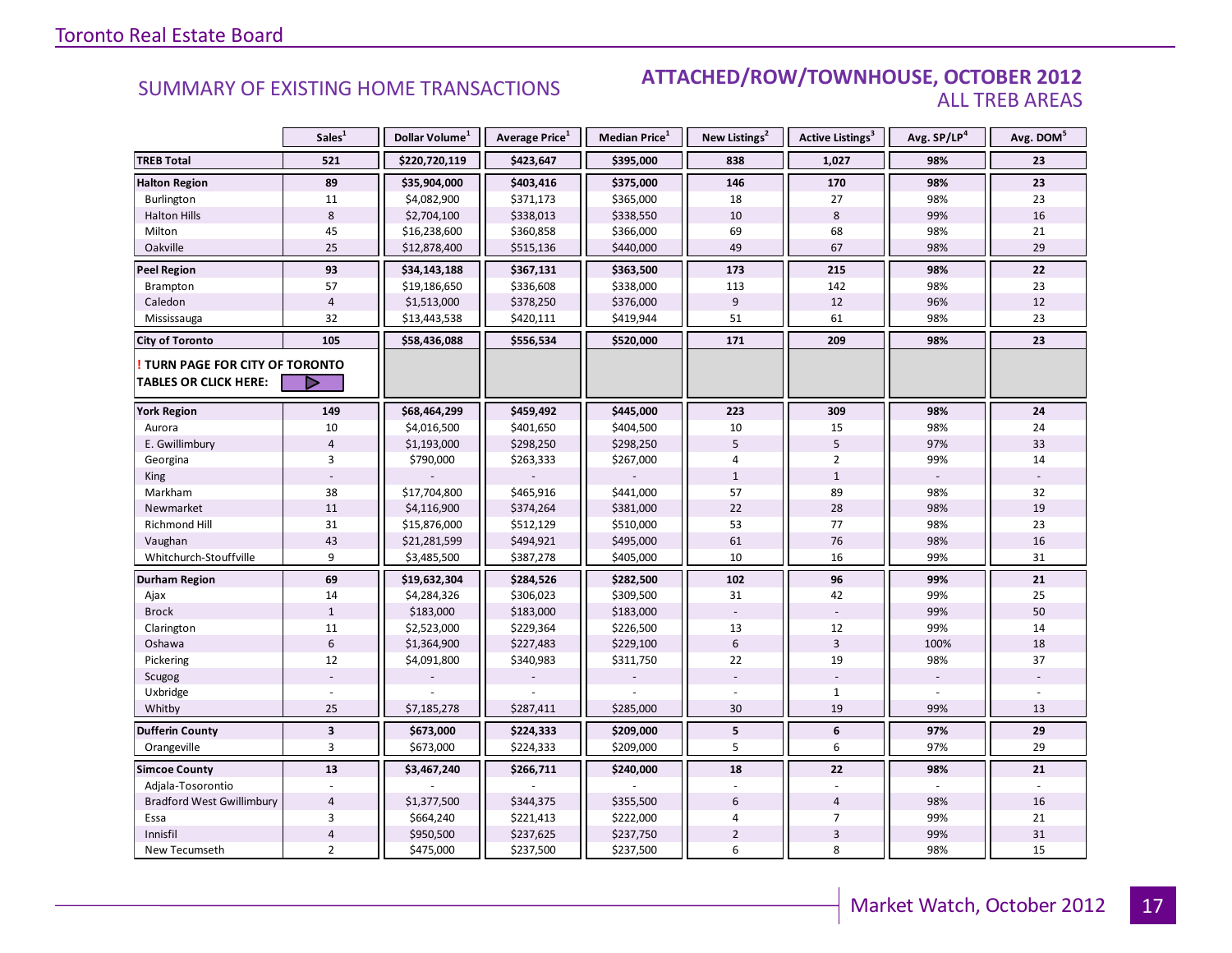### SUMMARY OF EXISTING HOME TRANSACTIONS **ATTACHED/ROW/TOWNHOUSE, OCTOBER 2012** ALL TREB AREAS

|                                  | Sales <sup>1</sup> | Dollar Volume <sup>1</sup> | Average Price <sup>1</sup> | <b>Median Price</b> <sup>1</sup> | New Listings <sup>2</sup> | Active Listings <sup>3</sup> | Avg. SP/LP <sup>4</sup> | Avg. DOM <sup>5</sup> |
|----------------------------------|--------------------|----------------------------|----------------------------|----------------------------------|---------------------------|------------------------------|-------------------------|-----------------------|
| <b>TREB Total</b>                | 521                | \$220,720,119              | \$423,647                  | \$395,000                        | 838                       | 1,027                        | 98%                     | 23                    |
| <b>Halton Region</b>             | 89                 | \$35,904,000               | \$403,416                  | \$375,000                        | 146                       | 170                          | 98%                     | 23                    |
| Burlington                       | 11                 | \$4,082,900                | \$371,173                  | \$365,000                        | 18                        | 27                           | 98%                     | 23                    |
| <b>Halton Hills</b>              | 8                  | \$2,704,100                | \$338,013                  | \$338,550                        | 10                        | 8                            | 99%                     | 16                    |
| Milton                           | 45                 | \$16,238,600               | \$360,858                  | \$366,000                        | 69                        | 68                           | 98%                     | 21                    |
| Oakville                         | 25                 | \$12,878,400               | \$515,136                  | \$440,000                        | 49                        | 67                           | 98%                     | 29                    |
| <b>Peel Region</b>               | 93                 | \$34,143,188               | \$367,131                  | \$363,500                        | 173                       | 215                          | 98%                     | 22                    |
| Brampton                         | 57                 | \$19,186,650               | \$336,608                  | \$338,000                        | 113                       | 142                          | 98%                     | 23                    |
| Caledon                          | $\overline{4}$     | \$1,513,000                | \$378,250                  | \$376,000                        | 9                         | 12                           | 96%                     | 12                    |
| Mississauga                      | 32                 | \$13,443,538               | \$420,111                  | \$419,944                        | 51                        | 61                           | 98%                     | 23                    |
| <b>City of Toronto</b>           | 105                | \$58,436,088               | \$556,534                  | \$520,000                        | 171                       | 209                          | 98%                     | 23                    |
| TURN PAGE FOR CITY OF TORONTO    |                    |                            |                            |                                  |                           |                              |                         |                       |
| <b>TABLES OR CLICK HERE:</b>     | ▷                  |                            |                            |                                  |                           |                              |                         |                       |
| <b>York Region</b>               | 149                | \$68,464,299               | \$459,492                  | \$445,000                        | 223                       | 309                          | 98%                     | 24                    |
| Aurora                           | 10                 | \$4,016,500                | \$401,650                  | \$404,500                        | 10                        | 15                           | 98%                     | 24                    |
| E. Gwillimbury                   | $\overline{4}$     | \$1,193,000                | \$298,250                  | \$298,250                        | 5                         | 5                            | 97%                     | 33                    |
| Georgina                         | 3                  | \$790,000                  | \$263,333                  | \$267,000                        | 4                         | $\overline{2}$               | 99%                     | 14                    |
| <b>King</b>                      |                    |                            |                            |                                  | $\mathbf{1}$              | $\mathbf{1}$                 |                         |                       |
| Markham                          | 38                 | \$17,704,800               | \$465,916                  | \$441,000                        | 57                        | 89                           | 98%                     | 32                    |
| Newmarket                        | 11                 | \$4,116,900                | \$374,264                  | \$381,000                        | 22                        | 28                           | 98%                     | 19                    |
| Richmond Hill                    | 31                 | \$15,876,000               | \$512,129                  | \$510,000                        | 53                        | 77                           | 98%                     | 23                    |
| Vaughan                          | 43                 | \$21,281,599               | \$494,921                  | \$495,000                        | 61                        | 76                           | 98%                     | 16                    |
| Whitchurch-Stouffville           | 9                  | \$3,485,500                | \$387,278                  | \$405,000                        | 10                        | 16                           | 99%                     | 31                    |
| Durham Region                    | 69                 | \$19,632,304               | \$284,526                  | \$282,500                        | 102                       | 96                           | 99%                     | 21                    |
| Ajax                             | 14                 | \$4,284,326                | \$306,023                  | \$309,500                        | 31                        | 42                           | 99%                     | 25                    |
| <b>Brock</b>                     | $\mathbf{1}$       | \$183,000                  | \$183,000                  | \$183,000                        |                           |                              | 99%                     | 50                    |
| Clarington                       | $11\,$             | \$2,523,000                | \$229,364                  | \$226,500                        | 13                        | 12                           | 99%                     | 14                    |
| Oshawa                           | $\sqrt{6}$         | \$1,364,900                | \$227,483                  | \$229,100                        | 6                         | $\overline{3}$               | 100%                    | 18                    |
| Pickering                        | 12                 | \$4,091,800                | \$340,983                  | \$311,750                        | 22                        | 19                           | 98%                     | 37                    |
| Scugog                           |                    |                            |                            |                                  |                           |                              |                         |                       |
| Uxbridge                         |                    |                            |                            |                                  |                           | $\mathbf{1}$                 |                         |                       |
| Whitby                           | 25                 | \$7,185,278                | \$287,411                  | \$285,000                        | 30                        | 19                           | 99%                     | 13                    |
| <b>Dufferin County</b>           | $\mathbf{3}$       | \$673,000                  | \$224,333                  | \$209,000                        | 5                         | $\boldsymbol{6}$             | 97%                     | 29                    |
| Orangeville                      | 3                  | \$673,000                  | \$224,333                  | \$209,000                        | 5                         | 6                            | 97%                     | 29                    |
| <b>Simcoe County</b>             | 13                 | \$3,467,240                | \$266,711                  | \$240,000                        | 18                        | 22                           | 98%                     | 21                    |
| Adjala-Tosorontio                |                    |                            |                            |                                  |                           |                              |                         |                       |
| <b>Bradford West Gwillimbury</b> | $\overline{4}$     | \$1,377,500                | \$344,375                  | \$355,500                        | 6                         | $\overline{4}$               | 98%                     | 16                    |
| Essa                             | 3                  | \$664,240                  | \$221,413                  | \$222,000                        | 4                         | $\overline{7}$               | 99%                     | 21                    |
| Innisfil                         | $\overline{4}$     | \$950,500                  | \$237,625                  | \$237,750                        | $\overline{2}$            | 3                            | 99%                     | 31                    |
| New Tecumseth                    | $\overline{2}$     | \$475,000                  | \$237,500                  | \$237,500                        | 6                         | 8                            | 98%                     | 15                    |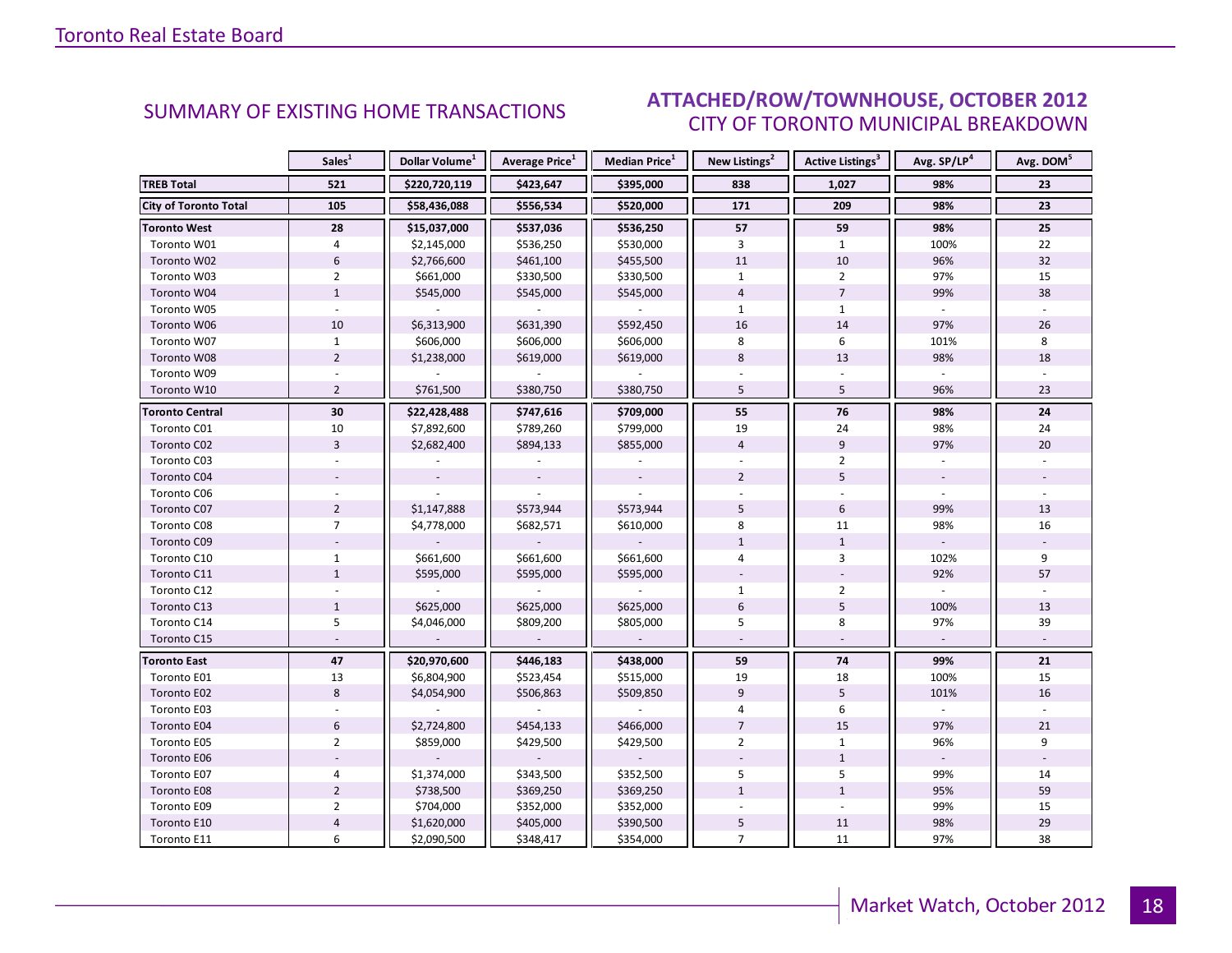#### OCTORER 2012 CITY OF TORONTO MUNICIPAL BREAKDOWN SUMMARY OF EXISTING HOME TRANSACTIONS **ATTACHED/ROW/TOWNHOUSE, OCTOBER 2012**

<span id="page-17-0"></span>

|                              | Sales <sup>1</sup> | Dollar Volume <sup>1</sup> | <b>Average Price</b> <sup>1</sup> | Median Price <sup>1</sup> | New Listings <sup>2</sup> | Active Listings <sup>3</sup> | Avg. SP/LP <sup>4</sup> | Avg. DOM <sup>5</sup> |
|------------------------------|--------------------|----------------------------|-----------------------------------|---------------------------|---------------------------|------------------------------|-------------------------|-----------------------|
| <b>TREB Total</b>            | 521                | \$220,720,119              | \$423,647                         | \$395,000                 | 838                       | 1,027                        | 98%                     | 23                    |
| <b>City of Toronto Total</b> | 105                | \$58,436,088               | \$556,534                         | \$520,000                 | 171                       | 209                          | 98%                     | 23                    |
| <b>Toronto West</b>          | 28                 | \$15,037,000               | \$537,036                         | \$536,250                 | 57                        | 59                           | 98%                     | 25                    |
| Toronto W01                  | 4                  | \$2,145,000                | \$536,250                         | \$530,000                 | 3                         | $\mathbf{1}$                 | 100%                    | 22                    |
| Toronto W02                  | $6\phantom{a}$     | \$2,766,600                | \$461,100                         | \$455,500                 | 11                        | 10                           | 96%                     | 32                    |
| Toronto W03                  | $\overline{2}$     | \$661,000                  | \$330,500                         | \$330,500                 | $\mathbf{1}$              | $\overline{2}$               | 97%                     | 15                    |
| Toronto W04                  | $\mathbf{1}$       | \$545,000                  | \$545,000                         | \$545,000                 | $\overline{4}$            | $\overline{7}$               | 99%                     | 38                    |
| Toronto W05                  |                    |                            |                                   |                           | $\mathbf{1}$              | $\mathbf{1}$                 |                         |                       |
| Toronto W06                  | 10                 | \$6,313,900                | \$631,390                         | \$592,450                 | 16                        | 14                           | 97%                     | 26                    |
| Toronto W07                  | $\mathbf{1}$       | \$606,000                  | \$606,000                         | \$606,000                 | 8                         | 6                            | 101%                    | 8                     |
| Toronto W08                  | $\overline{2}$     | \$1,238,000                | \$619,000                         | \$619,000                 | $8\phantom{1}$            | 13                           | 98%                     | 18                    |
| Toronto W09                  |                    |                            |                                   |                           |                           |                              |                         |                       |
| Toronto W10                  | $\overline{2}$     | \$761,500                  | \$380,750                         | \$380,750                 | 5                         | 5                            | 96%                     | 23                    |
| <b>Toronto Central</b>       | 30                 | \$22,428,488               | \$747,616                         | \$709,000                 | 55                        | 76                           | 98%                     | 24                    |
| Toronto C01                  | 10                 | \$7,892,600                | \$789,260                         | \$799,000                 | 19                        | 24                           | 98%                     | 24                    |
| Toronto C02                  | $\overline{3}$     | \$2,682,400                | \$894,133                         | \$855,000                 | $\overline{4}$            | 9                            | 97%                     | 20                    |
| Toronto C03                  |                    |                            |                                   |                           |                           | $\overline{2}$               |                         |                       |
| Toronto C04                  |                    |                            |                                   |                           | $\overline{2}$            | 5                            |                         |                       |
| Toronto C06                  |                    |                            |                                   |                           |                           |                              |                         |                       |
| Toronto C07                  | $\overline{2}$     | \$1,147,888                | \$573,944                         | \$573,944                 | 5                         | 6                            | 99%                     | 13                    |
| Toronto C08                  | $\overline{7}$     | \$4,778,000                | \$682,571                         | \$610,000                 | 8                         | 11                           | 98%                     | 16                    |
| Toronto C09                  |                    |                            |                                   |                           | $\mathbf 1$               | $\mathbf{1}$                 |                         |                       |
| Toronto C10                  | $\mathbf{1}$       | \$661,600                  | \$661,600                         | \$661,600                 | 4                         | 3                            | 102%                    | 9                     |
| Toronto C11                  | $\mathbf{1}$       | \$595,000                  | \$595,000                         | \$595,000                 |                           |                              | 92%                     | 57                    |
| Toronto C12                  |                    |                            |                                   |                           | $\mathbf{1}$              | $\overline{2}$               |                         |                       |
| Toronto C13                  | $\mathbf{1}$       | \$625,000                  | \$625,000                         | \$625,000                 | $6\overline{6}$           | 5                            | 100%                    | 13                    |
| Toronto C14                  | 5                  | \$4,046,000                | \$809,200                         | \$805,000                 | 5                         | 8                            | 97%                     | 39                    |
| Toronto C15                  |                    |                            | $\blacksquare$                    | $\overline{\phantom{a}}$  |                           |                              |                         |                       |
| <b>Toronto East</b>          | 47                 | \$20,970,600               | \$446,183                         | \$438,000                 | 59                        | 74                           | 99%                     | 21                    |
| Toronto E01                  | 13                 | \$6,804,900                | \$523,454                         | \$515,000                 | 19                        | 18                           | 100%                    | 15                    |
| Toronto E02                  | 8                  | \$4,054,900                | \$506,863                         | \$509,850                 | 9                         | 5                            | 101%                    | 16                    |
| Toronto E03                  |                    |                            |                                   |                           | 4                         | 6                            |                         |                       |
| Toronto E04                  | $6\phantom{a}$     | \$2,724,800                | \$454,133                         | \$466,000                 | $\overline{7}$            | 15                           | 97%                     | 21                    |
| Toronto E05                  | $\overline{2}$     | \$859,000                  | \$429,500                         | \$429,500                 | $\overline{2}$            | $\mathbf{1}$                 | 96%                     | 9                     |
| Toronto E06                  |                    |                            |                                   |                           |                           | $\mathbf{1}$                 |                         |                       |
| Toronto E07                  | 4                  | \$1,374,000                | \$343,500                         | \$352,500                 | 5                         | 5                            | 99%                     | 14                    |
| Toronto E08                  | $\overline{2}$     | \$738,500                  | \$369,250                         | \$369,250                 | $\mathbf{1}$              | $\mathbf{1}$                 | 95%                     | 59                    |
| Toronto E09                  | $\overline{2}$     | \$704,000                  | \$352,000                         | \$352,000                 |                           | $\mathcal{L}$                | 99%                     | 15                    |
| Toronto E10                  | $\overline{4}$     | \$1,620,000                | \$405,000                         | \$390,500                 | 5                         | 11                           | 98%                     | 29                    |
| Toronto E11                  | 6                  | \$2,090,500                | \$348,417                         | \$354,000                 | $\overline{7}$            | 11                           | 97%                     | 38                    |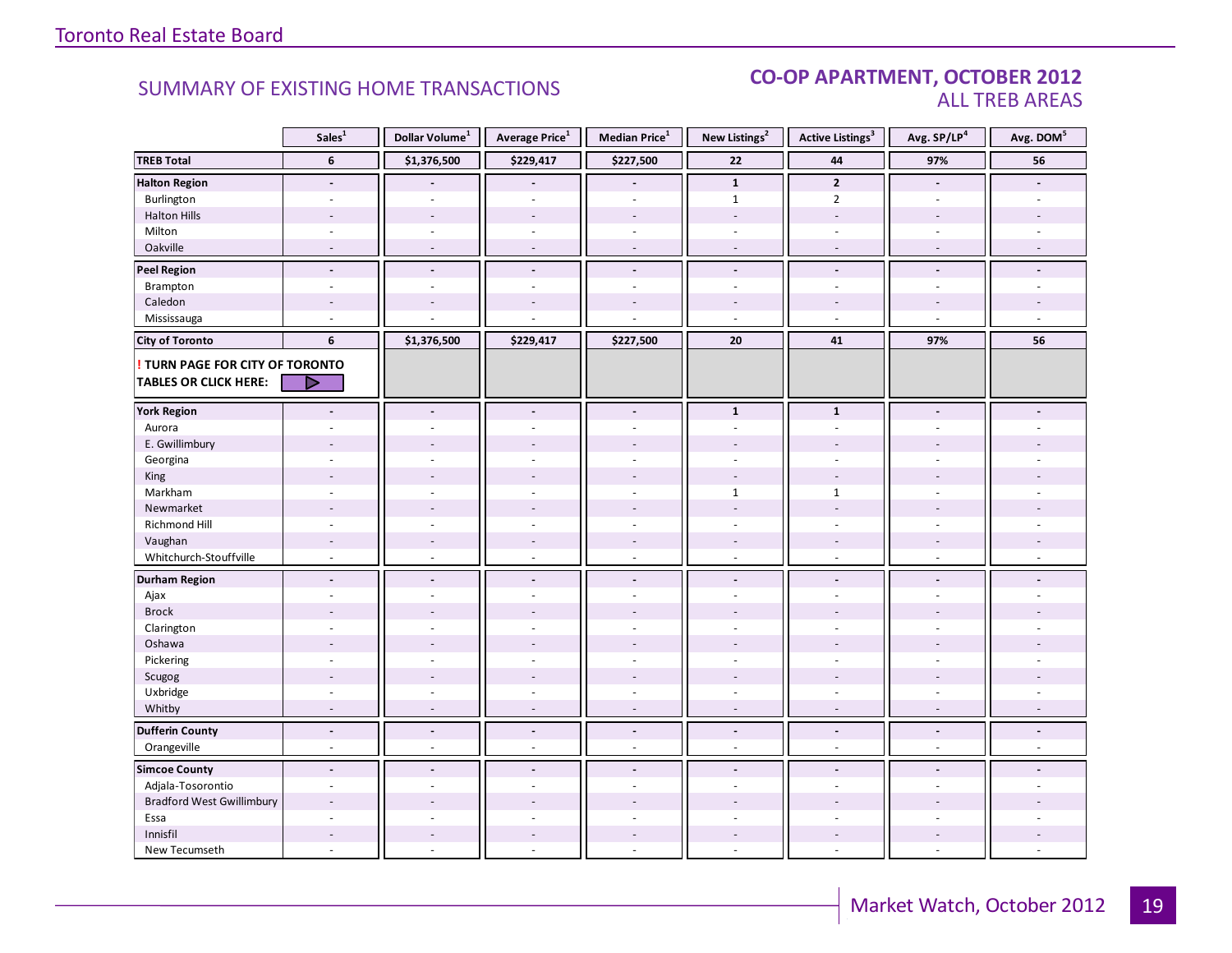#### SUMMARY OF EXISTING HOME TRANSACTIONS **CO-OP APARTMENT, OCTOBER 2012** ALL TREB AREAS

|                                  | Sales <sup>1</sup>       | Dollar Volume <sup>1</sup> | Average Price <sup>1</sup> | Median Price <sup>1</sup> | New Listings <sup>2</sup> | <b>Active Listings<sup>3</sup></b> | Avg. SP/LP <sup>4</sup> | Avg. DOM <sup>5</sup> |
|----------------------------------|--------------------------|----------------------------|----------------------------|---------------------------|---------------------------|------------------------------------|-------------------------|-----------------------|
| <b>TREB Total</b>                | 6                        | \$1,376,500                | \$229,417                  | \$227,500                 | 22                        | 44                                 | 97%                     | 56                    |
| <b>Halton Region</b>             | $\overline{a}$           |                            |                            | $\overline{\phantom{a}}$  | $\mathbf{1}$              | $\overline{2}$                     | $\blacksquare$          |                       |
| Burlington                       | ÷.                       |                            |                            | $\overline{a}$            | $\mathbf{1}$              | $\overline{2}$                     | $\overline{a}$          |                       |
| <b>Halton Hills</b>              | $\overline{a}$           | $\sim$                     | $\overline{a}$             | ÷.                        | $\sim$                    | $\sim$                             | $\overline{a}$          |                       |
| Milton                           | $\sim$                   | $\omega$                   | $\bar{a}$                  | $\overline{\phantom{a}}$  | $\sim$                    | $\overline{\phantom{a}}$           | $\sim$                  |                       |
| Oakville                         | $\sim$                   | $\sim$                     | $\sim$                     | $\sim$                    | $\sim$                    | $\sim$                             | $\sim$                  |                       |
| <b>Peel Region</b>               | $\overline{\phantom{a}}$ | $\blacksquare$             | $\blacksquare$             | $\blacksquare$            | $\overline{\phantom{a}}$  | $\overline{\phantom{a}}$           | $\blacksquare$          |                       |
| Brampton                         | $\overline{\phantom{a}}$ | $\sim$                     | $\overline{a}$             | $\mathbf{r}$              | $\omega$                  | $\overline{\phantom{a}}$           | $\sim$                  |                       |
| Caledon                          |                          |                            |                            |                           |                           |                                    |                         |                       |
| Mississauga                      | ÷                        |                            |                            | L.                        | $\sim$                    | $\overline{a}$                     | $\sim$                  |                       |
| <b>City of Toronto</b>           | 6                        | \$1,376,500                | \$229,417                  | \$227,500                 | 20                        | 41                                 | 97%                     | 56                    |
| ! TURN PAGE FOR CITY OF TORONTO  |                          |                            |                            |                           |                           |                                    |                         |                       |
| <b>TABLES OR CLICK HERE:</b>     | D                        |                            |                            |                           |                           |                                    |                         |                       |
|                                  |                          |                            |                            |                           |                           |                                    |                         |                       |
| <b>York Region</b>               | $\overline{\phantom{a}}$ | $\blacksquare$             | $\blacksquare$             | $\overline{\phantom{a}}$  | $\mathbf{1}$              | $\mathbf{1}$                       | $\blacksquare$          |                       |
| Aurora                           |                          |                            |                            | ä,                        | $\omega$                  | $\overline{\phantom{a}}$           |                         |                       |
| E. Gwillimbury                   |                          |                            |                            | ÷.                        |                           |                                    |                         |                       |
| Georgina                         |                          |                            |                            |                           |                           |                                    |                         |                       |
| King                             | $\overline{a}$           |                            | $\overline{a}$             | $\overline{a}$            |                           | $\overline{a}$                     |                         |                       |
| Markham                          | ÷,                       | $\overline{a}$             | L.                         | ÷,                        | $\mathbf{1}$              | $\mathbf{1}$                       | $\overline{a}$          |                       |
| Newmarket                        |                          |                            |                            |                           |                           |                                    |                         |                       |
| Richmond Hill                    | ÷.                       |                            |                            | ÷.                        |                           |                                    |                         |                       |
| Vaughan                          | $\overline{a}$           |                            | $\overline{\phantom{a}}$   | $\overline{\phantom{a}}$  |                           | $\overline{\phantom{a}}$           |                         |                       |
| Whitchurch-Stouffville           | $\sim$                   | $\sim$                     | $\sim$                     | $\mathcal{L}$             | $\sim$                    | $\sim$                             | $\sim$                  |                       |
| <b>Durham Region</b>             | $\centerdot$             | $\blacksquare$             | $\overline{\phantom{a}}$   | $\overline{\phantom{a}}$  | $\overline{\phantom{a}}$  | $\overline{\phantom{a}}$           | $\blacksquare$          |                       |
| Ajax                             | ÷                        | $\overline{a}$             | ÷                          | $\overline{a}$            | $\sim$                    | ÷.                                 | $\sim$                  |                       |
| <b>Brock</b>                     |                          |                            |                            | L,                        |                           |                                    |                         |                       |
| Clarington                       | $\overline{a}$           |                            | $\overline{a}$             | $\sim$                    | $\sim$                    | $\sim$                             | $\overline{a}$          |                       |
| Oshawa                           | $\blacksquare$           |                            |                            |                           |                           |                                    |                         |                       |
| Pickering                        | ÷                        |                            | $\overline{a}$             | ÷,                        | $\overline{a}$            | $\overline{a}$                     | $\sim$                  |                       |
| Scugog                           |                          |                            | ÷,                         | $\overline{a}$            |                           | $\overline{a}$                     |                         |                       |
| Uxbridge                         | ä,                       | $\sim$                     | $\bar{\phantom{a}}$        | $\sim$                    | $\overline{\phantom{a}}$  | $\bar{\phantom{a}}$                | $\sim$                  |                       |
| Whitby                           | $\sim$                   | $\sim$                     | $\overline{\phantom{a}}$   | $\sim$                    | $\sim$                    | $\blacksquare$                     | $\sim$                  | $\sim$                |
| <b>Dufferin County</b>           | $\overline{\phantom{a}}$ | $\overline{\phantom{a}}$   | $\overline{\phantom{a}}$   | $\blacksquare$            | $\overline{\phantom{a}}$  | $\overline{\phantom{a}}$           | $\blacksquare$          | $\blacksquare$        |
| Orangeville                      | $\overline{\phantom{a}}$ | $\omega$                   | $\overline{\phantom{a}}$   | $\sim$                    | $\overline{\phantom{a}}$  | $\blacksquare$                     | $\blacksquare$          | $\omega$              |
| <b>Simcoe County</b>             | $\overline{a}$           | $\blacksquare$             | $\blacksquare$             | $\blacksquare$            | $\blacksquare$            | $\blacksquare$                     | $\blacksquare$          |                       |
| Adjala-Tosorontio                | $\overline{\phantom{a}}$ | $\sim$                     | $\sim$                     | $\blacksquare$            | $\sim$                    | $\sim$                             | $\sim$                  | ÷.                    |
| <b>Bradford West Gwillimbury</b> | $\overline{a}$           |                            |                            |                           |                           |                                    |                         |                       |
| Essa                             |                          |                            |                            |                           |                           |                                    |                         |                       |
| Innisfil                         | $\overline{a}$           | $\sim$                     | $\overline{a}$             | $\overline{a}$            | $\sim$                    | $\overline{\phantom{a}}$           | $\overline{a}$          |                       |
| New Tecumseth                    | ÷,                       | $\overline{\phantom{a}}$   | $\bar{a}$                  | ÷,                        | $\sim$                    | $\overline{\phantom{a}}$           | $\sim$                  |                       |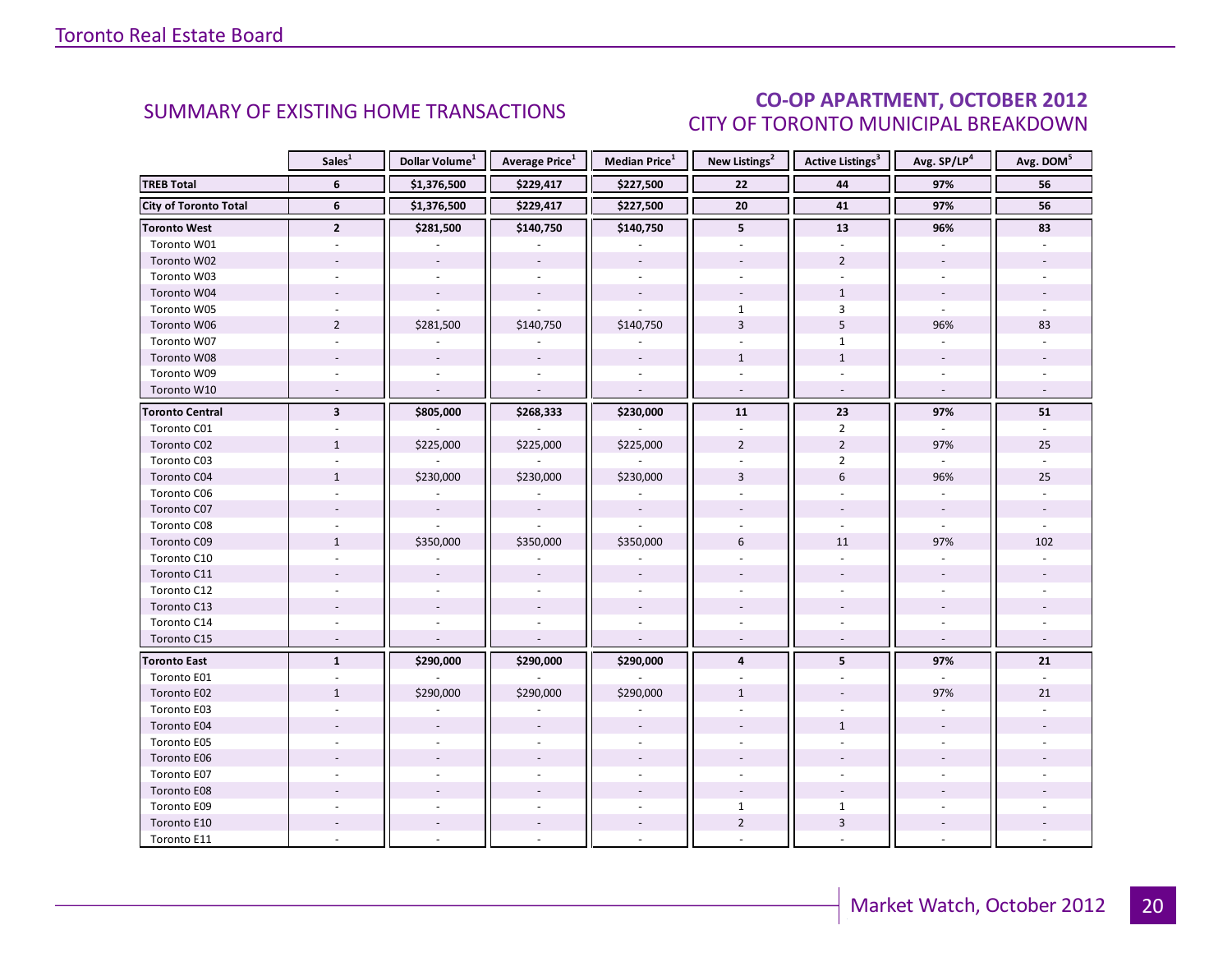### CO-OP APARTMENT, OCTOBER 2012 CITY OF TORONTO MUNICIPAL BREAKDOWN

<span id="page-19-0"></span>

|                              | Sales <sup>1</sup>      | Dollar Volume <sup>1</sup> | <b>Average Price</b> <sup>1</sup> | Median Price <sup>1</sup> | New Listings <sup>2</sup> | Active Listings <sup>3</sup> | Avg. SP/LP <sup>4</sup>  | Avg. DOM <sup>5</sup> |
|------------------------------|-------------------------|----------------------------|-----------------------------------|---------------------------|---------------------------|------------------------------|--------------------------|-----------------------|
| <b>TREB Total</b>            | 6                       | \$1,376,500                | \$229,417                         | \$227,500                 | 22                        | 44                           | 97%                      | 56                    |
| <b>City of Toronto Total</b> | 6                       | \$1,376,500                | \$229,417                         | \$227,500                 | ${\bf 20}$                | 41                           | 97%                      | 56                    |
| <b>Toronto West</b>          | $\mathbf{2}$            | \$281,500                  | \$140,750                         | \$140,750                 | 5                         | 13                           | 96%                      | 83                    |
| Toronto W01                  |                         |                            |                                   |                           |                           |                              |                          |                       |
| Toronto W02                  |                         |                            |                                   |                           |                           | $\overline{2}$               |                          |                       |
| Toronto W03                  |                         |                            |                                   |                           |                           |                              |                          |                       |
| Toronto W04                  |                         |                            |                                   |                           |                           | $\mathbf{1}$                 |                          |                       |
| Toronto W05                  |                         |                            |                                   |                           | $\mathbf{1}$              | $\mathbf{3}$                 |                          |                       |
| Toronto W06                  | $\overline{2}$          | \$281,500                  | \$140,750                         | \$140,750                 | $\overline{3}$            | 5                            | 96%                      | 83                    |
| Toronto W07                  |                         |                            |                                   |                           |                           | $\mathbf{1}$                 |                          |                       |
| Toronto W08                  |                         |                            |                                   |                           | $\mathbf{1}$              | $\mathbf{1}$                 |                          |                       |
| Toronto W09                  |                         |                            |                                   |                           |                           |                              |                          |                       |
| Toronto W10                  | $\overline{a}$          |                            | $\sim$                            | $\mathbf{r}$              |                           | $\overline{a}$               |                          |                       |
| <b>Toronto Central</b>       | $\overline{\mathbf{3}}$ | \$805,000                  | \$268,333                         | \$230,000                 | 11                        | 23                           | 97%                      | 51                    |
| Toronto C01                  |                         |                            |                                   |                           |                           | $\overline{2}$               |                          |                       |
| Toronto C02                  | $\mathbf{1}$            | \$225,000                  | \$225,000                         | \$225,000                 | $\overline{2}$            | $\overline{2}$               | 97%                      | 25                    |
| Toronto C03                  | $\sim$                  |                            |                                   |                           | $\overline{a}$            | $\overline{2}$               | $\omega$                 | u.                    |
| Toronto C04                  | $\mathbf{1}$            | \$230,000                  | \$230,000                         | \$230,000                 | 3                         | $6\phantom{.}$               | 96%                      | 25                    |
| Toronto C06                  |                         |                            |                                   |                           |                           |                              |                          |                       |
| Toronto C07                  |                         | $\bar{a}$                  | $\blacksquare$                    | $\sim$                    |                           |                              |                          |                       |
| Toronto C08                  |                         |                            |                                   |                           |                           | $\omega$                     | $\omega$                 |                       |
| Toronto C09                  | $\mathbf{1}$            | \$350,000                  | \$350,000                         | \$350,000                 | 6                         | 11                           | 97%                      | 102                   |
| Toronto C10                  |                         |                            |                                   |                           |                           |                              |                          |                       |
| Toronto C11                  |                         |                            |                                   |                           |                           |                              |                          |                       |
| Toronto C12                  |                         |                            |                                   | $\sim$                    |                           | $\overline{a}$               |                          |                       |
| Toronto C13                  |                         |                            |                                   |                           |                           |                              |                          |                       |
| Toronto C14                  |                         |                            |                                   |                           |                           |                              |                          |                       |
| Toronto C15                  | $\sim$                  |                            | $\overline{\phantom{a}}$          | $\overline{\phantom{a}}$  | $\overline{\phantom{a}}$  | $\sim$                       | $\overline{\phantom{a}}$ |                       |
| <b>Toronto East</b>          | $\mathbf{1}$            | \$290,000                  | \$290,000                         | \$290,000                 | $\overline{4}$            | 5                            | 97%                      | 21                    |
| Toronto E01                  |                         |                            |                                   |                           |                           |                              |                          |                       |
| Toronto E02                  | $\mathbf{1}$            | \$290,000                  | \$290,000                         | \$290,000                 | $\mathbf{1}$              |                              | 97%                      | 21                    |
| Toronto E03                  |                         |                            |                                   |                           |                           |                              |                          |                       |
| Toronto E04                  |                         |                            |                                   |                           |                           | $\mathbf{1}$                 |                          |                       |
| Toronto E05                  |                         |                            |                                   |                           |                           |                              |                          |                       |
| Toronto E06                  |                         |                            |                                   |                           |                           |                              |                          |                       |
| Toronto E07                  |                         |                            |                                   |                           |                           |                              |                          |                       |
| Toronto E08                  |                         |                            |                                   |                           |                           |                              |                          |                       |
| Toronto E09                  |                         |                            |                                   |                           | $\mathbf{1}$              | $\mathbf{1}$                 |                          |                       |
| Toronto E10                  |                         |                            |                                   |                           | $\overline{2}$            | $\overline{3}$               |                          |                       |
| Toronto E11                  |                         |                            |                                   |                           |                           |                              |                          |                       |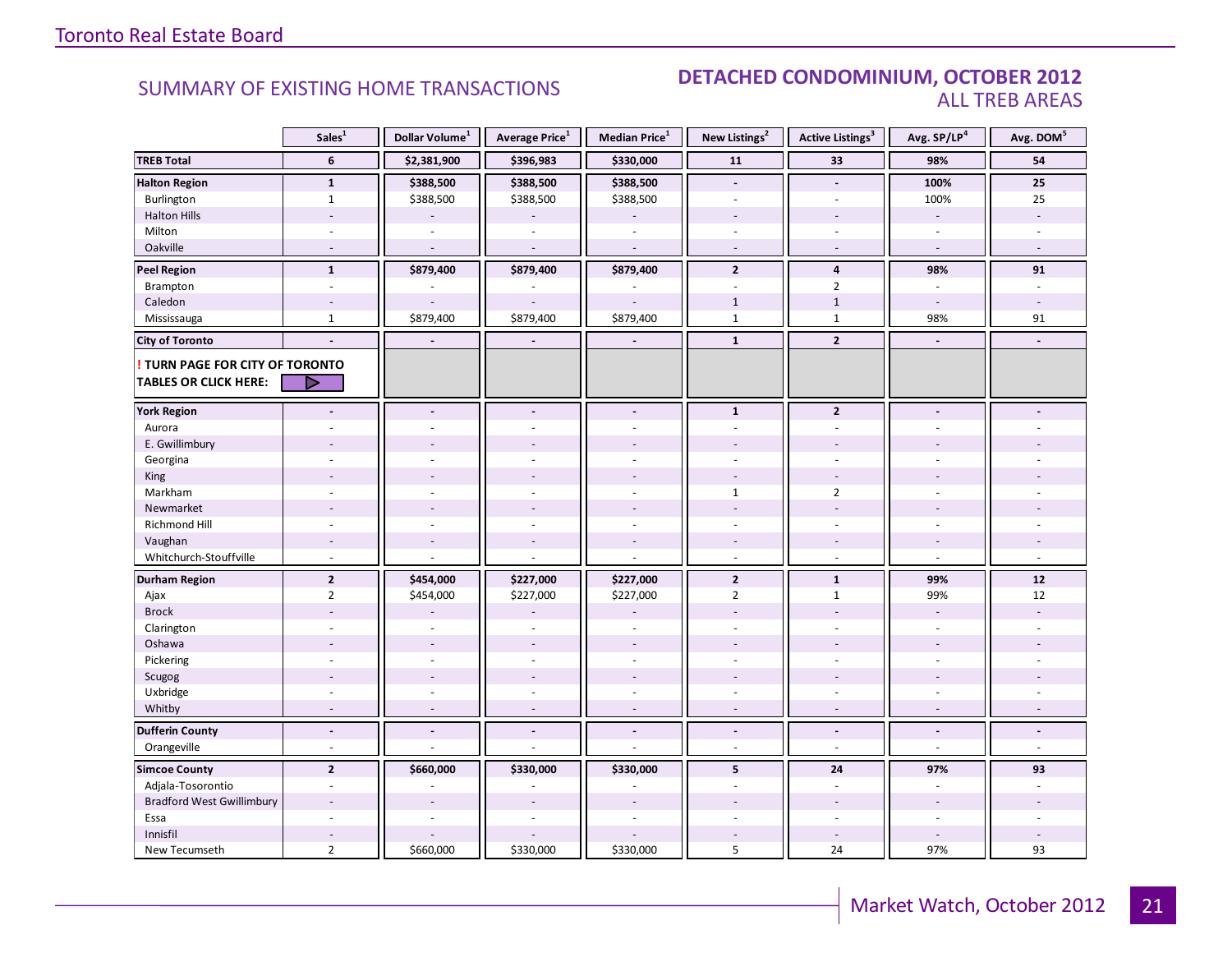### SUMMARY OF EXISTING HOME TRANSACTIONS **DETACHED CONDOMINIUM, OCTOBER 2012** ALL TREB AREAS

|                                        | Sales <sup>1</sup>       | Dollar Volume <sup>1</sup> | Average Price <sup>1</sup> | Median Price <sup>1</sup> | New Listings <sup>2</sup> | <b>Active Listings<sup>3</sup></b> | Avg. SP/LP <sup>4</sup>  | Avg. DOM <sup>5</sup> |
|----------------------------------------|--------------------------|----------------------------|----------------------------|---------------------------|---------------------------|------------------------------------|--------------------------|-----------------------|
| <b>TREB Total</b>                      | 6                        | \$2,381,900                | \$396,983                  | \$330,000                 | 11                        | 33                                 | 98%                      | 54                    |
| <b>Halton Region</b>                   | $\mathbf{1}$             | \$388,500                  | \$388,500                  | \$388,500                 | $\blacksquare$            | $\blacksquare$                     | 100%                     | 25                    |
| Burlington                             | $\mathbf{1}$             | \$388,500                  | \$388,500                  | \$388,500                 | $\sim$                    | $\sim$                             | 100%                     | 25                    |
| <b>Halton Hills</b>                    |                          |                            |                            |                           |                           |                                    |                          |                       |
| Milton                                 |                          |                            |                            |                           |                           | ÷.                                 | ÷.                       |                       |
| Oakville                               | $\overline{\phantom{a}}$ | $\sim$                     |                            | L.                        | $\sim$                    | $\sim$                             | $\sim$                   |                       |
| <b>Peel Region</b>                     | $\mathbf{1}$             | \$879,400                  | \$879,400                  | \$879,400                 | $\overline{2}$            | 4                                  | 98%                      | 91                    |
| Brampton                               | $\blacksquare$           |                            |                            |                           | $\sim$                    | $\overline{2}$                     | $\overline{\phantom{a}}$ | $\overline{a}$        |
| Caledon                                | $\overline{\phantom{a}}$ |                            |                            |                           | $\mathbf{1}$              | $1\,$                              | $\sim$                   |                       |
| Mississauga                            | $\mathbf{1}$             | \$879,400                  | \$879,400                  | \$879,400                 | $\mathbf{1}$              | $\mathbf{1}$                       | 98%                      | 91                    |
| <b>City of Toronto</b>                 | $\blacksquare$           | $\blacksquare$             |                            | $\blacksquare$            | $\mathbf{1}$              | $\overline{2}$                     | $\blacksquare$           | $\blacksquare$        |
| <b>! TURN PAGE FOR CITY OF TORONTO</b> |                          |                            |                            |                           |                           |                                    |                          |                       |
| <b>TABLES OR CLICK HERE:</b>           | ▷                        |                            |                            |                           |                           |                                    |                          |                       |
| <b>York Region</b>                     |                          |                            |                            |                           | $\mathbf{1}$              | $\overline{2}$                     |                          |                       |
| Aurora                                 |                          |                            |                            |                           |                           |                                    |                          |                       |
| E. Gwillimbury                         |                          |                            |                            |                           |                           |                                    |                          |                       |
| Georgina                               |                          |                            |                            |                           |                           |                                    |                          |                       |
| King                                   |                          |                            |                            |                           |                           |                                    |                          |                       |
| Markham                                | ÷,                       | $\sim$                     | ÷.                         | ä,                        | 1                         | $\overline{2}$                     | $\overline{a}$           |                       |
| Newmarket                              |                          |                            |                            |                           |                           |                                    |                          |                       |
| Richmond Hill                          |                          |                            |                            |                           |                           |                                    |                          |                       |
| Vaughan                                | $\overline{\phantom{a}}$ | $\overline{a}$             | $\overline{a}$             | $\overline{a}$            | $\overline{\phantom{a}}$  | $\overline{\phantom{a}}$           | $\overline{a}$           |                       |
| Whitchurch-Stouffville                 | ÷,                       |                            |                            |                           | $\omega$                  | $\sim$                             | $\bar{a}$                |                       |
| <b>Durham Region</b>                   | $\overline{2}$           | \$454,000                  | \$227,000                  | \$227,000                 | $\mathbf{2}$              | $\mathbf{1}$                       | 99%                      | $12$                  |
| Ajax                                   | $\overline{2}$           | \$454,000                  | \$227,000                  | \$227,000                 | $\overline{2}$            | $\mathbf{1}$                       | 99%                      | 12                    |
| <b>Brock</b>                           |                          |                            |                            |                           |                           |                                    | $\overline{\phantom{a}}$ |                       |
| Clarington                             |                          |                            |                            |                           |                           |                                    |                          |                       |
| Oshawa                                 |                          |                            |                            |                           |                           |                                    |                          |                       |
| Pickering                              | $\overline{\phantom{a}}$ | ÷.                         |                            | $\overline{\phantom{a}}$  | ÷                         | $\sim$                             | ÷                        |                       |
| Scugog                                 |                          |                            | $\overline{a}$             | $\overline{a}$            |                           |                                    |                          |                       |
| Uxbridge                               |                          |                            |                            |                           |                           |                                    |                          |                       |
| Whitby                                 |                          |                            |                            |                           |                           |                                    |                          |                       |
| <b>Dufferin County</b>                 | $\blacksquare$           | $\blacksquare$             | $\overline{a}$             | $\overline{a}$            | $\blacksquare$            | $\overline{a}$                     | $\overline{a}$           |                       |
| Orangeville                            | L.                       |                            |                            |                           | $\overline{a}$            | ÷,                                 | ÷,                       |                       |
| <b>Simcoe County</b>                   | $\overline{2}$           | \$660,000                  | \$330,000                  | \$330,000                 | 5                         | 24                                 | 97%                      | 93                    |
| Adjala-Tosorontio                      |                          |                            |                            |                           |                           | $\sim$                             |                          |                       |
| <b>Bradford West Gwillimbury</b>       | $\overline{a}$           |                            |                            |                           |                           |                                    | $\overline{a}$           |                       |
| Essa                                   | ä,                       | ÷,                         | ÷,                         | L.                        |                           | $\sim$                             | ÷,                       |                       |
| Innisfil                               |                          |                            |                            |                           |                           | $\sim$                             |                          |                       |
| New Tecumseth                          | $\overline{2}$           | \$660,000                  | \$330,000                  | \$330,000                 | 5                         | 24                                 | 97%                      | 93                    |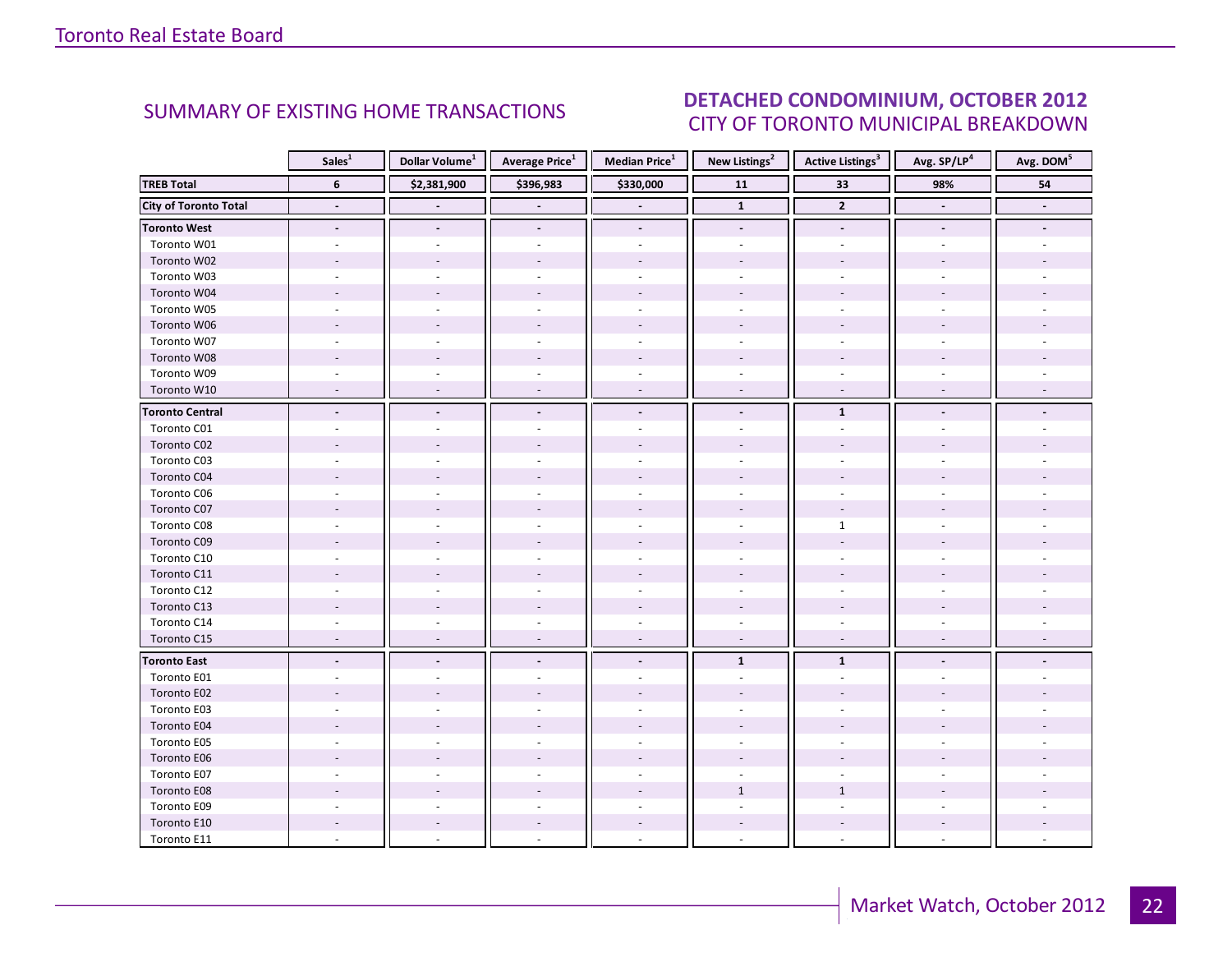#### OCTORER 2012 CITY OF TORONTO MUNICIPAL BREAKDOWN SUMMARY OF EXISTING HOME TRANSACTIONS **DETACHED CONDOMINIUM, OCTOBER 2012**

<span id="page-21-0"></span>

|                              | Sales <sup>1</sup>       | Dollar Volume <sup>1</sup> | <b>Average Price</b> <sup>1</sup> | <b>Median Price</b> <sup>1</sup> | New Listings <sup>2</sup> | <b>Active Listings</b> <sup>3</sup> | Avg. SP/LP <sup>4</sup>  | Avg. DOM <sup>5</sup> |
|------------------------------|--------------------------|----------------------------|-----------------------------------|----------------------------------|---------------------------|-------------------------------------|--------------------------|-----------------------|
| <b>TREB Total</b>            | $6\phantom{1}$           | \$2,381,900                | \$396,983                         | \$330,000                        | 11                        | 33                                  | 98%                      | 54                    |
| <b>City of Toronto Total</b> | $\overline{\phantom{a}}$ |                            |                                   | $\blacksquare$                   | $\overline{1}$            | $\mathbf{2}$                        | $\overline{\phantom{a}}$ | $\blacksquare$        |
| <b>Toronto West</b>          | $\overline{\phantom{a}}$ | $\blacksquare$             | $\blacksquare$                    | $\blacksquare$                   | $\overline{\phantom{a}}$  | $\blacksquare$                      | $\overline{\phantom{a}}$ |                       |
| Toronto W01                  |                          |                            |                                   |                                  |                           |                                     |                          |                       |
| Toronto W02                  |                          |                            |                                   |                                  |                           |                                     |                          |                       |
| Toronto W03                  | $\bar{a}$                |                            |                                   | $\overline{a}$                   |                           | $\overline{a}$                      |                          |                       |
| Toronto W04                  |                          |                            |                                   |                                  |                           |                                     |                          |                       |
| Toronto W05                  |                          |                            |                                   |                                  |                           |                                     |                          |                       |
| Toronto W06                  |                          |                            |                                   |                                  |                           |                                     |                          |                       |
| Toronto W07                  |                          |                            |                                   |                                  |                           |                                     |                          |                       |
| Toronto W08                  |                          |                            |                                   |                                  |                           |                                     |                          |                       |
| Toronto W09                  |                          |                            |                                   |                                  |                           |                                     |                          |                       |
| Toronto W10                  |                          |                            |                                   |                                  |                           | $\overline{a}$                      |                          |                       |
| <b>Toronto Central</b>       | $\overline{a}$           | $\overline{\phantom{a}}$   | $\blacksquare$                    | $\blacksquare$                   | $\blacksquare$            | $\mathbf{1}$                        |                          |                       |
| Toronto C01                  |                          |                            |                                   |                                  |                           |                                     |                          |                       |
| Toronto C02                  |                          |                            |                                   |                                  |                           |                                     |                          |                       |
| Toronto C03                  |                          |                            |                                   |                                  |                           |                                     |                          |                       |
| Toronto C04                  |                          |                            |                                   |                                  |                           |                                     |                          |                       |
| Toronto C06                  |                          |                            |                                   |                                  |                           |                                     |                          |                       |
| Toronto C07                  |                          |                            |                                   |                                  |                           |                                     |                          |                       |
| Toronto C08                  |                          |                            |                                   |                                  |                           | $\mathbf{1}$                        |                          |                       |
| Toronto C09                  |                          |                            |                                   |                                  |                           |                                     |                          |                       |
| Toronto C10                  |                          |                            |                                   |                                  |                           |                                     |                          |                       |
| Toronto C11                  |                          |                            |                                   |                                  |                           |                                     |                          |                       |
| Toronto C12                  |                          |                            |                                   | $\sim$                           | $\sim$                    | $\overline{\phantom{a}}$            |                          |                       |
| Toronto C13                  |                          |                            |                                   |                                  |                           |                                     |                          |                       |
| Toronto C14                  |                          |                            |                                   |                                  |                           |                                     |                          |                       |
| Toronto C15                  | $\overline{a}$           | $\overline{a}$             | $\sim$                            | $\sim$                           | $\sim$                    | $\sim$                              |                          |                       |
| <b>Toronto East</b>          |                          |                            |                                   | $\blacksquare$                   | $\mathbf{1}$              | $\mathbf{1}$                        |                          |                       |
| Toronto E01                  |                          |                            |                                   |                                  |                           |                                     |                          |                       |
| Toronto E02                  |                          |                            |                                   |                                  |                           |                                     |                          |                       |
| Toronto E03                  |                          |                            |                                   |                                  |                           |                                     |                          |                       |
| Toronto E04                  |                          |                            |                                   |                                  |                           |                                     |                          |                       |
| Toronto E05                  |                          |                            |                                   |                                  |                           |                                     |                          |                       |
| Toronto E06                  |                          |                            |                                   |                                  |                           |                                     |                          |                       |
| Toronto E07                  |                          |                            |                                   |                                  |                           |                                     |                          |                       |
| Toronto E08                  |                          |                            |                                   |                                  | $\mathbf{1}$              | $\mathbf{1}$                        |                          |                       |
| Toronto E09                  |                          |                            |                                   |                                  |                           |                                     |                          |                       |
| Toronto E10                  |                          |                            |                                   |                                  |                           |                                     |                          |                       |
| Toronto E11                  |                          |                            |                                   |                                  |                           |                                     |                          |                       |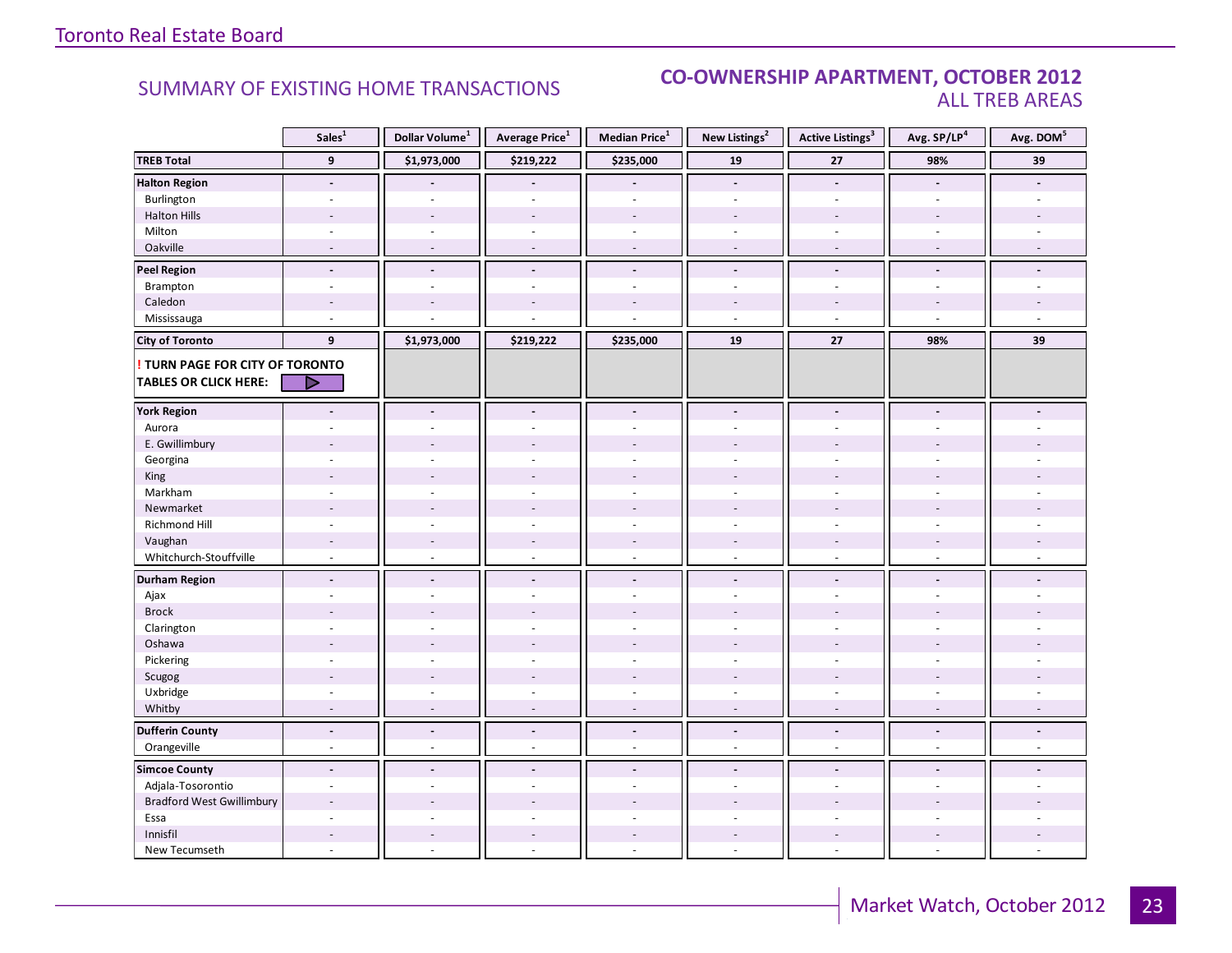### SUMMARY OF EXISTING HOME TRANSACTIONS **CO-OWNERSHIP APARTMENT, OCTOBER 2012** ALL TREB AREAS

|                                  | Sales <sup>1</sup>       | Dollar Volume <sup>1</sup> | <b>Average Price</b> <sup>1</sup> | Median Price <sup>1</sup> | New Listings <sup>2</sup> | <b>Active Listings<sup>3</sup></b> | Avg. SP/LP <sup>4</sup>  | Avg. DOM <sup>5</sup> |
|----------------------------------|--------------------------|----------------------------|-----------------------------------|---------------------------|---------------------------|------------------------------------|--------------------------|-----------------------|
| <b>TREB Total</b>                | $\overline{9}$           | \$1,973,000                | \$219,222                         | \$235,000                 | 19                        | $\bf 27$                           | 98%                      | 39                    |
| <b>Halton Region</b>             | $\blacksquare$           |                            |                                   |                           | $\overline{\phantom{a}}$  | $\overline{\phantom{a}}$           | $\blacksquare$           |                       |
| Burlington                       | $\blacksquare$           | $\sim$                     | $\sim$                            | ä,                        | $\omega$                  | $\sim$                             | $\sim$                   |                       |
| <b>Halton Hills</b>              |                          |                            |                                   | $\overline{a}$            |                           |                                    |                          |                       |
| Milton                           |                          |                            |                                   |                           |                           |                                    |                          |                       |
| Oakville                         |                          |                            |                                   | $\overline{a}$            |                           |                                    |                          |                       |
| <b>Peel Region</b>               | $\overline{a}$           | $\blacksquare$             | $\overline{a}$                    | $\overline{a}$            | $\overline{a}$            | $\overline{a}$                     | $\overline{a}$           |                       |
| Brampton                         | ÷                        | $\sim$                     | ÷                                 | ÷.                        | $\sim$                    | $\sim$                             | $\overline{a}$           |                       |
| Caledon                          | $\overline{a}$           |                            |                                   |                           |                           |                                    |                          |                       |
| Mississauga                      | ÷.                       |                            |                                   |                           | $\overline{a}$            | $\sim$                             | ÷,                       |                       |
| <b>City of Toronto</b>           | 9                        | \$1,973,000                | \$219,222                         | \$235,000                 | 19                        | 27                                 | 98%                      | 39                    |
| ! TURN PAGE FOR CITY OF TORONTO  |                          |                            |                                   |                           |                           |                                    |                          |                       |
| <b>TABLES OR CLICK HERE:</b>     | ▶                        |                            |                                   |                           |                           |                                    |                          |                       |
| <b>York Region</b>               |                          | $\overline{a}$             |                                   | $\overline{a}$            |                           |                                    |                          |                       |
| Aurora                           |                          |                            |                                   |                           |                           |                                    |                          |                       |
| E. Gwillimbury                   |                          |                            |                                   |                           |                           |                                    |                          |                       |
| Georgina                         |                          |                            |                                   |                           |                           |                                    |                          |                       |
| King                             |                          |                            |                                   |                           |                           |                                    |                          |                       |
| Markham                          | ä,                       |                            |                                   | ä,                        | ÷.                        | $\overline{a}$                     |                          |                       |
| Newmarket                        |                          |                            |                                   |                           |                           |                                    |                          |                       |
| Richmond Hill                    | $\overline{a}$           |                            |                                   |                           |                           |                                    |                          |                       |
| Vaughan                          | ÷,                       | $\sim$                     | $\sim$                            | $\overline{a}$            | $\sim$                    | $\sim$                             | $\overline{\phantom{a}}$ |                       |
| Whitchurch-Stouffville           | $\overline{\phantom{a}}$ | $\sim$                     | $\sim$                            | ÷,                        | $\sim$                    | ÷.                                 | $\sim$                   |                       |
| <b>Durham Region</b>             | $\overline{a}$           |                            |                                   | $\overline{a}$            |                           | $\overline{a}$                     |                          |                       |
| Ajax                             | ٠                        |                            |                                   | ÷.                        | $\overline{a}$            |                                    | $\sim$                   |                       |
| <b>Brock</b>                     |                          |                            |                                   |                           |                           |                                    |                          |                       |
| Clarington                       |                          |                            |                                   |                           |                           |                                    |                          |                       |
| Oshawa                           |                          |                            |                                   |                           |                           |                                    |                          |                       |
| Pickering                        | $\overline{\phantom{a}}$ |                            |                                   | ä,                        | ÷                         | $\sim$                             |                          |                       |
| Scugog                           |                          |                            |                                   |                           |                           |                                    |                          |                       |
| Uxbridge                         |                          |                            |                                   |                           |                           |                                    |                          |                       |
| Whitby                           |                          |                            |                                   |                           |                           |                                    |                          |                       |
| <b>Dufferin County</b>           | $\blacksquare$           | $\blacksquare$             | $\overline{\phantom{a}}$          | $\frac{1}{2}$             | $\blacksquare$            | $\tilde{\phantom{a}}$              | $\blacksquare$           |                       |
| Orangeville                      | L.                       | $\overline{a}$             | $\bar{a}$                         | ä,                        | $\sim$                    | $\sim$                             | $\overline{a}$           |                       |
| <b>Simcoe County</b>             | $\blacksquare$           | $\sim$                     | $\overline{a}$                    | $\overline{a}$            | $\sim$                    | $\overline{\phantom{a}}$           | $\blacksquare$           |                       |
| Adjala-Tosorontio                |                          |                            |                                   |                           |                           |                                    |                          |                       |
| <b>Bradford West Gwillimbury</b> | $\overline{a}$           |                            |                                   |                           |                           |                                    |                          |                       |
| Essa                             | ÷                        |                            |                                   |                           |                           | ÷.                                 | ÷                        |                       |
| Innisfil                         |                          |                            |                                   |                           |                           |                                    |                          |                       |
| New Tecumseth                    |                          |                            |                                   |                           |                           |                                    |                          |                       |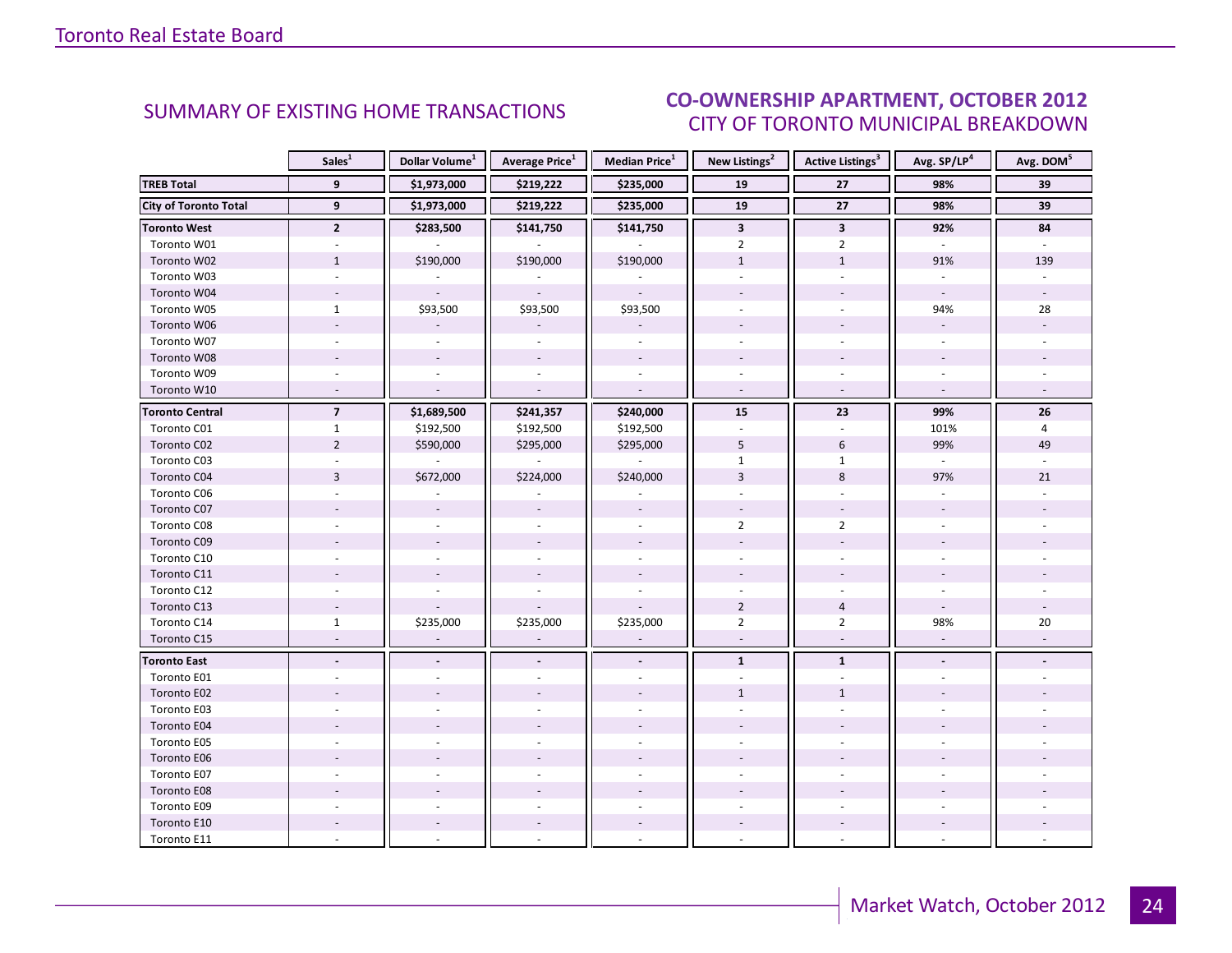#### OCTORER 2012 CITY OF TORONTO MUNICIPAL BREAKDOWN SUMMARY OF EXISTING HOME TRANSACTIONS<br>CITY OF TOPONTO MUNICIPAL PREAKDOMAL

<span id="page-23-0"></span>

|                              | Sales <sup>1</sup>       | Dollar Volume <sup>1</sup> | <b>Average Price</b> <sup>1</sup> | <b>Median Price</b> <sup>1</sup> | New Listings <sup>2</sup> | <b>Active Listings<sup>3</sup></b> | Avg. SP/LP <sup>4</sup>  | Avg. DOM <sup>5</sup> |
|------------------------------|--------------------------|----------------------------|-----------------------------------|----------------------------------|---------------------------|------------------------------------|--------------------------|-----------------------|
| <b>TREB Total</b>            | 9                        | \$1,973,000                | \$219,222                         | \$235,000                        | 19                        | 27                                 | 98%                      | 39                    |
| <b>City of Toronto Total</b> | $\overline{9}$           | \$1,973,000                | \$219,222                         | \$235,000                        | 19                        | $\overline{27}$                    | 98%                      | 39                    |
| <b>Toronto West</b>          | $\overline{2}$           | \$283,500                  | \$141,750                         | \$141,750                        | $\overline{\mathbf{3}}$   | $\mathbf{3}$                       | 92%                      | 84                    |
| Toronto W01                  |                          |                            |                                   |                                  | $\overline{2}$            | $\overline{2}$                     |                          |                       |
| Toronto W02                  | $\mathbf{1}$             | \$190,000                  | \$190,000                         | \$190,000                        | $\mathbf{1}$              | $1\,$                              | 91%                      | 139                   |
| Toronto W03                  | $\omega$                 |                            |                                   |                                  | ÷.                        | ÷.                                 | ÷.                       |                       |
| Toronto W04                  |                          |                            | $\omega$                          |                                  |                           |                                    | $\mathcal{L}$            |                       |
| Toronto W05                  | $\mathbf{1}$             | \$93,500                   | \$93,500                          | \$93,500                         |                           |                                    | 94%                      | 28                    |
| Toronto W06                  |                          |                            |                                   |                                  |                           |                                    | $\omega$                 |                       |
| Toronto W07                  |                          |                            | $\sim$                            | $\sim$                           |                           |                                    | $\overline{\phantom{a}}$ |                       |
| Toronto W08                  |                          |                            |                                   |                                  |                           |                                    |                          |                       |
| Toronto W09                  |                          |                            |                                   |                                  |                           |                                    |                          |                       |
| Toronto W10                  | ÷.                       | $\overline{a}$             | $\mathbf{r}$                      | $\mathcal{L}$                    | $\omega$                  | $\sim$                             | $\mathcal{L}$            |                       |
| <b>Toronto Central</b>       | $\overline{\phantom{a}}$ | \$1,689,500                | \$241,357                         | \$240,000                        | 15                        | 23                                 | 99%                      | 26                    |
| Toronto C01                  | $\mathbf{1}$             | \$192,500                  | \$192,500                         | \$192,500                        |                           |                                    | 101%                     | 4                     |
| Toronto C02                  | $\overline{2}$           | \$590,000                  | \$295,000                         | \$295,000                        | 5                         | 6                                  | 99%                      | 49                    |
| Toronto C03                  |                          |                            |                                   |                                  | $\mathbf{1}$              | $\mathbf{1}$                       | $\omega$                 |                       |
| Toronto C04                  | $\overline{3}$           | \$672,000                  | \$224,000                         | \$240,000                        | 3                         | 8                                  | 97%                      | 21                    |
| Toronto C06                  |                          |                            |                                   |                                  |                           |                                    |                          |                       |
| Toronto C07                  |                          |                            |                                   |                                  |                           |                                    |                          |                       |
| Toronto C08                  |                          |                            |                                   |                                  | $\overline{2}$            | $\overline{2}$                     |                          |                       |
| Toronto C09                  |                          |                            |                                   |                                  |                           |                                    |                          |                       |
| Toronto C10                  |                          |                            |                                   |                                  |                           |                                    |                          |                       |
| Toronto C11                  |                          |                            |                                   |                                  |                           |                                    |                          |                       |
| Toronto C12                  |                          |                            |                                   |                                  |                           |                                    |                          |                       |
| Toronto C13                  |                          |                            |                                   |                                  | $\overline{2}$            | $\overline{4}$                     |                          |                       |
| Toronto C14                  | $\mathbf{1}$             | \$235,000                  | \$235,000                         | \$235,000                        | $\overline{2}$            | $\overline{2}$                     | 98%                      | $20\,$                |
| Toronto C15                  | $\overline{\phantom{a}}$ | $\overline{\phantom{a}}$   | $\overline{\phantom{a}}$          | $\sim$                           | $\mathbf{r}$              | $\blacksquare$                     | $\overline{\phantom{a}}$ |                       |
| <b>Toronto East</b>          |                          |                            |                                   |                                  | $\mathbf{1}$              | $\mathbf{1}$                       | $\blacksquare$           |                       |
| Toronto E01                  |                          |                            |                                   |                                  |                           |                                    |                          |                       |
| Toronto E02                  |                          |                            |                                   |                                  | $\mathbf{1}$              | $\mathbf{1}$                       |                          |                       |
| Toronto E03                  |                          |                            |                                   |                                  |                           |                                    |                          |                       |
| Toronto E04                  |                          |                            |                                   |                                  |                           |                                    |                          |                       |
| Toronto E05                  |                          |                            |                                   |                                  |                           |                                    |                          |                       |
| Toronto E06                  |                          |                            |                                   |                                  |                           |                                    |                          |                       |
| Toronto E07                  |                          |                            |                                   |                                  |                           |                                    |                          |                       |
| Toronto E08                  |                          |                            |                                   |                                  |                           |                                    |                          |                       |
| Toronto E09                  |                          |                            |                                   |                                  |                           |                                    |                          |                       |
| Toronto E10                  |                          |                            |                                   | $\sim$                           |                           |                                    |                          |                       |
| Toronto E11                  |                          |                            |                                   |                                  |                           |                                    |                          |                       |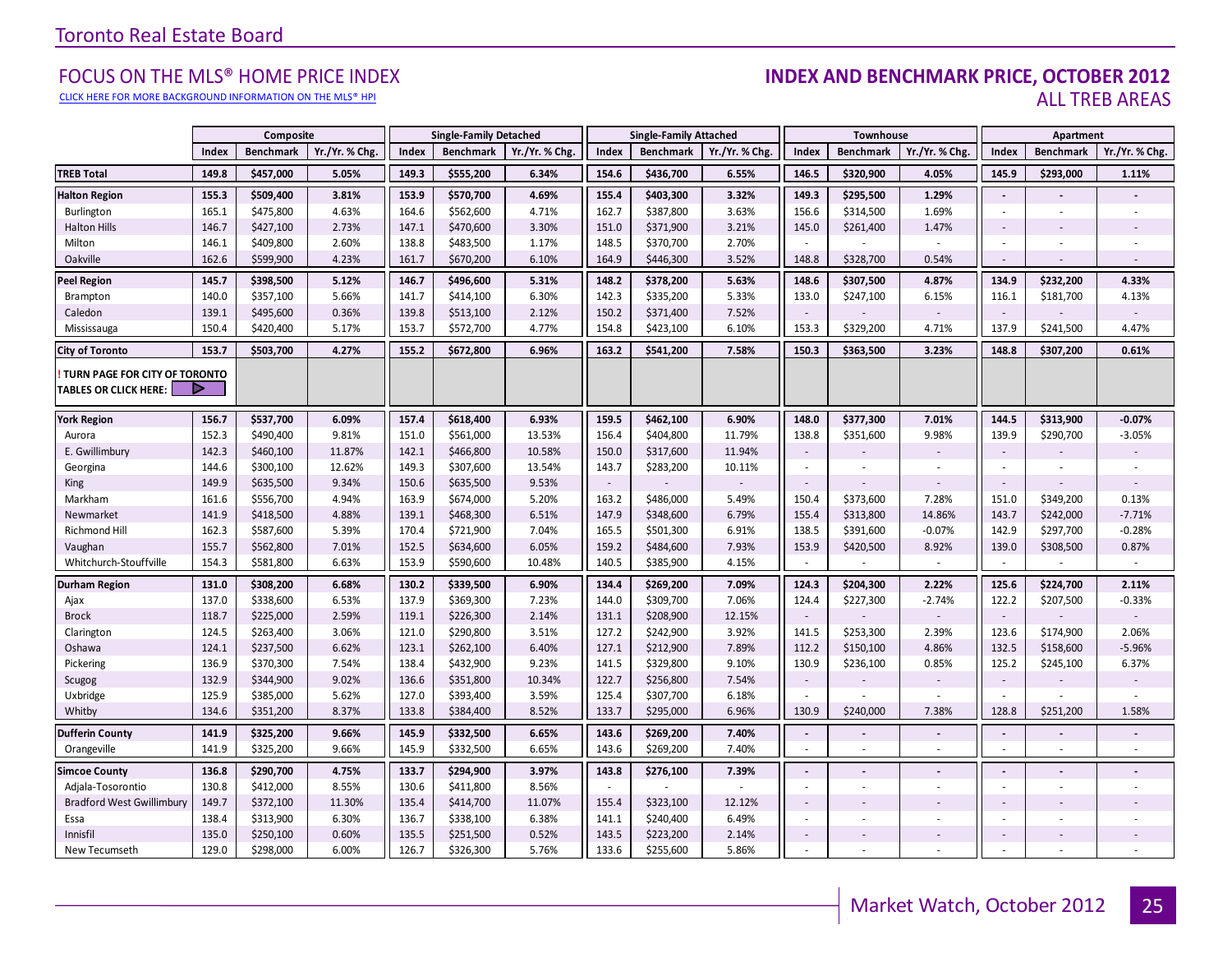#### [CLICK HERE FOR MORE BACKGROUND INFORMATION ON THE MLS® HPI](http://www.torontorealestateboard.com/market_news/home_price_index/index.htm)

#### FOCUS ON THE MLS® HOME PRICE INDEX<br>CLICK HERE FOR MORE BACKGROUND INFORMATION ON THE MLS® HPI ALL TREB AREAS

|                                                               |       | Composite        |                |       | <b>Single-Family Detached</b> |                |        | <b>Single-Family Attached</b> |                |                          | Townhouse        |               |                          | Apartment        |                          |
|---------------------------------------------------------------|-------|------------------|----------------|-------|-------------------------------|----------------|--------|-------------------------------|----------------|--------------------------|------------------|---------------|--------------------------|------------------|--------------------------|
|                                                               | Index | <b>Benchmark</b> | Yr./Yr. % Chg. | Index | <b>Benchmark</b>              | Yr./Yr. % Chg. | Index  | <b>Benchmark</b>              | Yr./Yr. % Chg. | Index                    | <b>Benchmark</b> | Yr./Yr. % Chg | Index                    | <b>Benchmark</b> | Yr./Yr. % Chg.           |
| <b>TREB Total</b>                                             | 149.8 | \$457,000        | 5.05%          | 149.3 | \$555,200                     | 6.34%          | 154.6  | \$436,700                     | 6.55%          | 146.5                    | \$320,900        | 4.05%         | 145.9                    | \$293,000        | 1.11%                    |
| <b>Halton Region</b>                                          | 155.3 | \$509,400        | 3.81%          | 153.9 | \$570,700                     | 4.69%          | 155.4  | \$403,300                     | 3.32%          | 149.3                    | \$295,500        | 1.29%         | $\overline{a}$           |                  |                          |
| Burlington                                                    | 165.1 | \$475,800        | 4.63%          | 164.6 | \$562,600                     | 4.71%          | 162.7  | \$387,800                     | 3.63%          | 156.6                    | \$314,500        | 1.69%         | ÷,                       | $\sim$           |                          |
| <b>Halton Hills</b>                                           | 146.7 | \$427,100        | 2.73%          | 147.1 | \$470,600                     | 3.30%          | 151.0  | \$371,900                     | 3.21%          | 145.0                    | \$261,400        | 1.47%         | $\overline{\phantom{a}}$ |                  |                          |
| Milton                                                        | 146.1 | \$409,800        | 2.60%          | 138.8 | \$483,500                     | 1.17%          | 148.5  | \$370,700                     | 2.70%          | $\sim$                   |                  |               |                          |                  |                          |
| Oakville                                                      | 162.6 | \$599,900        | 4.23%          | 161.7 | \$670,200                     | 6.10%          | 164.9  | \$446,300                     | 3.52%          | 148.8                    | \$328,700        | 0.54%         | $\sim$                   |                  |                          |
| <b>Peel Region</b>                                            | 145.7 | \$398,500        | 5.12%          | 146.7 | \$496,600                     | 5.31%          | 148.2  | \$378,200                     | 5.63%          | 148.6                    | \$307,500        | 4.87%         | 134.9                    | \$232,200        | 4.33%                    |
| Brampton                                                      | 140.0 | \$357,100        | 5.66%          | 141.7 | \$414,100                     | 6.30%          | 142.3  | \$335,200                     | 5.33%          | 133.0                    | \$247,100        | 6.15%         | 116.1                    | \$181,700        | 4.13%                    |
| Caledon                                                       | 139.1 | \$495,600        | 0.36%          | 139.8 | \$513,100                     | 2.12%          | 150.2  | \$371,400                     | 7.52%          | $\overline{\phantom{a}}$ |                  |               | $\overline{\phantom{a}}$ |                  |                          |
| Mississauga                                                   | 150.4 | \$420,400        | 5.17%          | 153.7 | \$572,700                     | 4.77%          | 154.8  | \$423,100                     | 6.10%          | 153.3                    | \$329,200        | 4.71%         | 137.9                    | \$241,500        | 4.47%                    |
| <b>City of Toronto</b>                                        | 153.7 | \$503,700        | 4.27%          | 155.2 | \$672,800                     | 6.96%          | 163.2  | \$541,200                     | 7.58%          | 150.3                    | \$363,500        | 3.23%         | 148.8                    | \$307,200        | 0.61%                    |
| TURN PAGE FOR CITY OF TORONTO<br><b>TABLES OR CLICK HERE:</b> |       |                  |                |       |                               |                |        |                               |                |                          |                  |               |                          |                  |                          |
| <b>York Region</b>                                            | 156.7 | \$537,700        | 6.09%          | 157.4 | \$618,400                     | 6.93%          | 159.5  | \$462,100                     | 6.90%          | 148.0                    | \$377,300        | 7.01%         | 144.5                    | \$313,900        | $-0.07%$                 |
| Aurora                                                        | 152.3 | \$490,400        | 9.81%          | 151.0 | \$561,000                     | 13.53%         | 156.4  | \$404,800                     | 11.79%         | 138.8                    | \$351,600        | 9.98%         | 139.9                    | \$290,700        | $-3.05%$                 |
| E. Gwillimbury                                                | 142.3 | \$460,100        | 11.87%         | 142.1 | \$466,800                     | 10.58%         | 150.0  | \$317,600                     | 11.94%         | $\overline{\phantom{a}}$ |                  |               | $\sim$                   |                  |                          |
| Georgina                                                      | 144.6 | \$300,100        | 12.62%         | 149.3 | \$307,600                     | 13.54%         | 143.7  | \$283,200                     | 10.11%         | $\omega$                 |                  |               | $\sim$                   |                  |                          |
| King                                                          | 149.9 | \$635,500        | 9.34%          | 150.6 | \$635,500                     | 9.53%          | $\sim$ |                               |                | $\overline{\phantom{a}}$ |                  |               | $\sim$                   |                  |                          |
| Markham                                                       | 161.6 | \$556,700        | 4.94%          | 163.9 | \$674,000                     | 5.20%          | 163.2  | \$486,000                     | 5.49%          | 150.4                    | \$373,600        | 7.28%         | 151.0                    | \$349,200        | 0.13%                    |
| Newmarket                                                     | 141.9 | \$418,500        | 4.88%          | 139.1 | \$468,300                     | 6.51%          | 147.9  | \$348,600                     | 6.79%          | 155.4                    | \$313,800        | 14.86%        | 143.7                    | \$242,000        | $-7.71%$                 |
| <b>Richmond Hill</b>                                          | 162.3 | \$587,600        | 5.39%          | 170.4 | \$721,900                     | 7.04%          | 165.5  | \$501,300                     | 6.91%          | 138.5                    | \$391,600        | $-0.07%$      | 142.9                    | \$297,700        | $-0.28%$                 |
| Vaughan                                                       | 155.7 | \$562,800        | 7.01%          | 152.5 | \$634,600                     | 6.05%          | 159.2  | \$484,600                     | 7.93%          | 153.9                    | \$420,500        | 8.92%         | 139.0                    | \$308,500        | 0.87%                    |
| Whitchurch-Stouffville                                        | 154.3 | \$581,800        | 6.63%          | 153.9 | \$590,600                     | 10.48%         | 140.5  | \$385,900                     | 4.15%          | $\blacksquare$           | $\sim$           | $\sim$        | $\sim$                   | $\omega$         | $\sim$                   |
| <b>Durham Region</b>                                          | 131.0 | \$308,200        | 6.68%          | 130.2 | \$339,500                     | 6.90%          | 134.4  | \$269,200                     | 7.09%          | 124.3                    | \$204,300        | 2.22%         | 125.6                    | \$224,700        | 2.11%                    |
| Ajax                                                          | 137.0 | \$338,600        | 6.53%          | 137.9 | \$369,300                     | 7.23%          | 144.0  | \$309,700                     | 7.06%          | 124.4                    | \$227,300        | $-2.74%$      | 122.2                    | \$207,500        | $-0.33%$                 |
| <b>Brock</b>                                                  | 118.7 | \$225,000        | 2.59%          | 119.1 | \$226,300                     | 2.14%          | 131.1  | \$208,900                     | 12.15%         | $\sim$                   |                  |               | $\sim$                   |                  |                          |
| Clarington                                                    | 124.5 | \$263,400        | 3.06%          | 121.0 | \$290,800                     | 3.51%          | 127.2  | \$242,900                     | 3.92%          | 141.5                    | \$253,300        | 2.39%         | 123.6                    | \$174,900        | 2.06%                    |
| Oshawa                                                        | 124.1 | \$237,500        | 6.62%          | 123.1 | \$262,100                     | 6.40%          | 127.1  | \$212,900                     | 7.89%          | 112.2                    | \$150,100        | 4.86%         | 132.5                    | \$158,600        | $-5.96%$                 |
| Pickering                                                     | 136.9 | \$370,300        | 7.54%          | 138.4 | \$432,900                     | 9.23%          | 141.5  | \$329,800                     | 9.10%          | 130.9                    | \$236,100        | 0.85%         | 125.2                    | \$245,100        | 6.37%                    |
| Scugog                                                        | 132.9 | \$344,900        | 9.02%          | 136.6 | \$351,800                     | 10.34%         | 122.7  | \$256,800                     | 7.54%          | $\sim$                   |                  |               | $\sim$                   |                  |                          |
| Uxbridge                                                      | 125.9 | \$385,000        | 5.62%          | 127.0 | \$393,400                     | 3.59%          | 125.4  | \$307,700                     | 6.18%          | $\sim$                   |                  |               |                          |                  | $\sim$                   |
| Whitby                                                        | 134.6 | \$351,200        | 8.37%          | 133.8 | \$384,400                     | 8.52%          | 133.7  | \$295,000                     | 6.96%          | 130.9                    | \$240,000        | 7.38%         | 128.8                    | \$251,200        | 1.58%                    |
| <b>Dufferin County</b>                                        | 141.9 | \$325,200        | 9.66%          | 145.9 | \$332,500                     | 6.65%          | 143.6  | \$269,200                     | 7.40%          | $\overline{\phantom{a}}$ |                  |               | $\blacksquare$           | $\sim$           | $\overline{\phantom{a}}$ |
| Orangeville                                                   | 141.9 | \$325,200        | 9.66%          | 145.9 | \$332,500                     | 6.65%          | 143.6  | \$269,200                     | 7.40%          | $\mathbf{r}$             |                  |               |                          | ×                |                          |
| <b>Simcoe County</b>                                          | 136.8 | \$290,700        | 4.75%          | 133.7 | \$294,900                     | 3.97%          | 143.8  | \$276,100                     | 7.39%          | $\blacksquare$           |                  |               |                          | $\blacksquare$   |                          |
| Adjala-Tosorontio                                             | 130.8 | \$412,000        | 8.55%          | 130.6 | \$411,800                     | 8.56%          | $\sim$ |                               |                | $\mathbf{r}$             |                  |               | ä,                       | ×                |                          |
| <b>Bradford West Gwillimbury</b>                              | 149.7 | \$372,100        | 11.30%         | 135.4 | \$414,700                     | 11.07%         | 155.4  | \$323,100                     | 12.12%         | $\overline{\phantom{a}}$ |                  |               |                          |                  |                          |
| Essa                                                          | 138.4 | \$313,900        | 6.30%          | 136.7 | \$338,100                     | 6.38%          | 141.1  | \$240,400                     | 6.49%          | $\sim$                   |                  |               | ÷.                       | $\overline{a}$   |                          |
| Innisfil                                                      | 135.0 | \$250,100        | 0.60%          | 135.5 | \$251,500                     | 0.52%          | 143.5  | \$223,200                     | 2.14%          | $\overline{\phantom{a}}$ |                  |               | $\overline{\phantom{a}}$ |                  |                          |
| New Tecumseth                                                 | 129.0 | \$298,000        | 6.00%          | 126.7 | \$326,300                     | 5.76%          | 133.6  | \$255,600                     | 5.86%          | ÷.                       |                  |               |                          |                  |                          |

**Page 3 July 2010**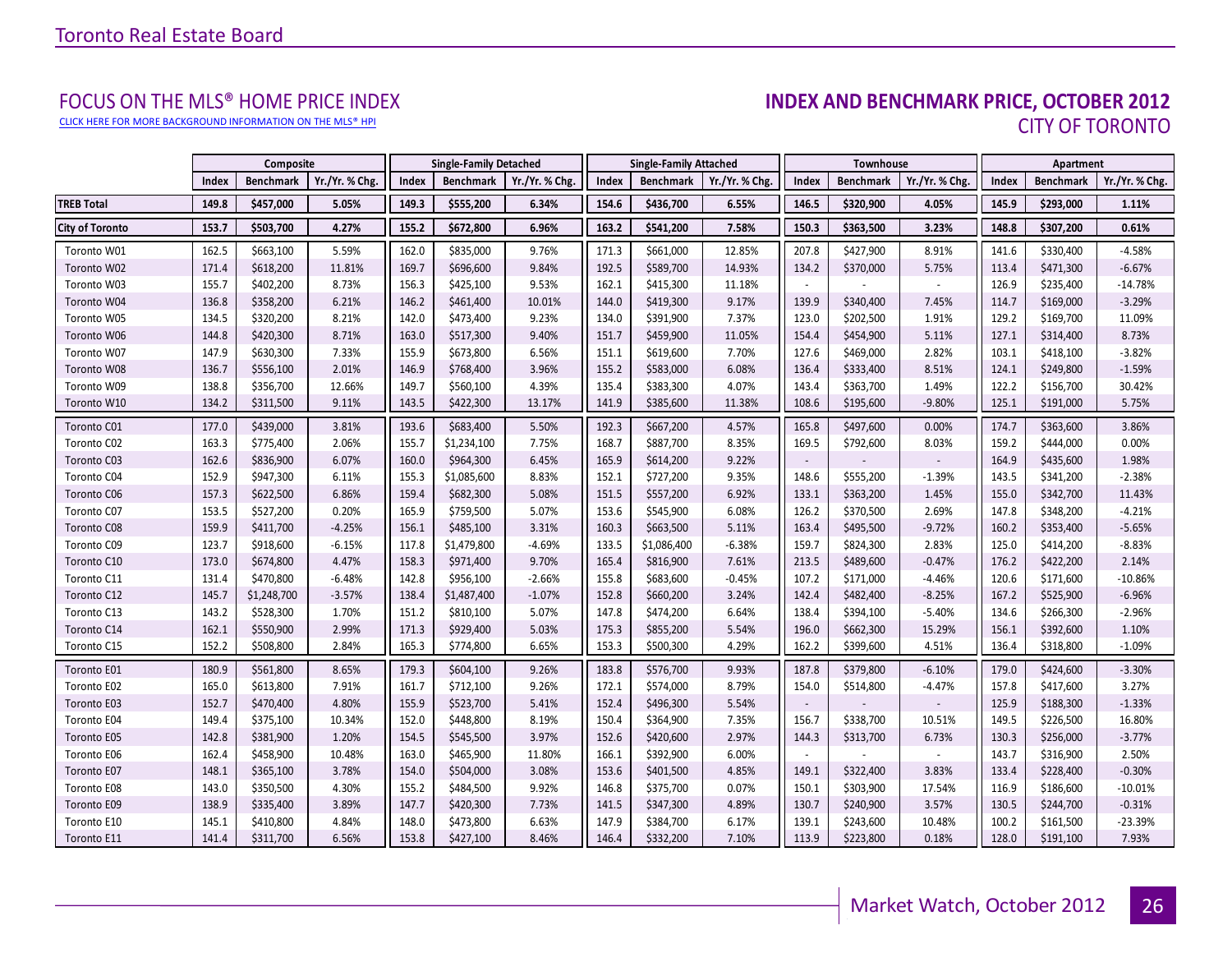[CLICK HERE FOR MORE BACKGROUND INFORMATION ON THE MLS® HPI](http://www.torontorealestateboard.com/market_news/home_price_index/index.htm)

# FOCUS ON THE MLS® HOME PRICE INDEX<br>**INDEX AND BENCHMARK PRICE, OCTOBER 2012** CITY OF TORONTO

<span id="page-25-0"></span>

|                        |       | Composite        |                |       | <b>Single-Family Detached</b> |                |       | <b>Single-Family Attached</b> |                |                          | Townhouse        |               |       | Apartment        |                |
|------------------------|-------|------------------|----------------|-------|-------------------------------|----------------|-------|-------------------------------|----------------|--------------------------|------------------|---------------|-------|------------------|----------------|
|                        | Index | <b>Benchmark</b> | Yr./Yr. % Chg. | Index | <b>Benchmark</b>              | Yr./Yr. % Chg. | Index | <b>Benchmark</b>              | Yr./Yr. % Chg. | Index                    | <b>Benchmark</b> | Yr./Yr. % Chg | Index | <b>Benchmark</b> | Yr./Yr. % Chg. |
| <b>TREB Total</b>      | 149.8 | \$457,000        | 5.05%          | 149.3 | \$555,200                     | 6.34%          | 154.6 | \$436,700                     | 6.55%          | 146.5                    | \$320,900        | 4.05%         | 145.9 | \$293,000        | 1.11%          |
| <b>City of Toronto</b> | 153.7 | \$503,700        | 4.27%          | 155.2 | \$672,800                     | 6.96%          | 163.2 | \$541,200                     | 7.58%          | 150.3                    | \$363,500        | 3.23%         | 148.8 | \$307,200        | 0.61%          |
| Toronto W01            | 162.5 | \$663,100        | 5.59%          | 162.0 | \$835,000                     | 9.76%          | 171.3 | \$661,000                     | 12.85%         | 207.8                    | \$427,900        | 8.91%         | 141.6 | \$330,400        | $-4.58%$       |
| Toronto W02            | 171.4 | \$618,200        | 11.81%         | 169.7 | \$696,600                     | 9.84%          | 192.5 | \$589,700                     | 14.93%         | 134.2                    | \$370,000        | 5.75%         | 113.4 | \$471,300        | $-6.67%$       |
| Toronto W03            | 155.7 | \$402,200        | 8.73%          | 156.3 | \$425,100                     | 9.53%          | 162.1 | \$415,300                     | 11.18%         |                          |                  |               | 126.9 | \$235,400        | $-14.78%$      |
| Toronto W04            | 136.8 | \$358,200        | 6.21%          | 146.2 | \$461,400                     | 10.01%         | 144.0 | \$419,300                     | 9.17%          | 139.9                    | \$340,400        | 7.45%         | 114.7 | \$169,000        | $-3.29%$       |
| Toronto W05            | 134.5 | \$320,200        | 8.21%          | 142.0 | \$473,400                     | 9.23%          | 134.0 | \$391,900                     | 7.37%          | 123.0                    | \$202,500        | 1.91%         | 129.2 | \$169,700        | 11.09%         |
| Toronto W06            | 144.8 | \$420,300        | 8.71%          | 163.0 | \$517,300                     | 9.40%          | 151.7 | \$459,900                     | 11.05%         | 154.4                    | \$454,900        | 5.11%         | 127.1 | \$314,400        | 8.73%          |
| Toronto W07            | 147.9 | \$630,300        | 7.33%          | 155.9 | \$673,800                     | 6.56%          | 151.1 | \$619,600                     | 7.70%          | 127.6                    | \$469,000        | 2.82%         | 103.1 | \$418,100        | $-3.82%$       |
| Toronto W08            | 136.7 | \$556,100        | 2.01%          | 146.9 | \$768,400                     | 3.96%          | 155.2 | \$583,000                     | 6.08%          | 136.4                    | \$333,400        | 8.51%         | 124.1 | \$249,800        | $-1.59%$       |
| Toronto W09            | 138.8 | \$356,700        | 12.66%         | 149.7 | \$560,100                     | 4.39%          | 135.4 | \$383,300                     | 4.07%          | 143.4                    | \$363,700        | 1.49%         | 122.2 | \$156,700        | 30.42%         |
| Toronto W10            | 134.2 | \$311,500        | 9.11%          | 143.5 | \$422,300                     | 13.17%         | 141.9 | \$385,600                     | 11.38%         | 108.6                    | \$195,600        | $-9.80%$      | 125.1 | \$191,000        | 5.75%          |
| Toronto C01            | 177.0 | \$439,000        | 3.81%          | 193.6 | \$683,400                     | 5.50%          | 192.3 | \$667,200                     | 4.57%          | 165.8                    | \$497,600        | 0.00%         | 174.7 | \$363,600        | 3.86%          |
| Toronto C02            | 163.3 | \$775,400        | 2.06%          | 155.7 | \$1,234,100                   | 7.75%          | 168.7 | \$887,700                     | 8.35%          | 169.5                    | \$792,600        | 8.03%         | 159.2 | \$444,000        | 0.00%          |
| Toronto C03            | 162.6 | \$836,900        | 6.07%          | 160.0 | \$964,300                     | 6.45%          | 165.9 | \$614,200                     | 9.22%          |                          |                  |               | 164.9 | \$435,600        | 1.98%          |
| Toronto C04            | 152.9 | \$947,300        | 6.11%          | 155.3 | \$1,085,600                   | 8.83%          | 152.1 | \$727,200                     | 9.35%          | 148.6                    | \$555,200        | $-1.39%$      | 143.5 | \$341,200        | $-2.38%$       |
| Toronto C06            | 157.3 | \$622,500        | 6.86%          | 159.4 | \$682,300                     | 5.08%          | 151.5 | \$557,200                     | 6.92%          | 133.1                    | \$363,200        | 1.45%         | 155.0 | \$342,700        | 11.43%         |
| Toronto C07            | 153.5 | \$527,200        | 0.20%          | 165.9 | \$759,500                     | 5.07%          | 153.6 | \$545,900                     | 6.08%          | 126.2                    | \$370,500        | 2.69%         | 147.8 | \$348,200        | $-4.21%$       |
| Toronto C08            | 159.9 | \$411,700        | $-4.25%$       | 156.1 | \$485,100                     | 3.31%          | 160.3 | \$663,500                     | 5.11%          | 163.4                    | \$495,500        | $-9.72%$      | 160.2 | \$353,400        | $-5.65%$       |
| Toronto C09            | 123.7 | \$918,600        | $-6.15%$       | 117.8 | \$1,479,800                   | $-4.69%$       | 133.5 | \$1,086,400                   | $-6.38%$       | 159.7                    | \$824,300        | 2.83%         | 125.0 | \$414,200        | $-8.83%$       |
| Toronto C10            | 173.0 | \$674,800        | 4.47%          | 158.3 | \$971,400                     | 9.70%          | 165.4 | \$816,900                     | 7.61%          | 213.5                    | \$489,600        | $-0.47%$      | 176.2 | \$422,200        | 2.14%          |
| Toronto C11            | 131.4 | \$470,800        | $-6.48%$       | 142.8 | \$956,100                     | $-2.66%$       | 155.8 | \$683,600                     | $-0.45%$       | 107.2                    | \$171,000        | $-4.46%$      | 120.6 | \$171,600        | $-10.86%$      |
| Toronto C12            | 145.7 | \$1,248,700      | $-3.57%$       | 138.4 | \$1,487,400                   | $-1.07%$       | 152.8 | \$660,200                     | 3.24%          | 142.4                    | \$482,400        | $-8.25%$      | 167.2 | \$525,900        | $-6.96%$       |
| Toronto C13            | 143.2 | \$528,300        | 1.70%          | 151.2 | \$810,100                     | 5.07%          | 147.8 | \$474,200                     | 6.64%          | 138.4                    | \$394,100        | $-5.40%$      | 134.6 | \$266,300        | $-2.96%$       |
| Toronto C14            | 162.1 | \$550,900        | 2.99%          | 171.3 | \$929,400                     | 5.03%          | 175.3 | \$855,200                     | 5.54%          | 196.0                    | \$662,300        | 15.29%        | 156.1 | \$392,600        | 1.10%          |
| Toronto C15            | 152.2 | \$508,800        | 2.84%          | 165.3 | \$774,800                     | 6.65%          | 153.3 | \$500,300                     | 4.29%          | 162.2                    | \$399,600        | 4.51%         | 136.4 | \$318,800        | $-1.09%$       |
| Toronto E01            | 180.9 | \$561,800        | 8.65%          | 179.3 | \$604,100                     | 9.26%          | 183.8 | \$576,700                     | 9.93%          | 187.8                    | \$379,800        | $-6.10%$      | 179.0 | \$424,600        | $-3.30%$       |
| Toronto E02            | 165.0 | \$613,800        | 7.91%          | 161.7 | \$712,100                     | 9.26%          | 172.1 | \$574,000                     | 8.79%          | 154.0                    | \$514,800        | $-4.47%$      | 157.8 | \$417,600        | 3.27%          |
| Toronto E03            | 152.7 | \$470,400        | 4.80%          | 155.9 | \$523,700                     | 5.41%          | 152.4 | \$496,300                     | 5.54%          | $\overline{\phantom{a}}$ |                  |               | 125.9 | \$188,300        | $-1.33%$       |
| Toronto E04            | 149.4 | \$375,100        | 10.34%         | 152.0 | \$448,800                     | 8.19%          | 150.4 | \$364,900                     | 7.35%          | 156.7                    | \$338,700        | 10.51%        | 149.5 | \$226,500        | 16.80%         |
| Toronto E05            | 142.8 | \$381,900        | 1.20%          | 154.5 | \$545,500                     | 3.97%          | 152.6 | \$420,600                     | 2.97%          | 144.3                    | \$313,700        | 6.73%         | 130.3 | \$256,000        | $-3.77%$       |
| Toronto E06            | 162.4 | \$458,900        | 10.48%         | 163.0 | \$465,900                     | 11.80%         | 166.1 | \$392,900                     | 6.00%          |                          |                  |               | 143.7 | \$316,900        | 2.50%          |
| Toronto E07            | 148.1 | \$365,100        | 3.78%          | 154.0 | \$504,000                     | 3.08%          | 153.6 | \$401,500                     | 4.85%          | 149.1                    | \$322,400        | 3.83%         | 133.4 | \$228,400        | $-0.30%$       |
| Toronto E08            | 143.0 | \$350,500        | 4.30%          | 155.2 | \$484,500                     | 9.92%          | 146.8 | \$375,700                     | 0.07%          | 150.1                    | \$303,900        | 17.54%        | 116.9 | \$186,600        | $-10.01%$      |
| Toronto E09            | 138.9 | \$335,400        | 3.89%          | 147.7 | \$420,300                     | 7.73%          | 141.5 | \$347,300                     | 4.89%          | 130.7                    | \$240,900        | 3.57%         | 130.5 | \$244,700        | $-0.31%$       |
| Toronto E10            | 145.1 | \$410,800        | 4.84%          | 148.0 | \$473,800                     | 6.63%          | 147.9 | \$384,700                     | 6.17%          | 139.1                    | \$243,600        | 10.48%        | 100.2 | \$161,500        | $-23.39%$      |
| Toronto E11            | 141.4 | \$311,700        | 6.56%          | 153.8 | \$427,100                     | 8.46%          | 146.4 | \$332,200                     | 7.10%          | 113.9                    | \$223,800        | 0.18%         | 128.0 | \$191,100        | 7.93%          |